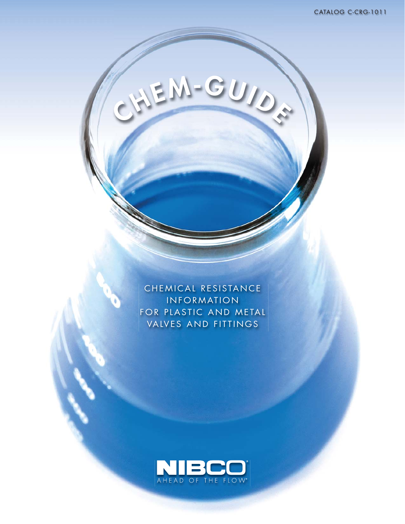CHEMICAL RESISTANCE INFORMATION FOR PLASTIC AND METAL VALVES AND FITTINGS

**<sup>C</sup>HEM-GUID<sup>E</sup>**

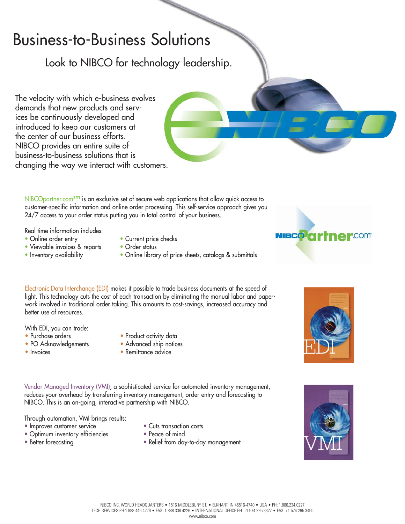## Business-to-Business Solutions

Look to NIBCO for technology leadership.

The velocity with which e-business evolves demands that new products and services be continuously developed and introduced to keep our customers at the center of our business efforts. NIBCO provides an entire suite of business-to-business solutions that is changing the way we interact with customers.

NIBCOpartner.com<sup>sm</sup> is an exclusive set of secure web applications that allow quick access to customer-specific information and online order processing. This self-service approach gives you 24/7 access to your order status putting you in total control of your business.

Real time information includes:<br>• Online order entry

- 
- Viewable invoices & reports Order status<br>• Inventory availability Online librar
- 
- Current price checks
- 
- Online library of price sheets, catalogs & submittals

Electronic Data Interchange (EDI) makes it possible to trade business documents at the speed of light. This technology cuts the cost of each transaction by eliminating the manual labor and paperwork involved in traditional order taking. This amounts to cost-savings, increased accuracy and better use of resources.

With EDI, you can trade:

- 
- PO Acknowledgements
- 
- Purchase orders Product activity data<br>• PO Acknowledgements Advanced ship notices
	-
- Invoices Remittance advice

Vendor Managed Inventory (VMI), a sophisticated service for automated inventory management, reduces your overhead by transferring inventory management, order entry and forecasting to NIBCO. This is an on-going, interactive partnership with NIBCO.

Through automation, VMI brings results:

- Improves customer service Cuts transaction costs
- Optimum inventory efficiencies Peace of mind
- 
- 
- 
- Better forecasting Relief from day-to-day management





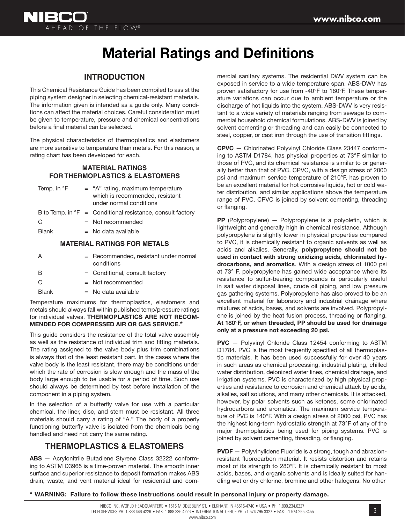

## **Material Ratings and Definitions**

#### **INTRODUCTION**

This Chemical Resistance Guide has been compiled to assist the piping system designer in selecting chemical-resistant materials. The information given is intended as a guide only. Many conditions can affect the material choices. Careful consideration must be given to temperature, pressure and chemical concentrations before a final material can be selected.

The physical characteristics of thermoplastics and elastomers are more sensitive to temperature than metals. For this reason, a rating chart has been developed for each.

#### **MATERIAL RATINGS FOR THERMOPLASTICS & ELASTOMERS**

| Temp. in °F  | $=$ "A" rating, maximum temperature<br>which is recommended, resistant<br>under normal conditions |
|--------------|---------------------------------------------------------------------------------------------------|
|              | B to Temp. in ${}^{\circ}F =$ Conditional resistance, consult factory                             |
| C            | $=$ Not recommended                                                                               |
| <b>Blank</b> | $=$ No data available                                                                             |
|              |                                                                                                   |

#### **MATERIAL RATINGS FOR METALS**

| А            | $=$ Recommended, resistant under normal<br>conditions |
|--------------|-------------------------------------------------------|
| R            | $=$ Conditional, consult factory                      |
| C.           | $=$ Not recommended                                   |
| <b>Blank</b> | $=$ No data available                                 |
|              |                                                       |

Temperature maximums for thermoplastics, elastomers and metals should always fall within published temp/pressure ratings for individual valves. **THERMOPLASTICS ARE NOT RECOM-MENDED FOR COMPRESSED AIR OR GAS SERVICE.\***

This guide considers the resistance of the total valve assembly as well as the resistance of individual trim and fitting materials. The rating assigned to the valve body plus trim combinations is always that of the least resistant part. In the cases where the valve body is the least resistant, there may be conditions under which the rate of corrosion is slow enough and the mass of the body large enough to be usable for a period of time. Such use should always be determined by test before installation of the component in a piping system.

In the selection of a butterfly valve for use with a particular chemical, the liner, disc, and stem must be resistant. All three materials should carry a rating of "A." The body of a properly functioning butterfly valve is isolated from the chemicals being handled and need not carry the same rating.

#### **THERMOPLASTICS & ELASTOMERS**

**ABS** — Acrylonitrile Butadiene Styrene Class 32222 conforming to ASTM D3965 is a time-proven material. The smooth inner surface and superior resistance to deposit formation makes ABS drain, waste, and vent material ideal for residential and commercial sanitary systems. The residential DWV system can be exposed in service to a wide temperature span. ABS-DWV has proven satisfactory for use from -40°F to 180°F. These temperature variations can occur due to ambient temperature or the discharge of hot liquids into the system. ABS-DWV is very resistant to a wide variety of materials ranging from sewage to commercial household chemical formulations. ABS-DWV is joined by solvent cementing or threading and can easily be connected to steel, copper, or cast iron through the use of transition fittings.

**CPVC** — Chlorinated Polyvinyl Chloride Class 23447 conforming to ASTM D1784, has physical properties at 73°F similar to those of PVC, and its chemical resistance is similar to or generally better than that of PVC. CPVC, with a design stress of 2000 psi and maximum service temperature of 210°F, has proven to be an excellent material for hot corrosive liquids, hot or cold water distribution, and similar applications above the temperature range of PVC. CPVC is joined by solvent cementing, threading or flanging.

PP (Polypropylene) - Polypropylene is a polyolefin, which is lightweight and generally high in chemical resistance. Although polypropylene is slightly lower in physical properties compared to PVC, it is chemically resistant to organic solvents as well as acids and alkalies. Generally, **polypropylene should not be used in contact with strong oxidizing acids, chlorinated hydrocarbons, and aromatics**. With a design stress of 1000 psi at 73° F, polypropylene has gained wide acceptance where its resistance to sulfur-bearing compounds is particularly useful in salt water disposal lines, crude oil piping, and low pressure gas gathering systems. Polypropylene has also proved to be an excellent material for laboratory and industrial drainage where mixtures of acids, bases, and solvents are involved. Polypropylene is joined by the heat fusion process, threading or flanging. **At 180°F, or when threaded, PP should be used for drainage only at a pressure not exceeding 20 psi.**

**PVC** — Polyvinyl Chloride Class 12454 conforming to ASTM D1784. PVC is the most frequently specified of all thermoplastic materials. It has been used successfully for over 40 years in such areas as chemical processing, industrial plating, chilled water distribution, deionized water lines, chemical drainage, and irrigation systems. PVC is characterized by high physical properties and resistance to corrosion and chemical attack by acids, alkalies, salt solutions, and many other chemicals. It is attacked, however, by polar solvents such as ketones, some chlorinated hydrocarbons and aromatics. The maximum service temperature of PVC is 140°F. With a design stress of 2000 psi, PVC has the highest long-term hydrostatic strength at 73°F of any of the major thermoplastics being used for piping systems. PVC is joined by solvent cementing, threading, or flanging.

**PVDF** — Polyvinylidene Fluoride is a strong, tough and abrasionresistant fluorocarbon material. It resists distortion and retains most of its strength to 280°F. It is chemically resistant **t**o most acids, bases, and organic solvents and is ideally suited for handling wet or dry chlorine, bromine and other halogens. No other

**\* WARNING: Failure to follow these instructions could result in personal injury or property damage.**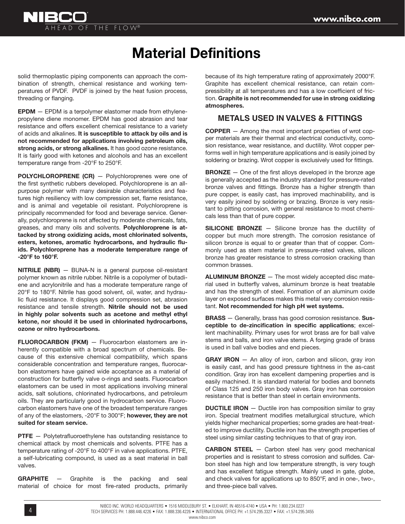

## **Material Definitions**

solid thermoplastic piping components can approach the combination of strength, chemical resistance and working temperatures of PVDF. PVDF is joined by the heat fusion process, threading or flanging.

**EPDM** — EPDM is a terpolymer elastomer made from ethylenepropylene diene monomer. EPDM has good abrasion and tear resistance and offers excellent chemical resistance to a variety of acids and alkalines. **It is susceptible to attack by oils and is not recommended for applications involving petroleum oils, strong acids, or strong alkalines.** It has good ozone resistance. It is fairly good with ketones and alcohols and has an excellent temperature range from -20°F to 250°F.

**POLYCHLOROPRENE (CR)** — Polychloroprenes were one of the first synthetic rubbers developed. Polychloroprene is an allpurpose polymer with many desirable characteristics and features high resiliency with low compression set, flame resistance, and is animal and vegetable oil resistant. Polychloroprene is principally recommended for food and beverage service. Generally, polychloroprene is not affected by moderate chemicals, fats, greases, and many oils and solvents. **Polychloroprene is attacked by strong oxidizing acids, most chlorinated solvents,**  esters, ketones, aromatic hydrocarbons, and hydraulic flu**ids. Polychloroprene has a moderate temperature range of -20°F to 160°F.**

**NITRILE (NBR)** — BUNA-N is a general purpose oil-resistant polymer known as nitrile rubber. Nitrile is a copolymer of butadiene and acrylonitrile and has a moderate temperature range of 20°F to 180°F. Nitrile has good solvent, oil, water, and hydraulic fluid resistance. It displays good compression set, abrasion resistance and tensile strength. **Nitrile should not be used in highly polar solvents such as acetone and methyl ethyl ketone, nor should it be used in chlorinated hydrocarbons, ozone or nitro hydrocarbons.**

**FLUOROCARBON (FKM)** — Fluorocarbon elastomers are inherently compatible with a broad spectrum of chemicals. Because of this extensive chemical compatibility, which spans considerable concentration and temperature ranges, fluorocarbon elastomers have gained wide acceptance as a material of construction for butterfly valve o-rings and seats. Fluorocarbon elastomers can be used in most applications involving mineral acids, salt solutions, chlorinated hydrocarbons, and petroleum oils. They are particularly good in hydrocarbon service. Fluorocarbon elastomers have one of the broadest temperature ranges of any of the elastomers, -20°F to 300°F; **however, they are not suited for steam service.**

**PTFE** - Polytetrafluoroethylene has outstanding resistance to chemical attack by most chemicals and solvents. PTFE has a temperature rating of -20°F to 400°F in valve applications. PTFE, a self-lubricating compound, is used as a seat material in ball valves.

**GRAPHITE** — Graphite is the packing and seal material of choice for most fire-rated products, primarily because of its high temperature rating of approximately 2000°F. Graphite has excellent chemical resistance, can retain compressibility at all temperatures and has a low coefficient of friction. **Graphite is not recommended for use in strong oxidizing atmospheres.**

#### **METALS USED IN VALVES & FITTINGS**

**COPPER** — Among the most important properties of wrot copper materials are their thermal and electrical conductivity, corrosion resistance, wear resistance, and ductility. Wrot copper performs well in high temperature applications and is easily joined by soldering or brazing. Wrot copper is exclusively used for fittings.

**BRONZE** – One of the first alloys developed in the bronze age is generally accepted as the industry standard for pressure-rated bronze valves and fittings. Bronze has a higher strength than pure copper, is easily cast, has improved machinability, and is very easily joined by soldering or brazing. Bronze is very resistant to pitting corrosion, with general resistance to most chemicals less than that of pure copper.

**SILICONE BRONZE** — Silicone bronze has the ductility of copper but much more strength. The corrosion resistance of silicon bronze is equal to or greater than that of copper. Commonly used as stem material in pressure-rated valves, silicon bronze has greater resistance to stress corrosion cracking than common brasses.

**ALUMINUM BRONZE** — The most widely accepted disc material used in butterfly valves, aluminum bronze is heat treatable and has the strength of steel. Formation of an aluminum oxide layer on exposed surfaces makes this metal very corrosion resistant. **Not recommended for high pH wet systems.**

**BRASS** — Generally, brass has good corrosion resistance. **Sus**ceptible to de-zincification in specific applications; excellent machinability. Primary uses for wrot brass are for ball valve stems and balls, and iron valve stems. A forging grade of brass is used in ball valve bodies and end pieces.

**GRAY IRON** – An alloy of iron, carbon and silicon, gray iron is easily cast, and has good pressure tightness in the as-cast condition. Gray iron has excellent dampening properties and is easily machined. It is standard material for bodies and bonnets of Class 125 and 250 iron body valves. Gray iron has corrosion resistance that is better than steel in certain environments.

**DUCTILE IRON** – Ductile iron has composition similar to gray iron. Special treatment modifies metallurgical structure, which yields higher mechanical properties; some grades are heat-treated to improve ductility. Ductile iron has the strength properties of steel using similar casting techniques to that of gray iron.

**CARBON STEEL** — Carbon steel has very good mechanical properties and is resistant to stress corrosion and sulfides. Carbon steel has high and low temperature strength, is very tough and has excellent fatigue strength. Mainly used in gate, globe, and check valves for applications up to 850°F, and in one-, two-, and three-piece ball valves.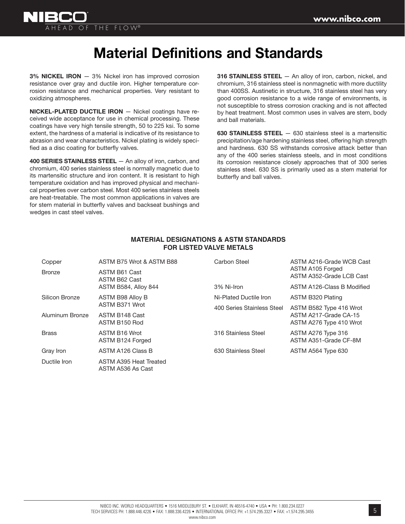

## **Material Definitions and Standards**

**3% NICKEL IRON** — 3% Nickel iron has improved corrosion resistance over gray and ductile iron. Higher temperature corrosion resistance and mechanical properties. Very resistant to oxidizing atmospheres.

**NICKEL-PLATED DUCTILE IRON** — Nickel coatings have received wide acceptance for use in chemical processing. These coatings have very high tensile strength, 50 to 225 ksi. To some extent, the hardness of a material is indicative of its resistance to abrasion and wear characteristics. Nickel plating is widely specified as a disc coating for butterfly valves.

**400 SERIES STAINLESS STEEL** — An alloy of iron, carbon, and chromium, 400 series stainless steel is normally magnetic due to its martensitic structure and iron content. It is resistant to high temperature oxidation and has improved physical and mechanical properties over carbon steel. Most 400 series stainless steels are heat-treatable. The most common applications in valves are for stem material in butterfly valves and backseat bushings and wedges in cast steel valves.

**316 STAINLESS STEEL** — An alloy of iron, carbon, nickel, and chromium, 316 stainless steel is nonmagnetic with more ductility than 400SS. Austinetic in structure, 316 stainless steel has very good corrosion resistance to a wide range of environments, is not susceptible to stress corrosion cracking and is not affected by heat treatment. Most common uses in valves are stem, body and ball materials.

**630 STAINLESS STEEL** — 630 stainless steel is a martensitic precipitation/age hardening stainless steel, offering high strength and hardness. 630 SS withstands corrosive attack better than any of the 400 series stainless steels, and in most conditions its corrosion resistance closely approaches that of 300 series stainless steel. 630 SS is primarily used as a stem material for butterfly and ball valves.

| Copper          | ASTM B75 Wrot & ASTM B88                    | Carbon Steel               | ASTM A216-Grade WCB Cast                         |
|-----------------|---------------------------------------------|----------------------------|--------------------------------------------------|
| <b>Bronze</b>   | ASTM B61 Cast<br>ASTM B62 Cast              |                            | ASTM A105 Forged<br>ASTM A352-Grade LCB Cast     |
|                 | ASTM B584, Alloy 844                        | 3% Ni-Iron                 | ASTM A126-Class B Modified                       |
| Silicon Bronze  | ASTM B98 Alloy B                            | Ni-Plated Ductile Iron     | ASTM B320 Plating                                |
|                 | ASTM B371 Wrot                              | 400 Series Stainless Steel | ASTM B582 Type 416 Wrot                          |
| Aluminum Bronze | ASTM B148 Cast<br>ASTM B150 Rod             |                            | ASTM A217-Grade CA-15<br>ASTM A276 Type 410 Wrot |
| <b>Brass</b>    | ASTM B16 Wrot<br>ASTM B124 Forged           | 316 Stainless Steel        | ASTM A276 Type 316<br>ASTM A351-Grade CF-8M      |
| Gray Iron       | ASTM A126 Class B                           | 630 Stainless Steel        | ASTM A564 Type 630                               |
| Ductile Iron    | ASTM A395 Heat Treated<br>ASTM A536 As Cast |                            |                                                  |

#### **MATERIAL DESIGNATIONS & ASTM STANDARDS FOR LISTED VALVE METALS**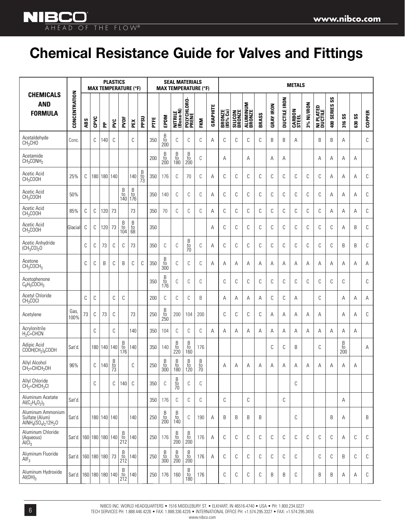**NIBCO** AHEAD OF THE FLOW®

## **Chemical Resistance Guide for Valves and Fittings**

|                                                           |                             |     |      |             | <b>PLASTICS</b> |                                                      | <b>MAX TEMPERATURE (°F)</b>                  |                      |      |                                                                    | <b>SEAL MATERIALS</b><br><b>MAX TEMPERATURE (°F)</b>               |                                                                    |                            |          |                    |                          |                           |       |                  |                     | <b>METALS</b>   |            |                      |                  |                |               |               |
|-----------------------------------------------------------|-----------------------------|-----|------|-------------|-----------------|------------------------------------------------------|----------------------------------------------|----------------------|------|--------------------------------------------------------------------|--------------------------------------------------------------------|--------------------------------------------------------------------|----------------------------|----------|--------------------|--------------------------|---------------------------|-------|------------------|---------------------|-----------------|------------|----------------------|------------------|----------------|---------------|---------------|
| <b>CHEMICALS</b><br><b>AND</b><br><b>FORMULA</b>          | CONCENTRATION               | ABS | CPVC | 운           | Σď              | PVDF                                                 | PEX                                          | PPSU                 | PTFE | EPDM                                                               | NITRILE<br>(Buna-N)                                                | POLYCHLORO-<br>Prene                                               | FKM                        | GRAPHITE | BRONZE<br>(85% Cu) | <b>SILICON</b><br>BRONZE | <b>ALUMINUM</b><br>BRONZE | BRASS | <b>GRAY IRON</b> | <b>DUCTILE IRON</b> | CARBON<br>STEEL | 3% NI/IRON | NI PLATED<br>DUCTILE | SS<br>400 SERIES | 316 SS         | <b>630 SS</b> | <b>COPPER</b> |
| Acetaldehyde<br>CH <sub>3</sub> CHO                       | Conc                        |     | C    | 140         | C               |                                                      | C                                            |                      | 350  | $\begin{array}{c} B \\ to \\ 200 \end{array}$                      | C                                                                  | C                                                                  | C                          | Α        | C                  | C                        | C                         | C     | B                | B                   | Α               |            | B                    | B                | Α              |               | С             |
| Acetamide<br>CH <sub>3</sub> CONH <sub>2</sub>            |                             |     |      |             |                 |                                                      |                                              |                      | 200  | B<br>$\frac{10}{200}$                                              | $\begin{array}{c} B \\ \text{to} \\ 180 \end{array}$               | $_{\rm to}^{\rm B}$<br>200                                         | С                          |          | А                  |                          | Α                         |       | A                | Α                   |                 |            | А                    | Α                | Α              | Α             |               |
| Acetic Acid<br>CH <sub>3</sub> COOH                       | 25%                         | C   | 180  | 180   140   |                 |                                                      | 140                                          | B<br>$\frac{10}{73}$ | 350  | 176                                                                | C                                                                  | 70                                                                 | C                          | А        | C                  | C                        | C                         | C     | C                | C                   | C               | C          | C                    | А                | A              | A             | С             |
| Acetic Acid<br>CH <sub>3</sub> COOH                       | 50%                         |     |      |             |                 | $_{\rm to}^{\rm B}$<br>140                           | $_{\rm to}^{\rm B}$<br>176                   |                      | 350  | 140                                                                | C                                                                  | C                                                                  | C                          | Α        | C                  | C                        | C                         | C     | C                | C                   | C               | C          | С                    | А                | Α              | Α             | С             |
| Acetic Acid<br>CH <sub>3</sub> COOH                       | 85%                         | C   | C    | 120         | 73              |                                                      | 73                                           |                      | 350  | 70                                                                 | C                                                                  | C                                                                  | C                          | А        | C                  | C                        | C                         | C     | C                | C                   | C               | C          | C                    | Α                | Α              | Α             | C             |
| Acetic Acid<br>CH <sub>3</sub> COOH                       | Glacial                     | С   | C    | 120         | 73              | B<br>to<br>104                                       | $\begin{array}{c} B \\ to \\ 68 \end{array}$ |                      | 350  |                                                                    |                                                                    |                                                                    |                            | Α        | C                  | C                        | C                         | C     | C                | С                   | C               | С          | С                    | С                | Α              | B             | С             |
| Acetic Anhydride<br>$(CH_3CO)_2O$                         |                             | C   | C    | 73          | C               | C                                                    | 73                                           |                      | 350  | С                                                                  | C                                                                  | $\begin{array}{c} B \\ to \\ 70 \end{array}$                       | C                          | Α        | C                  | C                        | C                         | C     | C                | C                   | C               | C          | C                    | С                | B              | B             | С             |
| Acetone<br>CH <sub>3</sub> COCH <sub>3</sub>              |                             | C   | C    | B           | C               | B                                                    | C                                            | C                    | 350  | $\begin{array}{c} B \\ \text{to} \\ 300 \end{array}$               | C                                                                  | C                                                                  | C                          | А        | A                  | Α                        | Α                         | Α     | Α                | Α                   | Α               | Α          | A                    | Α                | Α              | Α             | Α             |
| Acetophenone<br>$C_6H_5COCH_3$                            |                             |     |      |             |                 |                                                      |                                              |                      | 350  | $_{\rm to}^{\rm B}$<br>176                                         | $\mathbb C$                                                        | C                                                                  | C                          |          | C                  | C                        | C                         | C     | C                | C                   | C               | C          | C                    | C                | C              |               | C             |
| <b>Acetyl Chloride</b><br>CH <sub>3</sub> COCl            |                             | C   | C    |             | C               | C                                                    |                                              |                      | 200  | C                                                                  | C                                                                  | C                                                                  | B                          |          | А                  | Α                        | Α                         | Α     | С                | C                   | Α               |            | C                    |                  | Α              | Α             | Α             |
| Acetylene                                                 | Gas<br>100%                 | 73  | C    | 73          | C               |                                                      | 73                                           |                      | 250  | B<br>to<br>250                                                     | 200                                                                | 104                                                                | 200                        |          | C                  | C                        | C                         | C     | Α                | Α                   | Α               | Α          | А                    |                  | Α              | Α             | C             |
| Acrylonitrile<br>$H_2C=CHCN$                              |                             |     | C    |             | C               |                                                      | 140                                          |                      | 350  | 104                                                                | C                                                                  | С                                                                  | C                          | Α        | A                  | Α                        | Α                         | Α     | Α                | Α                   | Α               | Α          | Α                    | Α                | Α              | A             |               |
| Adipic Acid<br>$COOH(CH_2)_4COOH$                         | Sat'd                       |     |      | 180   140   | 140             | B<br>to<br>176                                       | 140                                          |                      | 350  | 140                                                                | B<br>to<br>220                                                     | B<br>to<br>160                                                     | 176                        |          |                    |                          |                           |       | C                | C                   | B               |            | C                    |                  | B<br>to<br>200 |               | Α             |
| Allyl Alcohol<br>$CH2=CHCH2OH$                            | 96%                         |     | C    | 140         | $rac{B}{73}$    |                                                      | C                                            |                      | 250  | B<br>to<br>300                                                     | B<br>to<br>180                                                     | B<br>to<br>120                                                     | B<br>to<br>$\overline{70}$ |          | А                  | Α                        | Α                         | Α     | Α                | Α                   | Α               | Α          | Α                    | А                | Α              | Α             |               |
| Allyl Chloride<br>$CH2=CHCH2Cl$                           |                             |     | C    |             | С               | 140                                                  | C                                            |                      | 350  | C                                                                  | $\begin{array}{c} B \\ \text{to} \\ 70 \end{array}$                | C                                                                  | С                          |          |                    |                          |                           |       |                  |                     | С               |            |                      |                  |                |               |               |
| Aluminum Acetate<br>Al( $C_2H_4O_2$ ) <sub>3</sub>        | Sat'd.                      |     |      |             |                 |                                                      |                                              |                      | 350  | 176                                                                | С                                                                  | C                                                                  | С                          |          | C                  |                          | C                         |       |                  | $\mathbb{C}$        |                 |            |                      |                  | Α              |               |               |
| Aluminum Ammonium<br>Sulfate (Alum)<br>$AlNH4(SO4)212H2O$ | Sat'd.                      |     |      | 180 140 140 |                 |                                                      | 140                                          |                      | 250  | $\begin{array}{c} \text{B} \\ \text{to} \\ \text{200} \end{array}$ | $\begin{array}{c} \text{B} \\ \text{to} \\ 140 \end{array}$        | C                                                                  | 190                        | Α        | B                  | B                        | B                         | B     |                  |                     | C               |            |                      | B                | Α              |               | B             |
| Aluminum Chloride<br>(Aqueous)<br>$\text{AlCl}_3$         | Sat'd. 160 180 180 140      |     |      |             |                 | B<br>to<br>212                                       | 140                                          |                      | 250  | 176                                                                | B<br>$\frac{10}{200}$                                              | $\begin{array}{c} \text{B} \\ \text{to} \\ \text{200} \end{array}$ | 176                        | Α        | C                  | C                        | C                         | C     | C                | C                   | C               | С          | С                    | C                | Α              | С             | С             |
| Aluminum Fluoride<br>AlF <sub>3</sub>                     | Sat'd. 160   180   180   73 |     |      |             |                 | $_{\rm to}^{\rm B}$<br>212                           | 140                                          |                      | 250  | $\begin{array}{c} \text{B} \\ \text{to} \\ \text{300} \end{array}$ | $\begin{array}{c} \text{B} \\ \text{to} \\ \text{200} \end{array}$ | B<br>to<br>200                                                     | 176                        | Α        | C                  | C                        | C                         | C     | C                | C                   | C               |            | С                    | С                | B              | С             | C             |
| Aluminum Hydroxide<br>$AI(OH)_3$                          | Sat'd. 160 180 180 140      |     |      |             |                 | $\begin{array}{c} B \\ \text{to} \\ 212 \end{array}$ | 140                                          |                      | 250  | 176                                                                | 160                                                                | $\begin{array}{c} \text{B} \\ \text{to} \\ \text{180} \end{array}$ | 176                        |          | C                  | C                        | C                         | C     | B                | B                   | C               |            | B                    | B                | Α              | Α             | С             |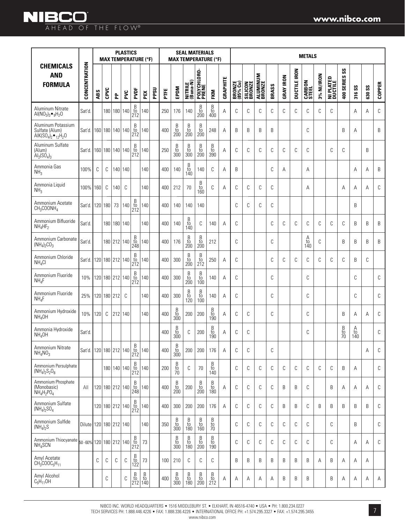|                                                                                                             |                        | <b>PLASTICS</b><br><b>MAX TEMPERATURE (°F)</b> |                 |             |         |                                                        |                       |      | <b>SEAL MATERIALS</b><br><b>MAX TEMPERATURE (°F)</b> |                            |                                                                    |                                                                    |                                                                    |                 |                    |                   |                    | <b>METALS</b> |                  |                     |                        |            |                      |                                        |                |               |               |
|-------------------------------------------------------------------------------------------------------------|------------------------|------------------------------------------------|-----------------|-------------|---------|--------------------------------------------------------|-----------------------|------|------------------------------------------------------|----------------------------|--------------------------------------------------------------------|--------------------------------------------------------------------|--------------------------------------------------------------------|-----------------|--------------------|-------------------|--------------------|---------------|------------------|---------------------|------------------------|------------|----------------------|----------------------------------------|----------------|---------------|---------------|
| <b>CHEMICALS</b><br><b>AND</b><br><b>FORMULA</b>                                                            | CONCENTRATION          | ABS                                            | CPVC            | 운           | PVC     | PVDF                                                   | PEX                   | PPSU | PTE                                                  | EPDM                       | NITRILE<br>(Buna-N)                                                | POLYCHLORO-<br>PRENE                                               | <b>FKM</b>                                                         | <b>GRAPHITE</b> | BRONZE<br>(85% Cu) | SILICON<br>BRONZE | ALUMINUM<br>BRONZE | BRASS         | <b>GRAY IRON</b> | <b>DUCTILE IRON</b> | <b>CARBON</b><br>STEEL | 3% NI/IRON | NI PLATED<br>Ductile | $s_{\rm s}$<br>400 SERIES              | 316 SS         | <b>630 SS</b> | <b>COPPER</b> |
| Aluminum Nitrate<br>Al( $NO_3$ ) <sub>3</sub> $\bullet$ <sub>9</sub> H <sub>2</sub> O                       | Sat'd                  |                                                |                 | 180   180   | 140     | $rac{B}{10}$<br>212                                    | 140                   |      | 250                                                  | 176                        | 140                                                                | $\begin{array}{c} B \\ \text{to} \\ 200 \end{array}$               | B<br>$\frac{10}{400}$                                              | Α               | С                  | С                 | С                  | C             | C                | C                   | C                      | C          | C                    |                                        | Α              | Α             | С             |
| Aluminum Potassium<br>Sulfate (Alum)<br>AIK(SO <sub>4</sub> ) <sub>2</sub> • <sub>12</sub> H <sub>2</sub> O | Sat'd.                 |                                                | 160 180 140 140 |             |         | $\begin{array}{c} B \\ \text{to} \\ 212 \end{array}$   | 140                   |      | 400                                                  | β<br>to<br>200             | $\begin{array}{c} \text{B} \\ \text{to} \\ \text{200} \end{array}$ | $\begin{array}{c} \text{B} \\ \text{to} \\ \text{200} \end{array}$ | 248                                                                | A               | B                  | B                 | B                  | B             |                  |                     | C                      |            |                      | B                                      | A              |               | B             |
| Aluminum Sulfate<br>(Alum)<br>$Al_2(SO_4)_3$                                                                | Sat'd.                 |                                                | 160 180 140 140 |             |         | $\begin{array}{c} B \\ \text{to} \\ 212 \end{array}$   | 140                   |      | 250                                                  | B<br>to<br>300             | B<br>$\frac{10}{300}$                                              | B<br>$\frac{10}{200}$                                              | Β<br>$\frac{10}{390}$                                              | Α               | C                  | C                 | С                  | C             | C                | C                   | C                      |            | C                    | C                                      |                | B             |               |
| Ammonia Gas<br>NH <sub>3</sub>                                                                              | 100%                   | С                                              | С               |             | 140 140 |                                                        | 140                   |      | 400                                                  | 140                        | B<br>to<br>140                                                     | 140                                                                | C                                                                  | A               | B                  |                   |                    | C             | A                |                     | A                      |            |                      |                                        | A              | A             | B             |
| Ammonia Liquid<br>NH <sub>3</sub>                                                                           | 100%                   | 160                                            | C               | 140         | C       |                                                        | 140                   |      | 400                                                  | 212                        | 70                                                                 | $_{\rm to}^{\rm B}$<br>160                                         | C                                                                  | A               | C                  | C                 | C                  | C             |                  |                     | A                      |            |                      | A                                      | Α              | A             | C             |
| Ammonium Acetate<br>CH <sub>3</sub> COONH <sub>4</sub>                                                      | Sat'd.                 |                                                | 120 180 73      |             | 140     | $\begin{array}{c} B \\ \text{to} \\ 212 \end{array}$   | 140                   |      | 400                                                  | 140                        | 140                                                                | 140                                                                |                                                                    |                 | C                  | С                 | С                  | C             |                  |                     |                        |            |                      |                                        | B              |               |               |
| Ammonium Bifluoride<br>$NH_4HF_2$                                                                           | Sat'd.                 |                                                |                 | 180 180 140 |         |                                                        | 140                   |      | 400                                                  | 140                        | B<br>to<br>140                                                     | C                                                                  | 140                                                                | A               | C                  |                   |                    | C             | C                | C                   | C                      | C          | C                    | C                                      | B              | B             | B             |
| Ammonium Carbonate<br>$(NH_4)_2CO_3$                                                                        | Sat'd.                 |                                                |                 | 180 212 140 |         | $\begin{array}{c} B \\ \text{to} \\ 248 \end{array}$   | 140                   |      | 400                                                  | 176                        | B<br>$\frac{10}{200}$                                              | B<br>$\frac{10}{200}$                                              | 212                                                                |                 | C                  |                   |                    | C             |                  |                     | $A_{\text{to}}$<br>140 | C          |                      | B                                      | B              | B             | B             |
| Ammonium Chloride<br>NH <sub>4</sub> Cl                                                                     | Sat'd.                 |                                                | 120 180 212 140 |             |         | $\frac{B}{10}$<br>212                                  | 140                   |      | 400                                                  | 300                        | $\begin{array}{c} B \\ to \\ 200 \end{array}$                      | $\begin{array}{c} B \\ \text{to} \\ 212 \end{array}$               | 250                                                                | A               | C                  |                   |                    | C             | C                | C                   | C                      | C          | C                    | C                                      | B              | C             |               |
| Ammonium Fluoride<br>NH <sub>A</sub> F                                                                      | 10%                    |                                                | 120 180 212 140 |             |         | $\begin{array}{c} B \\ \text{to} \\ 212 \end{array}$   | 140                   |      | 400                                                  | 300                        | B<br>$\frac{10}{200}$                                              | $\begin{array}{c} B \\ \mathrm{to} \\ 100 \end{array}$             | 140                                                                | Α               | C                  |                   |                    | C             |                  |                     | C                      |            |                      |                                        | C              |               | C             |
| Ammonium Fluoride<br>$NH_4F$                                                                                | 25%                    |                                                | 120 180 212     |             | C       |                                                        | 140                   |      | 400                                                  | 300                        | $_{\rm to}^{\rm B}$<br>120                                         | $\frac{B}{t0}$<br>100                                              | 140                                                                | A               | C                  |                   |                    | C             |                  |                     | C                      |            |                      |                                        | C              |               | C             |
| Ammonium Hydroxide<br>NH <sub>4</sub> OH                                                                    | 10%                    | 120                                            | C               |             | 212 140 |                                                        | 140                   |      | 400                                                  | B<br>to<br>300             | 200                                                                | 200                                                                | Β<br>to<br>190                                                     | A               | C                  | C                 |                    | C             |                  |                     | C                      |            |                      | B                                      | A              | A             | C             |
| Ammonia Hydroxide<br>NH <sub>4</sub> OH                                                                     | Sat'd.                 |                                                |                 |             |         |                                                        |                       |      | 400                                                  | B<br>to<br>300             | C                                                                  | 200                                                                | Β<br>to<br>190                                                     | Α               | C                  | C                 |                    |               |                  |                     | C                      |            |                      | $_{\rm to}^{\rm B}$<br>$\overline{70}$ | Α<br>to<br>140 |               | C             |
| Ammonium Nitrate<br>$NH_4NO_3$                                                                              | Sat'd. 120 180 212 140 |                                                |                 |             |         | $_{\rm to}^{\rm B}$<br>212                             | 140                   |      | 400                                                  | $_{\rm to}^{\rm B}$<br>300 | 200                                                                | 200                                                                | 176                                                                | Α               | С                  | С                 |                    | C             |                  |                     |                        |            |                      |                                        |                | Α             | C             |
| Ammonium Persulphate<br>$(NH_4)_2S_2O_8$                                                                    |                        |                                                |                 | 180 140 140 |         | $\frac{B}{t0}$<br>212                                  | 140                   |      | 200                                                  | B<br>to<br>70              | С                                                                  | 70                                                                 | Β<br>to<br>140                                                     |                 | C                  | С                 | С                  | C             | C                | C                   | C                      | C          | C                    | B                                      | Α              |               | C             |
| Ammonium Phosphate<br>(Monobasic)<br>$NH_4H_2PO_4$                                                          | All                    |                                                | 120 180 212 140 |             |         | $_{\rm to}^{\rm B}$<br>248                             | 140                   |      | 400                                                  | $\frac{B}{t0}$<br>200      | 200                                                                | $\frac{B}{t0}$<br>200                                              | $\begin{array}{c} \text{B} \\ \text{to} \\ \text{180} \end{array}$ | Α               | C                  | С                 | С                  | С             | B                | B                   | C                      |            | B                    | Α                                      | Α              | Α             | C             |
| Ammonium Sulfate<br>$(NH_4)_2SO_4$                                                                          |                        |                                                | 120 180 212 140 |             |         | $\begin{array}{c} B \\ \text{to} \\ 212 \end{array}$   | 140                   |      | 400                                                  | 300                        | 200                                                                | 200                                                                | 176                                                                | Α               | С                  | С                 | С                  | C             | B                | B                   | C                      | B          | B                    | B                                      | B              | B             | C             |
| Ammonium Sulfide<br>$(NH_4)_2S$                                                                             | Dilute 120 180 212 140 |                                                |                 |             |         |                                                        | 140                   |      | 350                                                  | B<br>$\frac{10}{300}$      | B<br>$\frac{10}{180}$                                              | B<br>$\frac{10}{160}$                                              | B<br>$\frac{10}{70}$                                               |                 | C                  | C                 | C                  | C             | C                | C                   | C                      |            | C                    |                                        | B              |               | $\mathbb{C}$  |
| Ammonium Thiocyanate 50-60%<br>NH <sub>4</sub> SCN                                                          |                        |                                                | 120 180 212 140 |             |         | $\begin{array}{c} B \\ \text{to} \\ 212 \end{array}$   | 73                    |      |                                                      | B<br>to<br>300             | $\begin{array}{c} B \\ \mathrm{to} \\ 180 \end{array}$             | B<br>$\frac{10}{200}$                                              | B<br>$\frac{10}{190}$                                              |                 | C                  | C                 | С                  | C             | C                | C                   | C                      |            | C                    |                                        | Α              | Α             | C             |
| Amyl Acetate<br>$CH_3COOC_5H_{11}$                                                                          |                        | С                                              | C               | С           | С       | $\begin{array}{c} B \\ \text{to} \\ 122 \end{array}$   | 73                    |      | 100                                                  | 210                        | C                                                                  | С                                                                  | C                                                                  |                 | B                  | B                 | B                  | B             | B                | B                   | B                      | Α          | B                    | Α                                      | Α              | Α             |               |
| Amyl Alcohol<br>$C_5H_{11}OH$                                                                               |                        |                                                | С               |             | С       | $\begin{array}{c} B \\ \textrm{to} \\ 212 \end{array}$ | $\frac{B}{t0}$<br>140 |      | 400                                                  | β<br>to<br>300             | B<br>to<br>180                                                     | $\begin{array}{c} \text{B} \\ \text{to} \\ \text{200} \end{array}$ | $\begin{array}{c} B \\ \rm{to} \\ 212 \end{array}$                 | Α               | Α                  | Α                 | Α                  | Α             | B                | B                   | B                      |            | B                    | Α                                      | Α              | Α             | A             |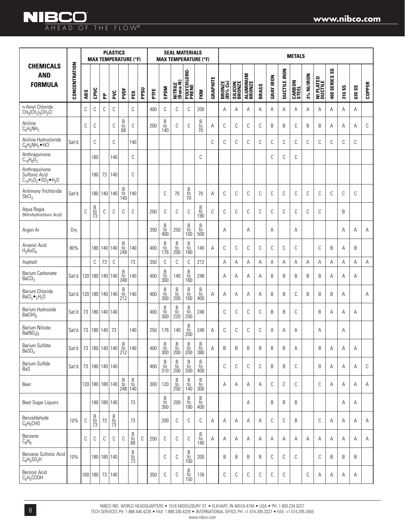### **NIBCO** AHEAD OF THE FLOW®

|                                                                            |                               |     |                       |             | <b>PLASTICS</b> | <b>MAX TEMPERATURE (°F)</b>                          |                                              |             |     |                                                                    | <b>SEAL MATERIALS</b><br><b>MAX TEMPERATURE (°F)</b>               |                                                                    |                                                                    |          |                    |                          |                           |                |                  |                     | <b>METALS</b>   |            |                             |                                      |        |               |               |
|----------------------------------------------------------------------------|-------------------------------|-----|-----------------------|-------------|-----------------|------------------------------------------------------|----------------------------------------------|-------------|-----|--------------------------------------------------------------------|--------------------------------------------------------------------|--------------------------------------------------------------------|--------------------------------------------------------------------|----------|--------------------|--------------------------|---------------------------|----------------|------------------|---------------------|-----------------|------------|-----------------------------|--------------------------------------|--------|---------------|---------------|
| <b>CHEMICALS</b><br><b>AND</b><br><b>FORMULA</b>                           | CONCENTRATION                 | ABS | CPVC                  | 운           | PVC             | PVDF                                                 | PEX                                          | <b>PPSU</b> | FTE | EPDM                                                               | NITRILE<br>(Buna-N)                                                | POLYCHLORO-<br>Prene                                               | FKM                                                                | GRAPHITE | BRONZE<br>(85% Cu) | <b>SILICON</b><br>BRONZE | <b>ALUMINUM</b><br>BRONZE | BRASS          | <b>GRAY IRON</b> | <b>DUCTILE IRON</b> | CARBON<br>STEEL | 3% NI/IRON | <b>NI PLATED</b><br>Ductile | $\mathsf{S}\mathsf{S}$<br>400 SERIES | 316 SS | <b>630 SS</b> | <b>COPPER</b> |
| n-Amyl Chloride<br>$CH_3CH_2$ <sub>3</sub> CH <sub>2</sub> CI              |                               | C   | C                     | C           | C               |                                                      | C                                            |             | 400 | C                                                                  | C                                                                  | C                                                                  | 200                                                                |          | А                  | Α                        | Α                         | Α              | A                | Α                   | Α               | A          | A                           | Α                                    | A      | A             |               |
| Aniline<br>$C_6H_5NH_2$                                                    |                               | C   | C                     |             | C               | $\begin{array}{c} B \\ \text{to} \\ 68 \end{array}$  | C                                            |             | 200 | $_{\rm to}^{\rm B}$<br>140                                         | С                                                                  | C                                                                  | $\frac{B}{10}$                                                     | Α        | С                  | C                        | С                         | C              | B                | B                   | С               | B          | B                           | Α                                    | Α      | Α             | C             |
| Aniline Hydrocloride<br>$C_6H_5NH_2$ • HCI                                 | Sat'd.                        |     | C                     |             | C               |                                                      | 140                                          |             |     |                                                                    |                                                                    |                                                                    |                                                                    | C        | C                  | C                        | С                         | C              | C                | C                   | C               | C          | C                           | C                                    | C      | C             |               |
| Anthraquinone<br>$C_{14}H_8O_2$                                            |                               |     | 180                   |             | 140             |                                                      | C                                            |             |     |                                                                    |                                                                    |                                                                    | C                                                                  |          |                    |                          |                           |                | C                | C                   | С               |            |                             |                                      |        |               |               |
| Anthraquinone<br>Sulfonic Acid<br>$C_{14}H_{7}O_{2}$ · $SO_{3}$ • $H_{2}O$ |                               |     | 180                   | 73          | 140             |                                                      | C                                            |             |     |                                                                    |                                                                    |                                                                    |                                                                    |          |                    |                          |                           |                |                  |                     |                 |            |                             |                                      |        |               |               |
| Antimony Trichloride<br>SbCl <sub>3</sub>                                  | Sat'd.                        |     | 180                   | 140 140     |                 | $_{\rm to}^{\rm B}$<br>140                           | 140                                          |             |     | C                                                                  | 70                                                                 | $_{\rm to}^{\rm B}$<br>70                                          | 70                                                                 | Α        | C                  | C                        | С                         | C              | C                | C                   | С               | C          | С                           | C                                    | C      | C             |               |
| Aqua Regia<br>(Nitrohydrochloric Acid)                                     |                               | C   | B<br>to<br>73         | C           | C               | C                                                    | C                                            |             | 200 | C                                                                  | C                                                                  | C                                                                  | $\begin{array}{c} B \\ \text{to} \\ 190 \end{array}$               | C        | C                  | C                        | C                         | C              | C                | C                   | C               | C          | C                           |                                      | B      |               |               |
| Argon Ar                                                                   | Dry                           |     |                       |             |                 |                                                      |                                              |             | 350 | $\begin{array}{c} \text{B} \\ \text{to} \\ \text{400} \end{array}$ | 250                                                                | $\begin{array}{c} B \\ \text{to} \\ 100 \end{array}$               | B<br>$\frac{10}{500}$                                              |          | A                  |                          | Α                         |                | A                |                     | Α               |            |                             |                                      | A      | Α             | A             |
| Arsenic Acid<br>$H_3AsO_4$                                                 | 80%                           |     | 180                   | 140 140     |                 | $\begin{array}{c} B \\ \text{to} \\ 248 \end{array}$ | 140                                          |             | 400 | $\begin{array}{c} B \\ \text{to} \\ 176 \end{array}$               | $\begin{array}{c} \text{B} \\ \text{to} \\ \text{200} \end{array}$ | $\begin{array}{c} B \\ \text{to} \\ 180 \end{array}$               | 140                                                                | A        | C                  | C                        | C                         | C              | C                | C                   | C               |            | С                           | B                                    | A      | B             |               |
| Asphalt                                                                    |                               |     | C                     | 73          | C               |                                                      | 73                                           |             | 350 | $\mathbb C$                                                        | $\mathsf C$                                                        | $\mathbb{C}$                                                       | 212                                                                |          | A                  | Α                        | Α                         | A              | A                | A                   | A               | A          | A                           | А                                    | A      | A             | A             |
| Barium Carbonate<br>BaCO <sub>3</sub>                                      | Sat'd.                        |     | 120 180 140 140       |             |                 | $_{\rm to}^{\rm B}$<br>248                           | 140                                          |             | 400 | $\frac{B}{t0}$<br>300                                              | 140                                                                | $_{\rm to}^{\rm B}$<br>160                                         | 248                                                                |          | А                  | Α                        | Α                         | Α              | B                | B                   | B               | B          | B                           | Α                                    | Α      | Α             |               |
| Barium Chloride<br>$BaCl2•2H2O$                                            | Sat'd                         |     | 120   180   140   140 |             |                 | $_{\rm to}^{\rm B}$<br>212                           | 140                                          |             | 400 | $\begin{array}{c} B \\ \mathrm{to} \\ 300 \end{array}$             | $\begin{array}{c} \text{B} \\ \text{to} \\ \text{200} \end{array}$ | $\begin{array}{c} \text{B} \\ \text{to} \\ \text{160} \end{array}$ | $\begin{array}{c} \text{B} \\ \text{to} \\ \text{400} \end{array}$ | Α        | А                  | Α                        | Α                         | Α              | B                | B                   | С               | B          | B                           | B                                    | Α      |               | Α             |
| Barium Hydroxide<br>$Ba(OH)_2$                                             | Sat'd                         |     | 73   180   140   140  |             |                 |                                                      |                                              |             | 400 | $_{\rm to}^{\rm B}$<br>300                                         | $_{\rm to}^{\rm B}$<br>220                                         | $_{\rm to}^{\rm B}$<br>200                                         | 248                                                                |          | C                  | C                        | С                         | C              | B                | B                   | С               |            | B                           | Α                                    | Α      | Α             |               |
| <b>Barium Nitrate</b><br>Ba(NO <sub>3</sub> ) <sub>2</sub>                 | Sat'd.                        |     | 73   180   140        |             | 73              |                                                      | 140                                          |             | 250 | 176                                                                | 140                                                                | $\frac{B}{t0}$<br>200                                              | 248                                                                | A        | C                  | C                        | C                         | C              | A                | Α                   | A               |            | A                           |                                      | A      |               |               |
| <b>Barium Sulfate</b><br>BaSO <sub>4</sub>                                 | Sat'd.   73   180   140   140 |     |                       |             |                 | B<br>to<br>212                                       | 140                                          |             | 400 | B<br>to<br>300                                                     | B<br>$\frac{10}{200}$                                              | B<br>$\overline{10}$<br>200                                        | B<br>$\frac{10}{380}$                                              | Α        | B                  | B                        | B                         | B              | B                | B                   | Α               |            | B                           | Α                                    | Α      | Α             |               |
| Barium Sulfide<br>BaS                                                      | Sat'd.                        |     | 73   180   140   140  |             |                 |                                                      |                                              |             | 400 | $\begin{array}{c} \text{B} \\ \text{to} \\ \text{310} \end{array}$ | B<br>$\frac{10}{200}$                                              | $\begin{array}{c} \text{B} \\ \text{to} \\ \text{200} \end{array}$ | B<br>to<br>400                                                     |          | C                  | C                        | С                         | C              | B                | B                   | C               |            | B                           | Α                                    | Α      | A             | C             |
| Beer                                                                       |                               |     | 120 180 180 140       |             |                 | B<br>to<br>248 140                                   | $_{\rm to}^{\rm B}$                          |             | 300 | 120                                                                | B<br>to<br>250                                                     | B<br>to<br>140                                                     | B<br>to<br>300                                                     |          | Α                  | Α                        | Α                         | A              | C                | C                   | C               |            | С                           | A                                    | Α      | Α             | Α             |
| Beet Sugar Liquors                                                         |                               |     |                       | 180 180 140 |                 |                                                      | 73                                           |             |     | B<br>to<br>300                                                     | 200                                                                | B<br>$\frac{10}{180}$                                              | B<br>$\frac{10}{400}$                                              |          |                    |                          | Α                         |                | B                | B                   | B               |            |                             |                                      | Α      | A             |               |
| Benzaldehyde<br>$C_6H_5CHO$                                                | 10%                           | С   | $\frac{B}{73}$        | 73          | $\frac{B}{73}$  |                                                      | 73                                           |             |     | 200                                                                | C                                                                  | C                                                                  | С                                                                  | A        | A                  | Α                        | Α                         | $\overline{A}$ | C                | C                   | B               |            | С                           | A                                    | Α      | A             | A             |
| Benzene<br>$C_6H_6$                                                        |                               | С   | C                     | C           | C               | C                                                    | $\begin{array}{c} B \\ to \\ 68 \end{array}$ | C           | 250 | C                                                                  | С                                                                  | C                                                                  | $\begin{array}{c} B \\ \mathrm{t0} \\ 140 \end{array}$             | Α        | Α                  | Α                        | Α                         | Α              | Α                | Α                   | Α               | Α          | Α                           | Α                                    | Α      | Α             | Α             |
| Benzene Sulfonic Acid<br>$C_6H_5SO_3H$                                     | 10%                           |     |                       | 180 180 140 |                 |                                                      | $_{\rm to}^{\rm B}$<br>73                    |             |     | C                                                                  | C                                                                  | $\begin{array}{c} \text{B} \\ \text{to} \\ \text{100} \end{array}$ | 200                                                                |          | B                  | B                        | B                         | B              | C                | C                   | C               |            | С                           | B                                    | B      | B             |               |
| Benzoic Acid<br>$C_6H_5COOH$                                               |                               |     | 160   180             | 73          | 140             |                                                      |                                              |             | 350 | С                                                                  | C                                                                  | $_{\rm to}^{\rm B}$<br>150                                         | 176                                                                |          | C                  | C                        | С                         | C              | C                | C                   |                 | C          | Α                           | Α                                    | А      | Α             |               |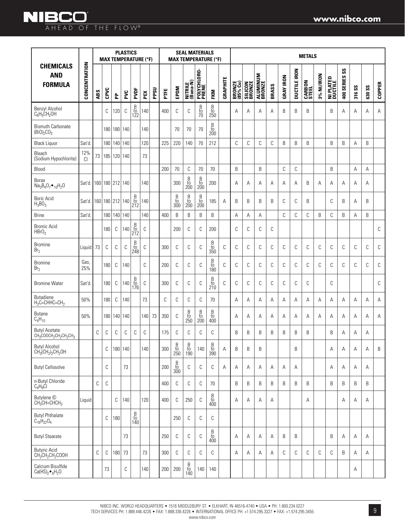|                                                                                                            |               |     | <b>MAX TEMPERATURE (°F)</b> |     | <b>PLASTICS</b> |                                                        |     |      |         | <b>MAX TEMPERATURE (°F)</b>                                        | <b>SEAL MATERIALS</b>                                              |                                                      |                                                                    |          |                    |                           |                    |       |                  |                     | <b>METALS</b>          |            |                      |                  |        |        |               |
|------------------------------------------------------------------------------------------------------------|---------------|-----|-----------------------------|-----|-----------------|--------------------------------------------------------|-----|------|---------|--------------------------------------------------------------------|--------------------------------------------------------------------|------------------------------------------------------|--------------------------------------------------------------------|----------|--------------------|---------------------------|--------------------|-------|------------------|---------------------|------------------------|------------|----------------------|------------------|--------|--------|---------------|
| <b>CHEMICALS</b><br><b>AND</b><br><b>FORMULA</b>                                                           | CONCENTRATION | ABS | CPVC                        | 운   | PVC             | PVDF                                                   | PEX | PPSU | PTE     | EPDM                                                               | NITRILE<br>(Buna-N)                                                | POLYCHLORO-<br>PRENE                                 | <b>FKM</b>                                                         | GRAPHITE | BRONZE<br>(85% Cu) | <b>SILICON<br/>BRONZE</b> | ALUMINUM<br>BRONZE | BRASS | <b>GRAY IRON</b> | <b>DUCTILE IRON</b> | <b>CARBON</b><br>STEEL | 3% NI/IRON | NI PLATED<br>Ductile | SS<br>400 SERIES | 316 SS | 630 SS | <b>COPPER</b> |
| Benzyl Alcohol<br>$C_6H_5CH_2OH$                                                                           |               |     | C                           | 120 | С               | $\begin{array}{c} B \\ \text{to} \\ 122 \end{array}$   | 140 |      | 400     | C                                                                  | C                                                                  | $\frac{B}{70}$                                       | B<br>$\frac{10}{250}$                                              |          | Α                  | А                         | A                  | Α     | B                | B                   | B                      |            | B                    | Α                | Α      | Α      | Α             |
| <b>Bismuth Carbonate</b><br>$(Bi0)_{2}CO_{3}$                                                              |               |     | 180                         | 180 | 140             |                                                        | 140 |      |         | 70                                                                 | 70                                                                 | 70                                                   | B<br>to<br>200                                                     |          |                    |                           |                    |       |                  |                     |                        |            |                      |                  |        |        |               |
| <b>Black Liquor</b>                                                                                        | Sat'd.        |     | 180                         | 140 | 140             |                                                        | 120 |      | 225     | 220                                                                | 140                                                                | 70                                                   | 212                                                                |          | C                  | С                         | C                  | C     | B                | B                   | B                      |            | B                    | B                | Α      | B      |               |
| Bleach<br>(Sodium Hypochlorite)                                                                            | 12%<br>CI.    | 73  | 185                         | 120 | 140             |                                                        | 73  |      |         |                                                                    |                                                                    |                                                      |                                                                    |          |                    |                           |                    |       |                  |                     |                        |            |                      |                  |        |        |               |
| Blood                                                                                                      |               |     |                             |     |                 |                                                        |     |      | 200     | 70                                                                 | $\mathbb C$                                                        | 70                                                   | 70                                                                 |          | B                  |                           | B                  |       | C                | C                   |                        |            | B                    |                  | A      | A      |               |
| <b>Borax</b><br>$Na_3B_4O_7 \bullet_{10}H_2O$                                                              | Sat'd         |     | 160 180 212 140             |     |                 |                                                        | 140 |      |         | 300                                                                | B<br>$\frac{10}{200}$                                              | B<br>$\overline{t}$<br>200                           | 200                                                                |          | А                  | А                         | A                  | Α     | A                | Α                   | B                      | Α          | A                    | Α                | Α      | Α      |               |
| <b>Boric Acid</b><br>$H_3BO_3$                                                                             | Sat'd         |     | 160 180 212 140             |     |                 | $\begin{array}{c} B \\ \text{to} \\ 212 \end{array}$   | 140 |      |         | B<br>to<br>300                                                     | B<br>$\frac{10}{200}$                                              | $\begin{array}{c} B \\ \text{to} \\ 200 \end{array}$ | 185                                                                | A        | B                  | B                         | B                  | B     | C                | C                   | B                      |            | C                    | B                | A      | B      |               |
| <b>Brine</b>                                                                                               | Sat'd         |     | 180                         | 140 | 140             |                                                        | 140 |      | 400     | B                                                                  | B                                                                  | B                                                    | B                                                                  |          | Α                  | Α                         | Α                  |       | C                | C                   | C                      | B          | C                    | B                | А      | B      |               |
| <b>Bromic Acid</b><br>HBrO <sub>3</sub>                                                                    |               |     | 180                         | C   | 140             | $\begin{array}{c} B \\ \text{to} \\ 212 \end{array}$   | С   |      |         | 200                                                                | C                                                                  | С                                                    | 200                                                                |          | C                  | С                         | C                  | C     |                  |                     |                        |            |                      |                  |        |        | C             |
| <b>Bromine</b><br>Br <sub>2</sub>                                                                          | Liguid        | 73  | C                           | С   | С               | $\begin{array}{c} B \\ \text{to} \\ 248 \end{array}$   | С   |      | 300     | C                                                                  | C                                                                  | C                                                    | B<br>$\frac{10}{350}$                                              | C        | C                  | C                         | C                  | C     | C                | C                   | C                      | C          | C                    | С                | С      | C      | C             |
| <b>Bromine</b><br>Br <sub>2</sub>                                                                          | Gas,<br>25%   |     | 180                         | С   | 140             |                                                        | C   |      | 200     | C                                                                  | C                                                                  | C                                                    | B<br>$\frac{10}{180}$                                              | C        | C                  | C                         | C                  | C     | C                | C                   | C                      | C          | C                    | C                | C      | C      | C             |
| <b>Bromine Water</b>                                                                                       | Sat'd         |     | 180                         | С   | 140             | B<br>to<br>176                                         | С   |      | 300     | С                                                                  | C                                                                  | C                                                    | B<br>$\frac{10}{210}$                                              | C        | C                  | C                         | C                  | C     | C                | C                   | C                      |            | C                    |                  |        |        | C             |
| <b>Butadiene</b><br>$H_2C = CHHC = CH_2$                                                                   | 50%           |     | 180                         | C   | 140             |                                                        | 73  |      | C       | C                                                                  | C                                                                  | C                                                    | 70                                                                 |          | A                  | Α                         | Α                  | A     | Α                | Α                   | Α                      | Α          | Α                    | Α                | Α      | A      | Α             |
| Butane<br>$C_4H_{10}$                                                                                      | 50%           |     | 180                         | 140 | 140             |                                                        | 140 | 73   | 350     | C                                                                  | B<br>$\frac{10}{250}$                                              | B<br>$\frac{10}{200}$                                | B<br>$\frac{10}{400}$                                              |          | А                  | А                         | Α                  | Α     | A                | Α                   | Α                      | A          | Α                    | Α                | Α      | Α      | Α             |
| <b>Butyl Acetate</b><br>CH <sub>3</sub> COOCH <sub>2</sub> CH <sub>2</sub> CH <sub>2</sub> CH <sub>3</sub> |               | С   | C                           | С   | С               | С                                                      | C   |      | 175     | C                                                                  | C                                                                  | C                                                    | С                                                                  |          | B                  | B                         | B                  | B     | B                | B                   | B                      |            | B                    | A                | A      | A      |               |
| <b>Butyl Alcohol</b><br>$CH3(CH2)2CH2OH$                                                                   |               |     | С                           |     | 180 140         |                                                        | 140 |      | 300     | $\begin{array}{c} \text{B} \\ \text{to} \\ \text{250} \end{array}$ | $\begin{array}{c} \text{B} \\ \text{to} \\ \text{190} \end{array}$ | 140                                                  | $\begin{array}{c} \text{B} \\ \text{to} \\ \text{390} \end{array}$ | A        | B                  | B                         | B                  |       |                  | B                   |                        |            | Α                    | Α                | Α      | Α      | B             |
| <b>Butyl Cellosolve</b>                                                                                    |               |     | С                           |     | 73              |                                                        |     |      | 200     | $\begin{array}{c} \text{B} \\ \text{to} \\ \text{300} \end{array}$ | С                                                                  | С                                                    | C                                                                  | Α        | Α                  | Α                         | Α                  | Α     | Α                | Α                   |                        |            | Α                    | Α                | Α      | Α      |               |
| n-Butyl Chloride<br>$C_4H_9Cl$                                                                             |               | С   | C                           |     |                 |                                                        |     |      | 400     | C                                                                  | C                                                                  | С                                                    | 70                                                                 |          | B                  | B                         | B                  | B     | B                | B                   | B                      |            | B                    | B                | B      | B      |               |
| Butylene ©<br>$CH_3CH=CHCH_3$                                                                              | Liquid        |     |                             | C   | 140             |                                                        | 120 |      | 400     | C                                                                  | 250                                                                | C                                                    | B<br>$\frac{10}{400}$                                              |          | Α                  | Α                         | Α                  | Α     |                  |                     | Α                      |            |                      | Α                | Α      | Α      |               |
| <b>Butyl Phthalate</b><br>$C_{16}H_{22}O_4$                                                                |               |     | C                           | 180 |                 | $\begin{array}{c} B \\ \mathrm{to} \\ 140 \end{array}$ |     |      |         | 250                                                                | C                                                                  | С                                                    | C                                                                  |          |                    |                           |                    |       |                  |                     |                        |            |                      |                  |        |        |               |
| <b>Butyl Stearate</b>                                                                                      |               |     |                             |     | 73              |                                                        |     |      | 250     | С                                                                  | С                                                                  | C                                                    | B<br>$\frac{10}{400}$                                              |          | Α                  | Α                         | Α                  | Α     | B                | B                   |                        |            | B                    | Α                | Α      | Α      |               |
| <b>Butyric Acid</b><br>$CH_3CH_2CH_2COOH$                                                                  |               | С   | C                           | 180 | 73              |                                                        | 73  |      | 300     | C                                                                  | C                                                                  | С                                                    | C                                                                  |          | Α                  | Α                         | Α                  | Α     | С                | C                   | С                      | С          | С                    | B                | Α      | Α      |               |
| Calcium Bisulfide<br>Ca(HS) <sub>2</sub> $\bullet$ <sub>6</sub> H <sub>2</sub> O                           |               |     | 73                          |     | С               |                                                        | 140 |      | $200\,$ | 200                                                                | $\begin{array}{c} \text{B} \\ \text{to} \\ 140 \end{array}$        | 140                                                  | 140                                                                |          |                    |                           |                    |       |                  |                     |                        |            |                      |                  | Α      |        |               |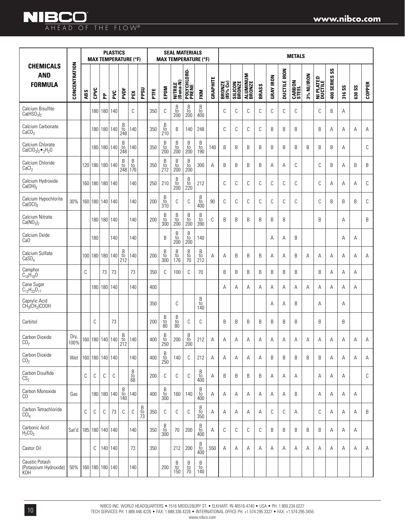### **NIBCO** AHEAD OF THE FLOW®

|                                                               |               |     |      |                       | <b>PLASTICS</b> |                                                      | <b>MAX TEMPERATURE (°F)</b>                  |                |      | <b>MAX TEMPERATURE (°F)</b>                                        | <b>SEAL MATERIALS</b>                                              |                                                                    |                                                                    |          |                           |                           |                           |       |                  |                     | <b>METALS</b>          |            |                                       |                             |        |               |               |
|---------------------------------------------------------------|---------------|-----|------|-----------------------|-----------------|------------------------------------------------------|----------------------------------------------|----------------|------|--------------------------------------------------------------------|--------------------------------------------------------------------|--------------------------------------------------------------------|--------------------------------------------------------------------|----------|---------------------------|---------------------------|---------------------------|-------|------------------|---------------------|------------------------|------------|---------------------------------------|-----------------------------|--------|---------------|---------------|
| <b>CHEMICALS</b><br><b>AND</b><br><b>FORMULA</b>              | CONCENTRATION | ABS | CPVC | 운                     | PVC             | PVDF                                                 | PEX                                          | <b>DPSU</b>    | PTFE | EPDM                                                               | NITRILE<br>(Buna-N)                                                | POLYCHLORO-<br>Prene                                               | FKM                                                                | GRAPHITE | <b>BRONZE</b><br>(85% Cu) | <b>SILICON<br/>BRONZE</b> | <b>ALUMINUM</b><br>BRONZE | BRASS | <b>GRAY IRON</b> | <b>DUCTILE IRON</b> | <b>CARBON</b><br>STEEL | 3% NI/IRON | PLATED<br><b>NI PLATEI</b><br>Ductile | $\mathsf{ss}$<br>400 SERIES | 316 SS | <b>G30 SS</b> | <b>COPPER</b> |
| Calcium Bisulfite<br>Ca(HSO <sub>3</sub> ) <sub>2</sub>       |               |     |      | 180 180 140           |                 |                                                      | C                                            |                | 350  | C                                                                  | $_{\rm to}^{\rm B}$<br>200                                         | $\begin{array}{c} \text{B} \\ \text{to} \\ \text{200} \end{array}$ | $_{\rm to}^{\rm B}$<br>400                                         |          | C                         | C                         | С                         | C     | C                | C                   | C                      |            | С                                     | B                           | Α      |               |               |
| Calcium Carbonate<br>CaCO <sub>3</sub>                        |               |     |      | 180   180   140       |                 | B<br>to<br>248                                       | 140                                          |                | 350  | $_{\rm to}^{\rm B}$<br>210                                         | B                                                                  | 140                                                                | 248                                                                |          | С                         | C                         | С                         | C     | B                | B                   | B                      |            | B                                     | Α                           | Α      | Α             | Α             |
| Calcium Chlorate<br>$Ca(C10_3)_2 \bullet _2H_2O$              |               |     |      | 180 180 140           |                 | B<br>$\frac{10}{248}$                                | 140                                          |                | 350  | $rac{B}{10}$<br>200                                                | $\begin{array}{c} \text{B} \\ \text{to} \\ \text{200} \end{array}$ | $\begin{array}{c} \text{B} \\ \text{to} \\ \text{200} \end{array}$ | $\begin{array}{c} B \\ \text{to} \\ 190 \end{array}$               | 140      | B                         | B                         | B                         | B     | B                | B                   | B                      | B          | B                                     | B                           | Α      |               | C             |
| Calcium Chloride<br>CaCl <sub>2</sub>                         |               |     |      | 120 180 180 140       |                 | B<br>to<br>248                                       | $_{\rm to}^{\rm B}$<br>176                   |                | 350  | $_{\rm to}^{\rm B}$<br>212                                         | $\begin{array}{c} \text{B} \\ \text{to} \\ \text{200} \end{array}$ | $\begin{array}{c} B \\ \mathrm{to} \\ 200 \end{array}$             | 300                                                                | Α        | B                         | B                         | B                         | B     | Α                | Α                   | С                      |            | С                                     | B                           | Α      | B             | B             |
| Calcium Hydroxide<br>$Ca(OH)_2$                               |               |     |      | 160 180 180 140       |                 |                                                      | 140                                          |                | 250  | 210                                                                | $_{\rm to}^{\rm B}$<br>200                                         | $\begin{array}{c} B \\ \mathrm{to} \\ 220 \end{array}$             | 212                                                                |          | C                         | C                         | С                         | C     | C                | C                   | C                      |            | С                                     | Α                           | Α      | Α             | C             |
| Calcium Hypochlorite<br>Ca(OCl) <sub>2</sub>                  | 30%           |     |      | 160   180   140   140 |                 |                                                      | 140                                          |                | 200  | $\frac{B}{t0}$<br>310                                              | С                                                                  | C                                                                  | $\begin{array}{c} B \\ \mathrm{to} \\ 400 \end{array}$             | 90       | C                         | C                         | С                         | C     | C                | C                   | С                      |            | С                                     | B                           | B      | B             | C             |
| Calcium Nitrate<br>Ca(NO <sub>3</sub> ) <sub>2</sub>          |               |     |      | 180 180 140           |                 |                                                      | 140                                          |                | 200  | $\begin{array}{c} B \\ \mathrm{to} \\ 300 \end{array}$             | $\begin{array}{c} \text{B} \\ \text{to} \\ \text{200} \end{array}$ | $\begin{array}{c} \text{B} \\ \text{to} \\ \text{200} \end{array}$ | $\begin{array}{c} B \\ \mathrm{to} \\ 390 \end{array}$             | C        | B                         | B                         | B                         | B     | B                | B                   |                        |            | B                                     |                             | A      |               | B             |
| Calcium Oxide<br>Ca <sub>O</sub>                              |               |     | 180  |                       | 140             |                                                      | 140                                          |                |      | B                                                                  | $\begin{array}{c} \text{B} \\ \text{to} \\ \text{200} \end{array}$ | $\begin{array}{c} B \\ \text{to} \\ 200 \end{array}$               | 140                                                                |          |                           |                           |                           |       | Α                | Α                   | B                      |            |                                       |                             | Α      | Α             |               |
| Calcium Sulfate<br>CaSO <sub>4</sub>                          |               |     |      | 100 180 180 140       |                 | $\begin{array}{c} B \\ \text{to} \\ 212 \end{array}$ | 140                                          |                | 200  | $\frac{B}{t0}$<br>300                                              | $\begin{array}{c} B \\ \mathrm{to} \\ 176 \end{array}$             | $\begin{array}{c} B\\to\\70 \end{array}$                           | $\begin{array}{c} B \\ \rm{to} \\ 212 \end{array}$                 | Α        | Α                         | B                         | B                         | B     | Α                | Α                   | B                      | Α          | Α                                     | Α                           | Α      | Α             | Α             |
| Camphor<br>$C_{10}H_{16}O$                                    |               | C   |      | 73                    | 73              |                                                      | 73                                           |                | 350  | C                                                                  | 100                                                                | C                                                                  | 70                                                                 |          | B                         | B                         | Β                         | B     | B                | B                   | B                      |            | B                                     | Α                           | Α      | Α             |               |
| Cane Sugar<br>C <sub>12</sub> H <sub>22</sub> O <sub>11</sub> |               |     |      | 180 180 140           |                 |                                                      | 140                                          |                | 400  |                                                                    |                                                                    |                                                                    |                                                                    |          | A                         | Α                         | Α                         | Α     | Α                | Α                   | Α                      | Α          | Α                                     | Α                           | Α      | Α             |               |
| Caprylic Acid<br>CH <sub>3</sub> (CH <sub>2</sub> )COOH       |               |     |      |                       |                 |                                                      |                                              |                | 350  |                                                                    | C                                                                  |                                                                    | B<br>to<br>140                                                     |          |                           |                           |                           |       | Α                | Α                   | B                      |            | Α                                     |                             | Α      |               |               |
| Carbitol                                                      |               |     | C    |                       | 73              |                                                      |                                              |                | 200  | $_{\rm to}^{\rm B}$<br>80                                          | $\begin{array}{c} B \\ \text{to} \\ \text{80} \end{array}$         | С                                                                  | С                                                                  |          | B                         | B                         | B                         | B     | B                | B                   | B                      |            | B                                     |                             | B      |               |               |
| Carbon Dioxide<br>CO <sub>2</sub>                             | Dry,<br>100%  |     |      | 160   180   140   140 |                 | B<br>to<br>212                                       | 140                                          |                | 400  | B<br>to<br>250                                                     | 200                                                                | $_{\rm to}^{\rm B}$<br>200                                         | 212                                                                | А        | Α                         | Α                         | Α                         | Α     | Α                | Α                   | Α                      | Α          | Α                                     | Α                           | Α      | Α             | Α             |
| Carbon Dioxide<br>CO <sub>2</sub>                             | Wet           |     |      | 160 180 140 140       |                 |                                                      | 140                                          |                | 400  | $\begin{array}{c} \text{B} \\ \text{to} \\ \text{250} \end{array}$ | 140                                                                | C                                                                  | 212                                                                | Α        | А                         | Α                         | Α                         | A     | B                | B                   | B                      | B          | B                                     | Α                           | А      | Α             | Α             |
| Carbon Disulfide<br>CS <sub>2</sub>                           |               | С   | C    | C                     | C               |                                                      | $\begin{array}{c} B \\ to \\ 68 \end{array}$ |                | 200  | C                                                                  | C                                                                  | C                                                                  | $_{\rm to}^{\rm B}$<br>400                                         | Α        | B                         | B                         | B                         | B     | Α                | Α                   | Α                      |            | Α                                     | Α                           | Α      |               | C             |
| Carbon Monoxide<br>CO                                         | Gas           |     |      | 180 180 140           |                 | $_{\rm to}^{\rm B}$<br>140                           | 140                                          |                | 400  | $_{\rm to}^{\rm B}$<br>300                                         | 160                                                                | 140                                                                | B<br>to<br>400                                                     | Α        | Α                         | Α                         | Α                         | A     | Α                | Α                   | B                      |            | Α                                     | A                           | Α      | Α             |               |
| Carbon Tetrachloride<br>CCI <sub>4</sub>                      |               | С   | C    | C                     | 73              | C                                                    | C                                            | $\frac{B}{10}$ | 350  | C                                                                  | С                                                                  | C                                                                  | $\begin{array}{c} \text{B} \\ \text{to} \\ \text{350} \end{array}$ | Α        | Α                         | A                         | Α                         | Α     | C                | C                   | Α                      |            | С                                     | A                           | Α      | A             | B             |
| Carbonic Acid<br>$H_2CO_3$                                    | Sat'd.        |     |      | 185 180 140 140       |                 |                                                      | 140                                          |                | 350  | $rac{B}{10}$<br>300                                                | 70                                                                 | 200                                                                | $rac{B}{10}$<br>400                                                | Α        | C                         | C                         | С                         | C     | B                | B                   | B                      | B          | B                                     | Α                           | Α      | Α             |               |
| Castor Oil                                                    |               |     | C    | 140 140               |                 |                                                      | 73                                           |                | 350  |                                                                    | 212                                                                | 200                                                                | $\begin{array}{c} \text{B} \\ \text{to} \\ \text{400} \end{array}$ | 550      | Α                         | Α                         | Α                         | A     | Α                | Α                   | Α                      | Α          | Α                                     | Α                           | Α      | Α             | Α             |
| Caustic Potash<br>(Potassium Hydroxide)<br>KOH                | 50%           |     |      | 160 180 180 140       |                 |                                                      | 140                                          |                |      | 200                                                                | B<br>$\frac{10}{150}$                                              | B<br>$\frac{10}{70}$                                               | B<br>$\overline{10}$<br>$140$                                      |          |                           |                           |                           |       |                  |                     |                        |            |                                       |                             |        |               |               |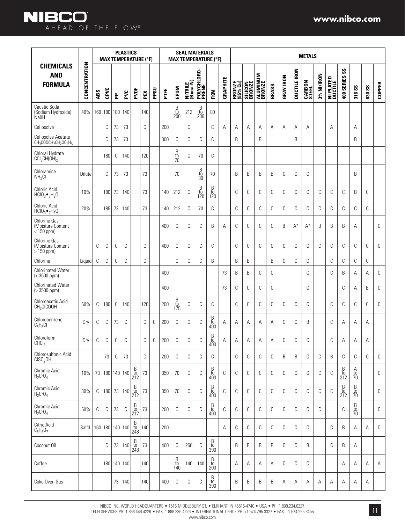|                                                                                                         |               | <b>PLASTICS</b><br><b>MAX TEMPERATURE (°F)</b> |                 |     |             |                                                      |     |      |     |                                                      | <b>SEAL MATERIALS</b><br><b>MAX TEMPERATURE (°F)</b> |                                                      |                                                        |          |                    |                          |                    |       |                  | <b>METALS</b>       |                        |            |                      |                                                        |                            |        |               |
|---------------------------------------------------------------------------------------------------------|---------------|------------------------------------------------|-----------------|-----|-------------|------------------------------------------------------|-----|------|-----|------------------------------------------------------|------------------------------------------------------|------------------------------------------------------|--------------------------------------------------------|----------|--------------------|--------------------------|--------------------|-------|------------------|---------------------|------------------------|------------|----------------------|--------------------------------------------------------|----------------------------|--------|---------------|
| <b>CHEMICALS</b><br><b>AND</b><br><b>FORMULA</b>                                                        | CONCENTRATION | ABS                                            | CPVC            | 운   | PVC         | PVDF                                                 | PEX | PPSU | PTE | EPDM                                                 | NITRILE<br>(Buna-N)                                  | POLYCHLORO-<br>PRENE                                 | FKM                                                    | GRAPHITE | BRONZE<br>(85% Cu) | <b>SILICON</b><br>BRONZE | ALUMINUM<br>BRONZE | BRASS | <b>GRAY IRON</b> | <b>DUCTILE IRON</b> | <b>CARBON</b><br>STEEL | 3% NI/IRON | NI PLATED<br>Ductile | SS<br>400 SERIES                                       | 316 <sub>SS</sub>          | 630 SS | <b>COPPER</b> |
| Caustic Soda<br>(Sodium Hydroxide)<br>Na0H                                                              | 40%           |                                                | 160 180         | 180 | 140         |                                                      | 140 |      |     | B<br>to<br>200                                       | 212                                                  | $_{\rm to}^{\rm B}$<br>200                           | 80                                                     |          |                    |                          |                    |       |                  |                     |                        |            |                      |                                                        |                            |        |               |
| Cellosolve                                                                                              |               |                                                | $\mathbb C$     | 73  | 73          |                                                      | С   |      | 200 |                                                      | $\mathbb C$                                          |                                                      | С                                                      | Α        | А                  | Α                        | Α                  | Α     | A                | Α                   | Α                      |            | Α                    |                                                        | Α                          |        |               |
| Cellosolve Acetate<br>CH <sub>3</sub> COOCH <sub>2</sub> CH <sub>2</sub> OC <sub>2</sub> H <sub>5</sub> |               |                                                | C               | 73  | 73          |                                                      |     |      | 300 | C                                                    | C                                                    | C                                                    | С                                                      |          | B                  |                          | B                  |       |                  | B                   |                        |            |                      |                                                        | B                          |        |               |
| Chloral Hydrate<br>CCI <sub>3</sub> CH(OH) <sub>2</sub>                                                 |               |                                                | 180             | C   | 140         |                                                      | 120 |      |     | B<br>to<br>70                                        | C                                                    | 70                                                   | С                                                      |          |                    |                          |                    |       |                  |                     |                        |            |                      |                                                        |                            |        |               |
| Chloramine<br>NH <sub>2</sub> Cl                                                                        | Dilute        |                                                | C               | 73  | 73          |                                                      | 73  |      |     | 70                                                   |                                                      | $\begin{array}{c} B \\ to \\ 80 \end{array}$         | 70                                                     |          | B                  | B                        | B                  | B     | C                | C                   | C                      |            |                      |                                                        | B                          |        |               |
| Chloric Acid<br>$HGIO3•7H2O$                                                                            | 10%           |                                                | 180             | 73  | 140         |                                                      | 73  |      | 140 | 212                                                  | C                                                    | $\begin{array}{c} B \\ \text{to} \\ 120 \end{array}$ | $\begin{array}{c} B \\ \textrm{to} \\ 120 \end{array}$ |          | C                  | С                        | C                  | C     | C                | C                   | C                      | C          | C                    | C                                                      | B                          | C      |               |
| Chloric Acid<br>$HCIO3$ $\bullet$ <sub>7</sub> H <sub>2</sub> O                                         | 20%           |                                                | 185             | 73  | 140         |                                                      | 73  |      | 140 | 212                                                  | C                                                    | 70                                                   | С                                                      |          | C                  | С                        | C                  | C     | C                | С                   | C                      | C          | C                    | C                                                      | С                          | C      |               |
| Chlorine Gas<br>(Moisture Content<br>$< 150$ ppm)                                                       |               |                                                |                 |     |             |                                                      |     |      | 400 | C                                                    | С                                                    | C                                                    | B                                                      | А        | C                  | C                        | C                  | C     | B                | $A^*$               | $A^*$                  | B          | B                    | B                                                      | A                          |        | C             |
| <b>Chlorine Gas</b><br>(Moisture Content<br>$> 150$ ppm)                                                |               | С                                              | С               | С   | C           |                                                      | C   |      | 400 | C                                                    | C                                                    | С                                                    | С                                                      |          | C                  | C                        | C                  | C     | C                | C                   | C                      | С          | С                    | С                                                      | С                          | C      | C             |
| Chlorine                                                                                                | Liquid        | С                                              | C               | C   | C           |                                                      | C   |      |     | C                                                    | C                                                    | С                                                    | B                                                      |          | B                  | B                        |                    | B     | С                | С                   | С                      |            | С                    | С                                                      | С                          | С      |               |
| <b>Chlorinated Water</b><br>$(< 3500$ ppm)                                                              |               |                                                |                 |     |             |                                                      |     |      | 400 |                                                      |                                                      |                                                      |                                                        | 73       | B                  | B                        | C                  | C     |                  |                     | C                      |            | C                    | B                                                      | A                          | Α      | С             |
| <b>Chlorinated Water</b><br>$( > 3500$ ppm)                                                             |               |                                                |                 |     |             |                                                      |     |      | 400 |                                                      |                                                      |                                                      |                                                        | 73       | C                  | C                        | C                  | С     |                  |                     | С                      |            |                      | С                                                      | Α                          | B      | C             |
| Chloroacetic Acid<br>CH <sub>2</sub> CICOOH                                                             | 50%           | С                                              | 180             | C   | 140         |                                                      | 120 |      | 200 | $\begin{array}{c} B \\ \text{to} \\ 175 \end{array}$ | C                                                    | С                                                    | С                                                      |          | С                  | С                        | C                  | C     | C                | C                   | C                      |            | С                    | С                                                      | С                          | С      | С             |
| Chlorobenzene<br>$C_6H_5Cl$                                                                             | Dry           | С                                              | С               | 73  | C           |                                                      | С   | С    | 200 | C                                                    | C                                                    | C                                                    | B<br>to<br>400                                         | Α        | Α                  | Α                        | Α                  | Α     | C                | C                   | B                      |            | С                    | Α                                                      | Α                          | A      |               |
| Chloroform<br>CHCI <sub>3</sub>                                                                         | Dry           | С                                              | С               | С   | С           |                                                      | С   | С    | 200 | C                                                    | С                                                    | С                                                    | B<br>to<br>400                                         | Α        | Α                  | Α                        | Α                  | Α     | C                | С                   | С                      |            | С                    | Α                                                      | Α                          | Α      |               |
| Chlorosulfonic Acid<br>CISO <sub>2</sub> OH                                                             |               |                                                | 73              | C   | 73          |                                                      | С   |      | 200 | С                                                    | С                                                    | С                                                    | С                                                      |          | С                  | C                        | C                  | C     | B                | B                   | C                      | C          | B                    | С                                                      | С                          | С      | С             |
| Chromic Acid<br>$H_2CrO_4$                                                                              | 10%           | 73                                             |                 |     | 180 140 140 | $\begin{array}{c} B \\ \text{to} \\ 212 \end{array}$ | 73  |      | 350 | 70                                                   | С                                                    | C                                                    | B<br>$\frac{10}{400}$                                  | C        | С                  | C                        | C                  | C     | C                | C                   | C                      | C          | C                    | $\begin{array}{c} B \\ \text{to} \\ 212 \end{array}$   | $A$<br>$70$<br>$70$        |        | С             |
| Chromic Acid<br>$H_2$ CrO <sub>4</sub>                                                                  | 30%           | C                                              | 180             | 73  | 140         | $\begin{array}{c} B \\ \text{to} \\ 212 \end{array}$ | 73  |      | 350 | $70$                                                 | С                                                    | С                                                    | $_{\rm to}^{\rm B}$<br>400                             | C        | C                  | С                        | $\mathbb C$        | C     | C                | C                   | C                      | С          | C                    | $\begin{array}{c} B \\ \textrm{to} \\ 212 \end{array}$ | B<br>to<br>$\overline{70}$ |        | С             |
| Chromic Acid<br>$H_2$ CrO <sub>4</sub>                                                                  | 50%           | С                                              | C               | 73  | С           | $\begin{array}{c} B \\ \text{to} \\ 212 \end{array}$ | 73  |      | 200 | С                                                    | C                                                    | C                                                    | B<br>$\frac{10}{400}$                                  | C        | C                  | С                        | C                  | C     | C                | C                   | C                      | С          |                      | С                                                      | B<br>$\frac{10}{70}$       |        | С             |
| Citric Acid<br>$C_6H_8O_7$                                                                              | Sat'd         |                                                | 160 180 140 140 |     |             | $\frac{B}{10}$<br>248                                | 140 |      | 200 |                                                      |                                                      |                                                      |                                                        | Α        | C                  | C                        | C                  | C     | C                | C                   | C                      |            | С                    | B                                                      | Α                          | Α      | C             |
| Coconut Oil                                                                                             |               |                                                | C               | 73  | 140         | $_{\rm to}^{\rm B}$<br>248                           | 73  |      | 400 | C                                                    | 250                                                  | C                                                    | B<br>to<br>390                                         |          | B                  | B                        | B                  | B     | C                | C                   | B                      |            | С                    | B                                                      | Α                          |        |               |
| Coffee                                                                                                  |               |                                                |                 |     | 180 140 140 |                                                      | 140 |      |     | B<br>to<br>140                                       | 140                                                  | 140                                                  | B<br>to<br>200                                         |          | Α                  | Α                        | Α                  | Α     | С                | С                   | C                      |            |                      | Α                                                      | Α                          | Α      | Α             |
| Coke Oven Gas                                                                                           |               |                                                |                 | 73  | 140         |                                                      | 140 |      | 400 | С                                                    | С                                                    | С                                                    | $\begin{array}{c} B \\ \mathrm{to} \\ 390 \end{array}$ |          | B                  | B                        | B                  | B     | Α                | Α                   | Α                      | Α          | Α                    | Α                                                      | Α                          | Α      |               |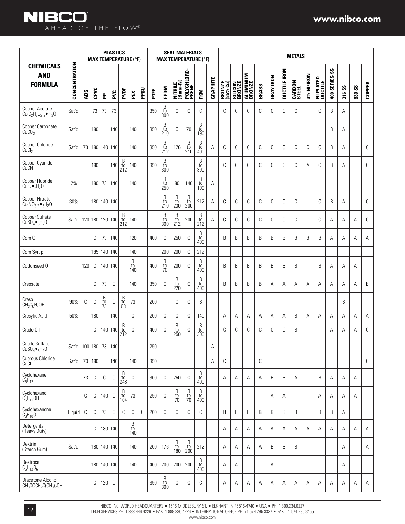### **www.nibco.com**

# AHEAD OF THE FLOW®

|                                                                   |                       |             |             |                 | <b>PLASTICS</b> |                                                      | <b>MAX TEMPERATURE (°F)</b>                          |      |      |                                                                    | <b>SEAL MATERIALS</b><br><b>MAX TEMPERATURE (°F)</b>               |                                                                    |                                                                    |          |                    |                          |                    |       |                  |                     | <b>METALS</b>          |            |                             |                                       |        |               |               |
|-------------------------------------------------------------------|-----------------------|-------------|-------------|-----------------|-----------------|------------------------------------------------------|------------------------------------------------------|------|------|--------------------------------------------------------------------|--------------------------------------------------------------------|--------------------------------------------------------------------|--------------------------------------------------------------------|----------|--------------------|--------------------------|--------------------|-------|------------------|---------------------|------------------------|------------|-----------------------------|---------------------------------------|--------|---------------|---------------|
| <b>CHEMICALS</b><br><b>AND</b><br><b>FORMULA</b>                  | CONCENTRATION         | ABS         | CPVC        | 운               | PVC             | PVDF                                                 | PEX                                                  | PPSU | PTFE | EPDM                                                               | NITRILE<br>(Buna-N)                                                | POLYCHLORO-<br>PRENE                                               | <b>FKM</b>                                                         | GRAPHITE | BRONZE<br>(85% Cu) | <b>SILICON</b><br>BRONZE | ALUMINUM<br>BRONZE | BRASS | <b>GRAY IRON</b> | <b>DUCTILE IRON</b> | <b>CARBON</b><br>STEEL | 3% NI/IRON | <b>NI PLATED</b><br>Ductile | $\mathsf{S} \mathsf{S}$<br>400 SERIES | 316 SS | <b>630 SS</b> | <b>COPPER</b> |
| Copper Acetate<br>$Cu(C_2H_3O_2)_2 \bullet H_2O$                  | Sat'd                 |             | 73          | 73              | 73              |                                                      |                                                      |      | 350  | $\begin{array}{c} \text{B} \\ \text{to} \\ \text{300} \end{array}$ | С                                                                  | C                                                                  | С                                                                  |          | C                  | C                        | С                  | C     | C                | C                   | С                      |            | C                           | B                                     | Α      |               |               |
| Copper Carbonate<br>CuCO <sub>3</sub>                             | Sat'd                 |             | 180         |                 | 140             |                                                      | 140                                                  |      | 350  | $_{\rm to}^{\rm B}$<br>210                                         | С                                                                  | 70                                                                 | $_{\rm to}^{\rm B}$<br>190                                         |          |                    |                          |                    |       |                  |                     |                        |            |                             | B                                     | Α      |               |               |
| Copper Chloride<br>CuCl <sub>2</sub>                              | Sat'd                 | 73          |             | 180 140 140     |                 |                                                      | 140                                                  |      | 350  | B<br>$\frac{10}{212}$                                              | 176                                                                | B<br>to<br>210                                                     | B<br>to<br>400                                                     | A        | C                  | C                        | C                  | C     | C                | C                   | С                      | C          | C                           | B                                     | Α      |               | C             |
| Copper Cyanide<br>CuCN                                            |                       |             | 180         |                 | 140             | $\begin{array}{c} B \\ \text{to} \\ 212 \end{array}$ | 140                                                  |      | 350  | B<br>to<br>300                                                     |                                                                    |                                                                    | B<br>to<br>390                                                     |          | C                  | C                        | C                  | C     | C                | C                   | С                      | A          | C                           | B                                     | A      |               | C             |
| Copper Fluoride<br>$\text{CuF}_2 \bullet_2 \text{H}_2 \text{O}$   | 2%                    |             | 180         |                 | 73 140          |                                                      | 140                                                  |      |      | B<br>to<br>250                                                     | 80                                                                 | 140                                                                | $\begin{array}{c} B \\ \text{to} \\ 190 \end{array}$               | А        |                    |                          |                    |       |                  |                     |                        |            |                             |                                       |        |               |               |
| Copper Nitrate<br>$Cu(NO3)2 •3H2O$                                | 30%                   |             |             | 180 140 140     |                 |                                                      |                                                      |      |      | $\begin{array}{c} \text{B} \\ \text{to} \\ \text{210} \end{array}$ | $\begin{array}{c} \text{B} \\ \text{to} \\ \text{230} \end{array}$ | $\begin{array}{c} \text{B} \\ \text{to} \\ \text{200} \end{array}$ | 212                                                                | A        | C                  | C                        | C                  | C     | C                | C                   | С                      |            | C                           | B                                     | A      |               | C             |
| Copper Sulfate<br>$CuSO4$ $\bullet$ <sub>5</sub> H <sub>2</sub> O | Sat'd                 |             |             | 120 180 120 140 |                 | $\frac{B}{t0}$<br>212                                | 140                                                  |      |      | $\overline{B}$<br>$\frac{10}{300}$                                 | $\begin{array}{c} B \\ \rm{to} \\ 212 \end{array}$                 | 200                                                                | $\begin{array}{c} B \\ \textrm{to} \\ 212 \end{array}$             | Α        | C                  | C                        | С                  | C     | С                | C                   | С                      |            | C                           | Α                                     | Α      | Α             | C             |
| Corn Oil                                                          |                       |             | C           |                 | 73   140        |                                                      | 120                                                  |      | 400  | C                                                                  | 250                                                                | C                                                                  | $\begin{array}{c} \text{B} \\ \text{to} \\ \text{400} \end{array}$ |          | B                  | B                        | B                  | B     | B                | B                   | B                      | B          | B                           | Α                                     | A      | Α             | A             |
| Corn Syrup                                                        |                       |             | 185         | 140 140         |                 |                                                      | 140                                                  |      |      | 200                                                                | 200                                                                | C                                                                  | 212                                                                |          |                    |                          |                    |       |                  |                     |                        |            |                             |                                       |        |               |               |
| Cottonseed Oil                                                    |                       | 120         | C           | 140 140         |                 |                                                      | $\begin{array}{c} B \\ \text{to} \\ 140 \end{array}$ |      | 400  | $\frac{B}{70}$                                                     | 200                                                                | C                                                                  | $\begin{array}{c} B \\ \mathrm{to} \\ 400 \end{array}$             |          | B                  | B                        | B                  | B     | B                | B                   | B                      |            | B                           | А                                     | Α      | Α             |               |
| Creosote                                                          |                       |             | C           | 73              | C               |                                                      | 140                                                  |      | 350  | C                                                                  | $_{\rm to}^{\rm B}$<br>220                                         | C                                                                  | $_{\rm to}^{\rm B}$<br>400                                         |          | B                  | B                        | B                  | B     | Α                | Α                   | Α                      | Α          | Α                           | Α                                     | Α      | Α             | B             |
| Cresol<br>$CH_3C_6H_4OH$                                          | 90%                   | С           | C           | $\frac{B}{73}$  | $\mathbb C$     | $\begin{array}{c} B \\ \text{to} \\ 68 \end{array}$  | 73                                                   |      | 200  |                                                                    | С                                                                  | C                                                                  | B                                                                  |          |                    |                          |                    |       |                  |                     |                        |            |                             |                                       | B      |               |               |
| Cresylic Acid                                                     | 50%                   |             | 180         |                 | 140             |                                                      | C                                                    |      | 200  | C                                                                  | С                                                                  | C                                                                  | 140                                                                |          | A                  | Α                        | Α                  | Α     | Α                | Α                   | B                      | Α          | A                           | Α                                     | Α      | Α             | A             |
| Crude Oil                                                         |                       |             | C           |                 | 140   140       | B<br>to<br>212                                       | С                                                    |      | 400  | C                                                                  | B<br>to<br>250                                                     | C                                                                  | B<br>to<br>300                                                     |          | C                  | C                        | C                  | C     | C                | C                   | B                      |            |                             | Α                                     | A      | Α             | C             |
| Cuprlc Sulfate<br>$CuSO4$ $\bullet$ <sub>5</sub> H <sub>2</sub> O | Sat'd. 100 180 73 140 |             |             |                 |                 |                                                      |                                                      |      | 250  |                                                                    |                                                                    |                                                                    |                                                                    | Α        |                    |                          |                    |       |                  |                     |                        |            |                             |                                       |        |               |               |
| Cuprous Chloride<br>CuCl                                          | Sat'd. 70   180       |             |             |                 | 140             |                                                      | 140                                                  |      | 350  |                                                                    |                                                                    |                                                                    |                                                                    | A        | C                  |                          |                    | C     |                  |                     |                        |            |                             |                                       |        |               | C             |
| Cyclohexane<br>$C_6H_{12}$                                        |                       | 73          | C           | C               | C               | $_{\rm to}^{\rm B}$<br>248                           | $\mathbb C$                                          |      | 300  | C                                                                  | 250                                                                | C                                                                  | B<br>to<br>400                                                     |          | A                  | A                        | Α                  | A     | B                | B                   | Α                      |            | B                           | A                                     | A      | A             |               |
| Cyclohexanol<br>$C_6H_{11}OH$                                     |                       | $\mathbb C$ | C           | 140             | $\mathbb C$     | B<br>to<br>104                                       | 73                                                   |      | 250  | C                                                                  | $\frac{B}{10}$                                                     | B<br>$\frac{10}{70}$                                               | B<br>to<br>400                                                     |          |                    |                          |                    |       | Α                | Α                   |                        |            | Α                           | Α                                     | Α      | A             |               |
| Cyclohexanone<br>$C_6H_{10}O$                                     | Liquid                | $\mathbb C$ | $\mathbb C$ | 73              | $\mathbb C$     | C                                                    | C                                                    | C    | 200  | C                                                                  | C                                                                  | C                                                                  | С                                                                  |          | B                  | B                        | B                  | B     | B                | B                   | B                      |            | B                           | B                                     | Α      |               |               |
| Detergents<br>(Heavy Duty)                                        |                       |             | C           |                 | 180 140         |                                                      | B<br>$\frac{10}{140}$                                |      |      |                                                                    |                                                                    |                                                                    |                                                                    |          | Α                  | Α                        | Α                  | Α     | Α                | Α                   | Α                      | A          | Α                           | Α                                     | Α      | A             | Α             |
| Dextrin<br>(Starch Gum)                                           | Sat'd.                |             |             | 180 140 140     |                 |                                                      | 140                                                  |      | 200  | 176                                                                | $\begin{array}{c} \text{B} \\ \text{to} \\ \text{180} \end{array}$ | $\begin{array}{c} \text{B} \\ \text{to} \\ \text{200} \end{array}$ | 212                                                                |          | А                  | Α                        | Α                  | Α     | B                | B                   | B                      |            |                             |                                       | Α      |               | Α             |
| Dextrose<br>$C_6H_{12}O_6$                                        |                       |             |             | 180 140 140     |                 |                                                      | 140                                                  |      | 400  | 200                                                                | 200                                                                | 200                                                                | $_{\rm to}^{\rm B}$<br>400                                         |          | A                  | A                        |                    |       | Α                |                     |                        |            |                             |                                       | Α      |               |               |
| Diacetone Alcohol<br>$CH3COCH2C(CH3)2OH$                          |                       |             | С           | 120             | C               |                                                      |                                                      |      | 350  | B<br>$\frac{10}{300}$                                              | C                                                                  | C                                                                  | С                                                                  |          | Α                  | Α                        | Α                  | Α     | Α                | Α                   | Α                      | Α          | Α                           | Α                                     | Α      | Α             | А             |

NIBCO INC. WORLD HEADQUARTERS • 1516 MIDDLEBURY ST. • ELKHART, IN 46516-4740 • USA • PH: 1.800.234.0227 TECH SERVICES PH: 1.888.446.4226 • FAX: 1.888.336.4226 • INTERNATIONAL OFFICE PH: +1.574.295.3327 • FAX: +1.574.295.3455 www.nibco.com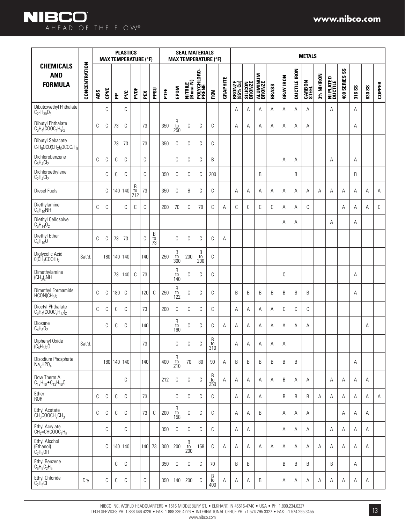### **NIBCO** AHEAD OF THE FLOW®

|                                                                                                     |               | <b>PLASTICS</b><br><b>MAX TEMPERATURE (°F)</b> |      |             |     |                                                      |     |               |     |                            |                       | <b>SEAL MATERIALS</b><br><b>MAX TEMPERATURE (°F)</b> |                             |          |                    |                          |                    |       |                  |                     | <b>METALS</b>          |            |                      |               |        |               |               |
|-----------------------------------------------------------------------------------------------------|---------------|------------------------------------------------|------|-------------|-----|------------------------------------------------------|-----|---------------|-----|----------------------------|-----------------------|------------------------------------------------------|-----------------------------|----------|--------------------|--------------------------|--------------------|-------|------------------|---------------------|------------------------|------------|----------------------|---------------|--------|---------------|---------------|
| <b>CHEMICALS</b><br><b>AND</b><br><b>FORMULA</b>                                                    | CONCENTRATION | ABS                                            | CPVC | 운           | PVC | PVDF                                                 | PEX | PPSU          | PTE | EPDM                       | NITRILE<br>(Buna-N)   | POLYCHLORO-<br>PRENE                                 | FKM                         | GRAPHITE | BRONZE<br>(85% Cu) | <b>SILICON</b><br>BRONZE | ALUMINUM<br>BRONZE | BRASS | <b>GRAY IRON</b> | <b>DUCTILE IRON</b> | <b>CARBON</b><br>STEEL | 3% NI/IRON | NI PLATED<br>Ductile | 400 SERIES SS | 316 SS | <b>630 SS</b> | <b>COPPER</b> |
| Dibutoxyethyl Phthalate<br>$C_{20}H_{30}O_6$                                                        |               |                                                | C    |             | C   |                                                      |     |               |     |                            |                       |                                                      |                             |          | Α                  | А                        | A                  | A     | Α                | Α                   | Α                      |            | A                    |               | Α      |               |               |
| Dibutyl Phthalate<br>C <sub>6</sub> H <sub>4</sub> (COOC <sub>4</sub> H <sub>9</sub> ) <sub>2</sub> |               | C                                              | C    | 73          | C   |                                                      | 73  |               | 350 | $_{\rm to}^{\rm B}$<br>250 | $\mathbb C$           | C                                                    | C                           |          | А                  | А                        | A                  | Α     | A                | Α                   | Α                      |            |                      |               | A      |               |               |
| Dibutyl Sebacate<br>$C_4H_9OCO(CH_2)_8OCOC_4H_9$                                                    |               |                                                |      | 73          | 73  |                                                      | 73  |               | 350 | C                          | C                     | C                                                    | C                           |          |                    |                          |                    |       |                  |                     |                        |            |                      |               |        |               |               |
| Dichlorobenzene<br>$\rm{C_6H_4Cl_2}$                                                                |               | C                                              | С    | С           | С   |                                                      | C   |               |     | C                          | C                     | C                                                    | B                           |          |                    |                          |                    |       | A                | Α                   |                        |            | A                    |               | Α      |               |               |
| Dichloroethylene<br>$C_2H_4Cl_2$                                                                    |               |                                                | C    | C           | С   |                                                      | C   |               | 350 | C                          | C                     | C                                                    | 200                         |          |                    |                          | B                  |       |                  | B                   |                        |            |                      |               | B      |               |               |
| <b>Diesel Fuels</b>                                                                                 |               |                                                | C    | 140         | 140 | $\begin{array}{c} B \\ \text{to} \\ 212 \end{array}$ | 73  |               | 350 | C                          | B                     | C                                                    | C                           |          | А                  | Α                        | Α                  | Α     | Α                | Α                   | Α                      | А          | A                    | Α             | Α      | Α             | Α             |
| Diethylamine<br>$C_4H_{10}NH$                                                                       |               | С                                              | C    |             | C   | C                                                    | C   |               | 200 | 70                         | C                     | 70                                                   | C                           | A        | С                  | C                        | C                  | C     | A                | Α                   | С                      |            |                      | A             | Α      | A             | C             |
| Diethyl Cellosolve<br>$C_6H_{14}O_2$                                                                |               |                                                |      |             |     |                                                      |     |               |     |                            |                       |                                                      |                             |          |                    |                          |                    |       | A                | A                   |                        |            | A                    |               | A      |               |               |
| Diethyl Ether<br>$C_4H_{10}O$                                                                       |               | С                                              | С    | 73          | 73  |                                                      | C   | B<br>to<br>73 |     | C                          | C                     | C                                                    | C                           | Α        |                    |                          |                    |       |                  |                     |                        |            |                      |               |        |               |               |
| Diglycolic Acid<br>$O(\check{CH}_2COOH)_2$                                                          | Sat'd.        |                                                |      | 180 140 140 |     |                                                      | 140 |               | 250 | $\frac{B}{t0}$<br>300      | 200                   | $\frac{B}{10}$<br>200                                | C                           |          |                    |                          |                    |       |                  |                     |                        |            |                      |               |        |               |               |
| Dimethylamine<br>(CH <sub>3</sub> ) <sub>2</sub> NH                                                 |               |                                                |      | 73          | 140 | C                                                    | 73  |               |     | B<br>to<br>140             | C                     | C                                                    | C                           |          |                    |                          |                    |       | C                |                     |                        |            |                      |               | A      |               |               |
| Dimethyl Formamide<br>$HCON(CH_3)_2$                                                                |               | C                                              | С    | 180         | C   |                                                      | 120 | C             | 250 | $_{\rm to}^{\rm B}$<br>122 | $\mathbb C$           | C                                                    | C                           |          | B                  | B                        | B                  | B     | B                | B                   | B                      |            |                      |               | Α      |               |               |
| Dioctyl Phthalate<br>$C_6H_4(COOC_8H_{17})_2$                                                       |               | C                                              | C    | C           | C   |                                                      | 73  |               | 200 | C                          | C                     | C                                                    | C                           |          | A                  | А                        | A                  | A     | C                | С                   | С                      |            |                      |               |        |               |               |
| Dioxane<br>$C_4H_8O_2$                                                                              |               |                                                | C    | С           | C   |                                                      | 140 |               |     | B<br>to<br>160             | C                     | C                                                    | C                           | A        | A                  | А                        | A                  | Α     | A                | Α                   | Α                      |            |                      |               |        | A             |               |
| Diphenyl Oxide<br>$(C_6H_5)_2O$                                                                     | Sat'd.        |                                                |      |             |     |                                                      | 73  |               |     | $\cap$                     | $\cap$                | $\cap$                                               | B<br>10 <sub>1</sub><br>310 |          | А                  | Α                        | А                  | А     | Α                |                     |                        |            |                      |               |        |               |               |
| Disodium Phosphate<br>Na <sub>2</sub> HPO <sub>4</sub>                                              |               |                                                |      | 180 140 140 |     |                                                      | 140 |               | 400 | B<br>$\frac{10}{210}$      | 70                    | 80                                                   | 90                          | A        | B                  | B                        | B                  | B     | B                | B                   |                        |            |                      |               | Α      |               |               |
| Dow Therm A<br>$C_{12}H_{10}$ $C_{12}H_{10}O$                                                       |               |                                                |      |             | C   |                                                      |     |               | 212 | C                          | C                     | C                                                    | B<br>to<br>350              | Α        | A                  | Α                        | Α                  | Α     | B                | Α                   | Α                      |            | A                    | Α             | Α      | A             |               |
| Ether<br><b>ROR</b>                                                                                 |               | C                                              | C    | C           | C   |                                                      | 73  |               |     | C                          | C                     | C                                                    | $\mathbb C$                 |          | Α                  | Α                        | Α                  |       | B                | B                   | B                      | Α          | Α                    | Α             | Α      | Α             | Α             |
| <b>Ethyl Acetate</b><br>$CH_3COOCH_2CH_3$                                                           |               | C                                              | C    | С           | C   |                                                      | 73  | C             | 200 | $_{\rm to}^{\rm B}$<br>158 | C                     | C                                                    | C                           |          | A                  | А                        | B                  |       | Α                | Α                   | Α                      |            |                      | Α             | A      | A             |               |
| Ethyl Acrylate<br>$CH2=CHCOOC2H5$                                                                   |               |                                                | C    |             | C   |                                                      |     |               | 350 | C                          | C                     | C                                                    | C                           |          | Α                  | Α                        |                    |       | Α                | Α                   | Α                      |            | Α                    | Α             | Α      | Α             |               |
| Ethyl Alcohol<br>(Ethanol)<br>C <sub>2</sub> H <sub>5</sub> OH                                      |               |                                                | C    | 140         | 140 |                                                      | 140 | 73            | 300 | 200                        | B<br>$\frac{10}{200}$ | 158                                                  | C                           | Α        | Α                  | Α                        | Α                  | Α     | Α                | Α                   | Α                      | Α          | Α                    | Α             | Α      | Α             |               |
| Ethyl Benzene<br>$C_6H_5C_2H_5$                                                                     |               |                                                |      | C           | C   |                                                      |     |               | 350 | C                          | C                     | C                                                    | 70                          |          | B                  | B                        |                    |       | B                | B                   | B                      |            | B                    |               | Α      |               |               |
| <b>Ethyl Chloride</b><br>$C_2H_5Cl$                                                                 | Dry           |                                                | С    | С           | С   |                                                      | С   |               | 350 | 140                        | 200                   | C                                                    | B<br>$\frac{10}{400}$       | Α        | Α                  | Α                        | B                  |       | Α                | Α                   | Α                      | Α          | Α                    | Α             | Α      | Α             |               |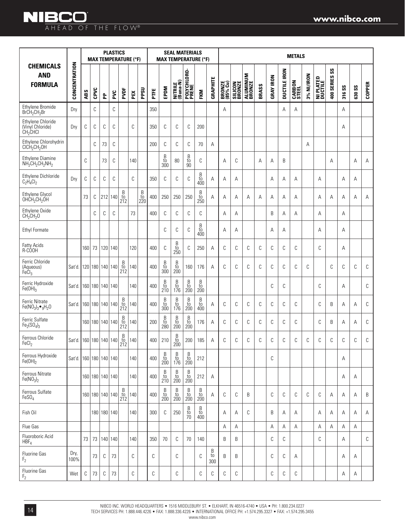|                                                                                           |                        |     |      |                       | <b>PLASTICS</b> |                                                      | <b>MAX TEMPERATURE (°F)</b> |                                                                    |      |                                                                    | <b>SEAL MATERIALS</b><br><b>MAX TEMPERATURE (°F)</b>               |                                                                    |                                                                    |                |                    |                          |                           |       |                  |                     | <b>METALS</b>          |            |                      |                     |        |               |               |
|-------------------------------------------------------------------------------------------|------------------------|-----|------|-----------------------|-----------------|------------------------------------------------------|-----------------------------|--------------------------------------------------------------------|------|--------------------------------------------------------------------|--------------------------------------------------------------------|--------------------------------------------------------------------|--------------------------------------------------------------------|----------------|--------------------|--------------------------|---------------------------|-------|------------------|---------------------|------------------------|------------|----------------------|---------------------|--------|---------------|---------------|
| <b>CHEMICALS</b><br><b>AND</b><br><b>FORMULA</b>                                          | CONCENTRATION          | ABS | CPVC | 운                     | ž               | PVDF                                                 | PEX                         | PPSU                                                               | PTFE | EPDM                                                               | NITRILE<br>(Buna-N)                                                | POLYCHLORO-<br>PRENE                                               | FKM                                                                | GRAPHITE       | BRONZE<br>(85% Cu) | <b>SILICON</b><br>BRONZE | <b>ALUMINUM</b><br>BRONZE | BRASS | <b>GRAY IRON</b> | <b>DUCTILE IRON</b> | <b>CARBON</b><br>STEEL | 3% NI/IRON | NI PLATED<br>Ductile | $s$ s<br>400 SERIES | 316 SS | <b>630 SS</b> | <b>COPPER</b> |
| Ethylene Bromide<br>$BrCH_2CH_2Br$                                                        | Dry                    |     | C    |                       | C               |                                                      |                             |                                                                    | 350  |                                                                    |                                                                    |                                                                    |                                                                    |                | A                  |                          |                           |       |                  | A                   | Α                      |            |                      |                     | Α      |               |               |
| Ethylene Chloride<br>(Vinyl Chloride)<br>CH <sub>2</sub> CHCl                             | Dry                    | C   | C    | C                     | C               |                                                      | C                           |                                                                    | 350  | C                                                                  | C                                                                  | C                                                                  | 200                                                                |                |                    |                          |                           |       |                  |                     |                        |            |                      |                     | Α      |               |               |
| Ethylene Chlorohydrin<br>CICH <sub>2</sub> CH <sub>2</sub> OH                             |                        |     | C    | 73                    | C               |                                                      |                             |                                                                    | 200  | C                                                                  | С                                                                  | C                                                                  | 70                                                                 | Α              |                    |                          |                           |       |                  |                     |                        | Α          |                      |                     |        |               |               |
| <b>Ethylene Diamine</b><br>$NH2CH2CH2NH2$                                                 |                        | C   |      | 73                    | C               |                                                      | 140                         |                                                                    |      | $_{\rm to}^{\rm B}$<br>300                                         | 80                                                                 | $_{\rm to}^{\rm B}$<br>90                                          | С                                                                  |                | Α                  | C                        |                           | Α     | Α                | B                   |                        |            |                      | Α                   |        | Α             | Α             |
| Ethylene Dichloride<br>$C_2H_4Cl_2$                                                       | Drv                    | C   | C    | C                     | C               |                                                      | C                           |                                                                    | 350  | C                                                                  | C                                                                  | C                                                                  | $\begin{array}{c} B \\ \mathrm{to} \\ 400 \end{array}$             | A              | А                  | Α                        |                           |       | Α                | Α                   | A                      |            | A                    |                     | Α      | Α             |               |
| Ethylene Glycol<br>OHCH <sub>2</sub> CH <sub>2</sub> OH                                   |                        | 73  | C    | 212 140               |                 | $\begin{array}{c} B \\ \text{to} \\ 212 \end{array}$ |                             | $\begin{array}{c} \text{B} \\ \text{to} \\ \text{220} \end{array}$ | 400  | 250                                                                | 250                                                                | 250                                                                | $\begin{array}{c} B \\ \text{to} \\ 250 \end{array}$               | Α              | Α                  | Α                        | Α                         | Α     | Α                | Α                   | Α                      |            | Α                    | Α                   | Α      | Α             | Α             |
| Ethylene Oxide<br>CH <sub>2</sub> CH <sub>2</sub> O                                       |                        |     | C    | C                     | C               |                                                      | 73                          |                                                                    | 400  | C                                                                  | С                                                                  | C                                                                  | С                                                                  |                | A                  | Α                        |                           |       | B                | Α                   | A                      |            | Α                    |                     | Α      |               |               |
| <b>Ethyl Formate</b>                                                                      |                        |     |      |                       |                 |                                                      |                             |                                                                    |      | C                                                                  | С                                                                  | C                                                                  | $\begin{array}{c} B \\ \mathrm{to} \\ 400 \end{array}$             |                | A                  | Α                        |                           |       | Α                | Α                   |                        |            | A                    |                     | Α      |               |               |
| <b>Fatty Acids</b><br>R-COOH                                                              |                        | 160 | 73   | 120 140               |                 |                                                      | 120                         |                                                                    | 400  | C                                                                  | $\begin{array}{c} B \\ \text{to} \\ 250 \end{array}$               | C                                                                  | 250                                                                | Α              | C                  | C                        | C                         | C     | С                | C                   | C                      |            | C                    |                     | Α      |               |               |
| Ferric Chloride<br>(Aqueous)<br>FeCl <sub>3</sub>                                         | Sat'd.                 |     |      | 120   180   140   140 |                 | $\frac{B}{t0}$<br>212                                | 140                         |                                                                    | 400  | $\begin{array}{c} B \\ \mathrm{to} \\ 300 \end{array}$             | $\begin{array}{c} \text{B} \\ \text{to} \\ \text{200} \end{array}$ | 160                                                                | 176                                                                | A              | C                  | C                        | C                         | C     | С                | C                   | C                      | C          |                      | C                   | C      | C             | C             |
| Ferric Hydroxide<br>$Fe(OH)_{3}$                                                          | Sat'd.                 |     |      | 160   180   140   140 |                 |                                                      | 140                         |                                                                    | 400  | $\begin{array}{c} B \\ \rm{to} \\ 210 \end{array}$                 | $\begin{array}{c} B \\ \textrm{to} \\ 176 \end{array}$             | $\begin{array}{c} \text{B} \\ \text{to} \\ \text{200} \end{array}$ | $\begin{array}{c} \text{B} \\ \text{to} \\ \text{200} \end{array}$ |                |                    |                          |                           |       | С                | C                   |                        |            | C                    |                     | A      |               | C             |
| <b>Ferric Nitrate</b><br>Fe( $NO3$ ) <sub>3</sub> $\bullet$ <sub>9</sub> H <sub>2</sub> O | Sat'd.                 |     |      | 160   180   140   140 |                 | B<br>$\frac{10}{212}$                                | 140                         |                                                                    | 400  | $_{\rm to}^{\rm B}$<br>300                                         | $\begin{array}{c} B \\ \mathrm{to} \\ 176 \end{array}$             | $\sf B$<br>to<br>200                                               | $_{\rm to}^{\rm B}$<br>400                                         | Α              | C                  | C                        | C                         | C     | С                | C                   | C                      |            | C                    | B                   | Α      | A             | C             |
| Ferric Sulfate<br>$Fe2(SO4)3$                                                             |                        |     |      | 160   180   140   140 |                 | B<br>$\overline{t}$<br>212                           | 140                         |                                                                    | 200  | $\begin{array}{c} B \\ \text{to} \\ 280 \end{array}$               | $\begin{array}{c} \text{B} \\ \text{to} \\ \text{200} \end{array}$ | $\begin{array}{c} \text{B} \\ \text{to} \\ \text{200} \end{array}$ | 176                                                                | A              | C                  | C                        | C                         | C     | С                | C                   | C                      |            | C                    | B                   | Α      | Α             | C             |
| Ferrous Chloride<br>FeCl <sub>2</sub>                                                     | Sat'd. 160 180 140 140 |     |      |                       |                 | β<br>to<br>LIL                                       | 140                         |                                                                    | 400  | 210                                                                | $_{\rm to}^{\rm B}$<br>200                                         | 200                                                                | 185                                                                | Α              | C                  | C                        | С                         | C     | С                | С                   | С                      | C          | С                    | С                   | С      | C             | С             |
| Ferrous Hydroxide<br>$Fe(OH)_2$                                                           | Sat'd.                 |     |      | 160 180 140 140       |                 |                                                      | 140                         |                                                                    | 400  | B<br>$\frac{10}{200}$                                              | B<br>to<br>176                                                     | B<br>to<br>200                                                     | 212                                                                |                |                    |                          |                           |       | С                |                     |                        |            |                      |                     | Α      |               |               |
| Ferrous Nitrate<br>Fe(NO <sub>3</sub> ) <sub>2</sub>                                      |                        |     |      | 160 180 140 140       |                 |                                                      | 140                         |                                                                    | 400  | B<br>$\frac{10}{210}$                                              | B<br>$\frac{10}{200}$                                              | B<br>$\frac{10}{200}$                                              | 212                                                                | А              |                    |                          |                           |       |                  |                     |                        |            |                      |                     | Α      | Α             |               |
| Ferrous Sulfate<br>FeSO <sub>4</sub>                                                      |                        |     |      | 160   180   140   140 |                 | B<br>$\overline{10}$<br>212                          | 140                         |                                                                    | 400  | $\begin{array}{c} \text{B} \\ \text{to} \\ \text{200} \end{array}$ | $\begin{array}{c} \text{B} \\ \text{to} \\ \text{200} \end{array}$ | $\begin{array}{c} \text{B} \\ \text{to} \\ \text{200} \end{array}$ | $\begin{array}{c} \text{B} \\ \text{to} \\ \text{200} \end{array}$ | Α              | C                  | C                        | B                         |       | С                | C                   | C                      | C          | C                    | Α                   | Α      | Α             | B             |
| Fish Oil                                                                                  |                        |     |      | 180 180 140           |                 |                                                      | 140                         |                                                                    | 300  | C                                                                  | 250                                                                | $\mathbf{B}$<br>$\frac{10}{70}$                                    | B<br>$\frac{10}{400}$                                              |                | Α                  | Α                        | С                         |       | B                | Α                   | Α                      |            | Α                    | Α                   | Α      | Α             | Α             |
| Flue Gas                                                                                  |                        |     |      |                       |                 |                                                      |                             |                                                                    |      |                                                                    |                                                                    |                                                                    |                                                                    |                | Α                  | Α                        |                           |       | Α                | Α                   | Α                      |            | Α                    | Α                   | Α      | Α             |               |
| Fluoroboric Acid<br>HBF <sub>4</sub>                                                      |                        | 73  |      | 73   140   140        |                 |                                                      | 140                         |                                                                    | 350  | 70                                                                 | C                                                                  | 70                                                                 | 140                                                                |                | B                  | B                        |                           |       | С                | C                   |                        |            | C                    |                     | Α      |               | С             |
| Fluorine Gas<br>F <sub>2</sub>                                                            | Dry,<br>100%           |     | 73   | C                     | 73              |                                                      | С                           |                                                                    | С    |                                                                    | С                                                                  |                                                                    | С                                                                  | Β<br>to<br>300 | B                  | B                        |                           |       | С                | C                   | Α                      |            |                      |                     | Α      | Α             |               |
| Fluorine Gas<br>F <sub>2</sub>                                                            | Wet                    | C   | 73   | C                     | 73              |                                                      | С                           |                                                                    | С    |                                                                    | С                                                                  |                                                                    | С                                                                  | С              | С                  | C                        |                           |       | С                | С                   | С                      |            |                      |                     | Α      | Α             |               |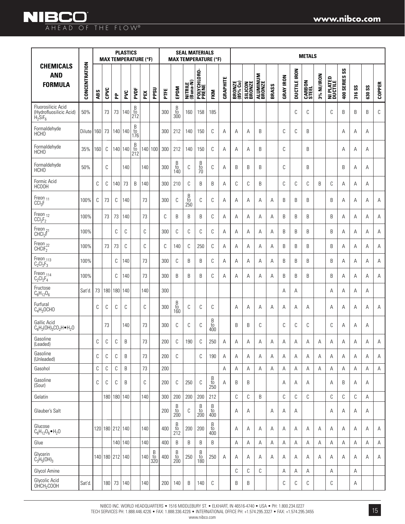|                                                                           |               |     | <b>MAX TEMPERATURE (°F)</b> |     | <b>PLASTICS</b> |                            |     |                                                        |      |                                                      | <b>SEAL MATERIALS</b> |                             | <b>MAX TEMPERATURE (°F)</b>                                        |          |                    |                   |                    |       |                  |                     | <b>METALS</b>          |            |                      |                             |        |               |               |
|---------------------------------------------------------------------------|---------------|-----|-----------------------------|-----|-----------------|----------------------------|-----|--------------------------------------------------------|------|------------------------------------------------------|-----------------------|-----------------------------|--------------------------------------------------------------------|----------|--------------------|-------------------|--------------------|-------|------------------|---------------------|------------------------|------------|----------------------|-----------------------------|--------|---------------|---------------|
| <b>CHEMICALS</b><br><b>AND</b><br><b>FORMULA</b>                          | CONCENTRATION | ABS | CPVC                        | 운   | PVC             | PVDF                       | PEX | PPSU                                                   | PTFE | EPDM                                                 | NITRILE<br>(Buna-N)   | POLYCHLORO-<br>PRENE        | FKM                                                                | GRAPHITE | BRONZE<br>(85% Cu) | SILICON<br>BRONZE | ALUMINUM<br>BRONZE | BRASS | <b>GRAY IRON</b> | <b>DUCTILE IRON</b> | <b>CARBON</b><br>STEEL | 3% NI/IRON | NI PLATED<br>Ductile | $\mathsf{ss}$<br>400 SERIES | 316 SS | <b>630 SS</b> | <b>COPPER</b> |
| Fluorosilicic Acid<br>(Hydrofluosilicic Acid)<br>$H_2$ SiF <sub>6</sub>   | 50%           |     | 73                          | 73  | 140             | $_{\rm to}^{\rm B}$<br>212 |     |                                                        | 300  | B<br>to<br>300                                       | 160                   | 158                         | 185                                                                |          |                    |                   |                    |       |                  | C                   | C                      |            | C                    | B                           | B      | B             | C             |
| Formaldehyde<br>HCH <sub>O</sub>                                          | Dilute        | 160 | 73                          |     | 140 140         | B<br>to<br>176             |     |                                                        | 300  | 212                                                  | 140                   | 150                         | C                                                                  | Α        | A                  | A                 | B                  |       | C                | C                   | B                      |            |                      | A                           | A      | A             |               |
| Formaldehyde<br><b>HCHO</b>                                               | 35%           | 160 | C                           |     | 140 140         | $\frac{B}{t0}$<br>212      |     | 140 100                                                | 300  | 212                                                  | 140                   | 150                         | С                                                                  | Α        | Α                  | Α                 | B                  |       | C                |                     | B                      |            |                      | Α                           | Α      | Α             |               |
| Formaldehyde<br><b>HCHO</b>                                               | 50%           |     | C                           |     | 140             |                            | 140 |                                                        | 300  | $\frac{B}{10}$<br>140                                | C                     | $\frac{B}{10}$              | C                                                                  | A        | B                  | B                 | B                  |       | C                |                     | B                      |            |                      | B                           | Α      | Α             |               |
| Formic Acid<br><b>HCOOH</b>                                               |               | С   | C                           | 140 | 73              | B                          | 140 |                                                        | 300  | 210                                                  | C                     | B                           | B                                                                  | Α        | С                  | C                 | B                  |       | C                | C                   | C                      | B          | C                    | Α                           | Α      | Α             |               |
| Freon <sub>11</sub><br>CCI <sub>3</sub> F                                 | 100%          | С   | 73                          | С   | 140             |                            | 73  |                                                        | 300  | C                                                    | B<br>$\frac{10}{250}$ | C                           | C                                                                  | A        | Α                  | Α                 | Α                  | Α     | B                | B                   | B                      |            | B                    | Α                           | Α      | A             | А             |
| $\begin{array}{c} \text{Freon}_{12}\\ \text{CCI}_2\text{F}_2 \end{array}$ | 100%          |     | 73                          | 73  | 140             |                            | 73  |                                                        | C    | B                                                    | B                     | B                           | C                                                                  | Α        | A                  | Α                 | Α                  | A     | B                | В                   | B                      |            | B                    | Α                           | A      | A             | Α             |
| Freon <sub>21</sub><br>CHCl <sub>2</sub> F                                | 100%          |     |                             | С   | С               |                            | С   |                                                        | 300  | C                                                    | С                     | C                           | С                                                                  | Α        | Α                  | Α                 | Α                  | Α     | B                | B                   | B                      |            | B                    | Α                           | Α      | Α             | Α             |
| Freon <sub>22</sub><br>CHCIF <sub>2</sub>                                 | 100%          |     | 73                          | 73  | C               |                            | C   |                                                        | C    | 140                                                  | C                     | 250                         | C                                                                  | Α        | Α                  | A                 | A                  | A     | B                | B                   | B                      |            | B                    | A                           | A      | A             | Α             |
| Freon $_{113}$<br>C <sub>2</sub> Cl <sub>2</sub> F <sub>3</sub>           | 100%          |     |                             | C   | 140             |                            | 73  |                                                        | 300  | C                                                    | B                     | B                           | C                                                                  | Α        | A                  | A                 | A                  | A     | B                | B                   | B                      |            | B                    | A                           | A      | A             | Α             |
| $\begin{array}{l} \mathsf{Freen}_{114}\\ \mathsf{C_2Cl_2F_4} \end{array}$ | 100%          |     |                             | C   | 140             |                            | 73  |                                                        | 300  | B                                                    | B                     | B                           | C                                                                  | Α        | Α                  | Α                 | Α                  | Α     | B                | B                   | B                      |            | B                    | Α                           | A      | A             | Α             |
| Fructose<br>$C_6H_{12}O_6$                                                | Sat'd         | 73  | 180                         | 180 | 140             |                            | 140 |                                                        | 300  |                                                      |                       |                             |                                                                    |          |                    |                   |                    |       | Α                | Α                   |                        |            | Α                    | Α                           | Α      | Α             |               |
| Furfural<br>$C_4H_3OCHO$                                                  |               | С   | C                           | С   | С               |                            | C   |                                                        | 300  | $\begin{array}{c} B \\ \text{to} \\ 160 \end{array}$ | C                     | C                           | C                                                                  |          | A                  | Α                 | Α                  | Α     | Α                | Α                   | Α                      |            | A                    | Α                           | Α      | Α             | Α             |
| Gallic Acid<br>$C_6H_2(OH)_3CO_2H\bullet H_2O$                            |               |     | 73                          |     | 140             |                            | 73  |                                                        | 300  | C                                                    | C                     | C                           | B<br>$\substack{\text{to}\ \text{400}}$                            |          | B                  | B                 | С                  |       | C                | С                   | C                      |            | C                    | Α                           | Α      | Α             |               |
| Gasoline<br>(Leaded)                                                      |               | С   | C                           | С   | B               |                            | 73  |                                                        | 200  | C                                                    | 190                   | C                           | 250                                                                | Α        | Α                  | Α                 | Α                  | Α     | Α                | Α                   | Α                      | A          | A                    | Α                           | Α      | A             | Α             |
| Gasoline<br>(Unleaded)                                                    |               | С   | С                           | C   | B               |                            | 73  |                                                        | 200  | C                                                    |                       | C                           | 190                                                                | A        | A                  | A                 | A                  | A     | A                | Α                   | Α                      | A          | A                    | A                           | A      | A             | Α             |
| Gasohol                                                                   |               | С   | $\mathbb C$                 | С   | B               |                            | 73  |                                                        | 200  |                                                      |                       |                             |                                                                    | Α        | A                  | Α                 | A                  | A     | A                | Α                   | A                      | A          | A                    | Α                           | Α      | A             | A             |
| Gasoline<br>(Sour)                                                        |               | С   | С                           | С   | B               |                            | С   |                                                        | 200  | C                                                    | 250                   | C                           | $\begin{array}{c} \text{B} \\ \text{to} \\ \text{250} \end{array}$ | Α        | B                  | B                 |                    |       | Α                | Α                   | Α                      |            | Α                    | B                           | Α      | Α             |               |
| Gelatin                                                                   |               |     | 180                         |     | 180 140         |                            | 140 |                                                        | 300  | 200                                                  | 200                   | 200                         | 212                                                                |          | С                  | $\mathbb C$       | B                  |       | С                | С                   | C                      |            | C                    | С                           | C      | A             |               |
| Glauber's Salt                                                            |               |     |                             |     |                 |                            |     |                                                        | 200  | B<br>$\frac{10}{200}$                                | C                     | $\beta$<br>$\frac{10}{200}$ | $\overline{B}$<br>$\frac{10}{400}$                                 |          | Α                  | Α                 |                    | Α     | Α                | Α                   |                        |            | Α                    | A                           | Α      | Α             |               |
| Glucose<br>$C_6H_{12}O_6 \bullet H_2O$                                    |               |     | 120 180 212 140             |     |                 |                            | 140 |                                                        | 400  | B<br>$\frac{10}{212}$                                | 200                   | 200                         | B<br>$\frac{10}{400}$                                              |          | A                  | Α                 | Α                  | Α     | Α                | Α                   | Α                      | Α          | A                    | Α                           | Α      | A             | Α             |
| Glue                                                                      |               |     |                             |     | 140 140         |                            | 140 |                                                        | 400  | $\sf B$                                              | B                     | B                           | B                                                                  |          | А                  | Α                 | Α                  | Α     | Α                | А                   | А                      | Α          | А                    | Α                           | Α      | Α             | Α             |
| Glycerin<br>$C_3H_5(OH)_3$                                                |               |     | 140 180 212 140             |     |                 |                            | 140 | $\begin{array}{c} B \\ \textrm{to} \\ 320 \end{array}$ | 400  | B<br>$\frac{10}{200}$                                | 250                   | B<br>$\frac{10}{180}$       | 250                                                                | A        | A                  | Α                 | Α                  | A     | Α                | Α                   | Α                      | A          | A                    | Α                           | A      | Α             | Α             |
| Glycol Amine                                                              |               |     |                             |     |                 |                            |     |                                                        |      |                                                      |                       |                             |                                                                    |          | С                  | $\mathbb C$       | С                  |       | Α                | Α                   | Α                      |            | Α                    |                             | Α      |               |               |
| Glycolic Acid<br>OHCH <sub>2</sub> COOH                                   | Sat'd.        |     | 180                         | 73  | 140             |                            | 140 |                                                        | 200  | 140                                                  | B                     | 140                         | С                                                                  |          | B                  | В                 |                    |       | С                | C                   | C                      |            | C                    |                             | Α      |               |               |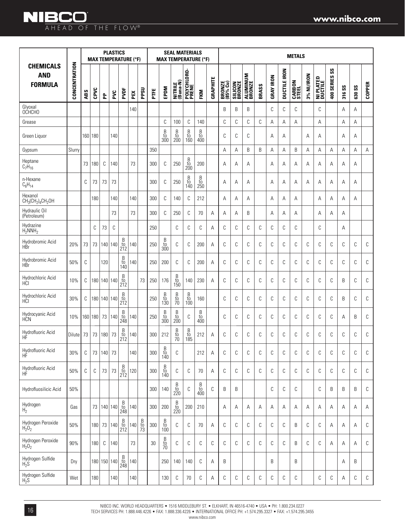### **NIBCO** AHEAD OF THE FLOW®

|                                                  |               |     | <b>MAX TEMPERATURE (°F)</b> |             | <b>PLASTICS</b> |                                                      |     |                |        |                                                             | <b>SEAL MATERIALS</b>                                  |                                                      | <b>MAX TEMPERATURE (°F)</b>                                        |             |                           |                           |                           |       |                  |                     | <b>METALS</b>          |            |                             |                             |        |               |               |
|--------------------------------------------------|---------------|-----|-----------------------------|-------------|-----------------|------------------------------------------------------|-----|----------------|--------|-------------------------------------------------------------|--------------------------------------------------------|------------------------------------------------------|--------------------------------------------------------------------|-------------|---------------------------|---------------------------|---------------------------|-------|------------------|---------------------|------------------------|------------|-----------------------------|-----------------------------|--------|---------------|---------------|
| <b>CHEMICALS</b><br><b>AND</b><br><b>FORMULA</b> | CONCENTRATION | ABS | CPVC                        | 운           | PVC             | PVDF                                                 | PEX | PPSU           | PTFE   | EPDM                                                        | NITRILE<br>(Buna-N)                                    | POLYCHLORO-<br>PRENE                                 | FKM                                                                | GRAPHITE    | <b>BRONZE</b><br>(85% Cu) | <b>SILICON<br/>BRONZE</b> | <b>ALUMINUM</b><br>BRONZE | BRASS | <b>GRAY IRON</b> | <b>DUCTILE IRON</b> | <b>CARBON</b><br>STEEL | 3% NI/IRON | <b>NI PLATED</b><br>Ductile | $\mathsf{ss}$<br>400 SERIES | 316 SS | <b>630 SS</b> | <b>COPPER</b> |
| Glyoxal<br>OCHCHO                                |               |     |                             |             |                 |                                                      | 140 |                |        |                                                             |                                                        |                                                      |                                                                    |             | B                         | B                         | B                         |       | C                | C                   | C                      |            | C                           |                             | Α      | A             |               |
| Grease                                           |               |     |                             |             |                 |                                                      |     |                |        | C                                                           | 100                                                    | C                                                    | 140                                                                |             | C                         | C                         | С                         | C     | Α                | Α                   | Α                      |            | Α                           |                             | Α      | Α             |               |
| Green Liquor                                     |               |     | 160 180                     |             | 140             |                                                      |     |                |        | $_{\rm to}^{\rm B}$<br>300                                  | $_{\rm to}^{\rm B}$<br>200                             | $_{\rm to}^{\rm B}$<br>160                           | B<br>to<br>400                                                     |             | C                         | C                         | С                         |       | A                | Α                   |                        | Α          | Α                           |                             | Α      | Α             |               |
| Gypsum                                           | Slurry        |     |                             |             |                 |                                                      |     |                | 350    |                                                             |                                                        |                                                      |                                                                    |             | A                         | Α                         | B                         | B     | A                | A                   | B                      | A          | A                           | А                           | A      | A             | A             |
| Heptane<br>$C_7H_{16}$                           |               | 73  | 180                         | C           | 140             |                                                      | 73  |                | 300    | C                                                           | 250                                                    | $\begin{array}{c} B \\ \text{to} \\ 200 \end{array}$ | 200                                                                |             | A                         | Α                         | Α                         |       | A                | Α                   | Α                      | Α          | Α                           | Α                           | A      | Α             |               |
| n-Hexane<br>$C_6H_{14}$                          |               | С   | 73                          | 73          | 73              |                                                      |     |                | 300    | C                                                           | 250                                                    | $\begin{array}{c} B \\ \text{to} \\ 140 \end{array}$ | $\begin{array}{c} B \\ \text{to} \\ 250 \end{array}$               |             | Α                         | А                         | Α                         |       | A                | Α                   | Α                      | Α          | Α                           | Α                           | Α      | Α             |               |
| Hexanol<br>$CH3(CH2)4CH2OH$                      |               |     | 180                         |             | 140             |                                                      | 140 |                | 300    | C                                                           | 140                                                    | C                                                    | 212                                                                |             | Α                         | Α                         | Α                         |       | Α                | Α                   | Α                      |            | Α                           | Α                           | Α      | Α             |               |
| Hydraulic Oil<br>(Petroleum)                     |               |     |                             |             | 73              |                                                      | 73  |                | 300    | C                                                           | 250                                                    | C                                                    | 70                                                                 | Α           | A                         | Α                         | B                         |       | A                | Α                   | Α                      |            | Α                           | Α                           | Α      |               |               |
| Hydrazine<br>$H_2$ NNH <sub>2</sub>              |               |     | C                           | 73          | C               |                                                      |     |                | 250    |                                                             | С                                                      | C                                                    | C                                                                  | Α           | C                         | C                         | C                         | C     | C                | C                   | С                      |            | С                           |                             | Α      |               |               |
| Hydrobromic Acid<br>HBr                          | 20%           | 73  | 73                          | 140 140     |                 | Β<br>to<br>212                                       | 140 |                | 250    | $_{\rm to}^{\rm B}$<br>300                                  | С                                                      | C                                                    | 200                                                                | Α           | С                         | C                         | С                         | C     | C                | C                   | С                      | C          | С                           | C                           | C      | С             | С             |
| Hydrobromic Acid<br>HBr                          | 50%           | C   |                             | 120         |                 | B<br>to<br>140                                       | 140 |                | 250    | 200                                                         | C                                                      | C                                                    | 200                                                                | Α           | C                         | C                         | С                         | C     | C                | C                   | С                      | C          | С                           | C                           | C      | C             | C             |
| Hydrochloric Acid<br>HCI                         | 10%           | С   |                             | 180 140 140 |                 | β<br>to<br>212                                       |     | 73             | 250    | 176                                                         | $_{\rm to}^{\rm B}$<br>150                             | 140                                                  | 230                                                                | Α           | С                         | C                         | С                         | C     | C                | C                   | С                      | C          | С                           | C                           | B      | C             | C             |
| Hydrochloric Acid<br>HCI                         | 30%           | С   |                             | 180 140 140 |                 | B<br>to<br>212                                       |     |                | 250    | $_{\rm to}^{\rm B}$<br>130                                  | $\begin{array}{c} B \\ to \\ 70 \end{array}$           | $_{\rm to}^{\rm B}$<br>100                           | 160                                                                |             | C                         | C                         | С                         | C     | C                | C                   | C                      | C          | С                           | C                           | B      | C             | C             |
| Hydrocyanic Acid<br>HCN                          | 10%           |     | 160   180                   | 73          | 140             | B<br>to<br>248                                       | 140 |                | 250    | $_{\rm to}^{\rm B}$<br>300                                  | $\overline{B}$<br>$\frac{10}{200}$                     | C                                                    | B<br>to<br>400                                                     |             | C                         | C                         | C                         | C     | C                | C                   | C                      | C          | С                           | C                           | A      | B             | C             |
| Hydrofluoric Acid<br>HF                          | Dilute        | 73  | 73                          | 180         | 73              | $\begin{array}{c} B \\ \text{to} \\ 212 \end{array}$ | 140 |                | 300    | 212                                                         | $\frac{B}{70}$                                         | $\begin{array}{c} B \\ \text{to} \\ 185 \end{array}$ | 212                                                                | Α           | C                         | C                         | C                         | C     | C                | C                   | C                      | C          | С                           | C                           | C      | C             | C             |
| Hydrofluoric Acid<br>HF                          | 30%           | C   | 73                          | 140         | 73              |                                                      | 140 |                | 300    | $rac{B}{t0}$<br>140                                         | С                                                      |                                                      | 212                                                                | Α           | C                         | C                         | С                         | C     | C                | C                   | C                      | C          | С                           | C                           | C      | C             | C             |
| Hydrofluoric Acid<br>HF                          | 50%           | С   | C                           | 73          | 73              | $\begin{array}{c} B \\ \text{to} \\ 212 \end{array}$ | 120 |                | 300    | $\frac{B}{10}$<br>140                                       | С                                                      | C                                                    | 70                                                                 | Α           | С                         | C                         | С                         | C     | C                | C                   | C                      | C          | С                           | C                           | C      | C             | C             |
| Hydrofluosilicic Acid                            | 50%           |     |                             |             |                 |                                                      |     |                | 300    | 140                                                         | $\begin{array}{c} B \\ \mathrm{to} \\ 220 \end{array}$ | $\mathbb C$                                          | $\begin{array}{c} \text{B} \\ \text{to} \\ \text{400} \end{array}$ | $\mathbb C$ | B                         | B                         |                           |       | C                | C                   | $\mathbb C$            |            | С                           | B                           | B      | B             | C             |
| Hydrogen<br>$H_2$                                | Gas           |     | 73                          | 140 140     |                 | B<br>to<br>248                                       | 140 |                | 300    | 200                                                         | $\begin{array}{c} B \\ \textrm{to} \\ 220 \end{array}$ | 200                                                  | 210                                                                |             | Α                         | Α                         | Α                         | Α     | Α                | Α                   | Α                      | Α          | Α                           | Α                           | А      | Α             | Α             |
| Hydrogen Peroxide<br>$H_2O_2$                    | 50%           |     | 180                         |             | 73 140          | $\begin{array}{c} B \\ \text{to} \\ 212 \end{array}$ | 140 | $\frac{B}{10}$ | 300    | $\begin{array}{c} \text{B} \\ \text{to} \\ 100 \end{array}$ | C                                                      | C                                                    | 70                                                                 | Α           | С                         | C                         | С                         | C     | C                | C                   | B                      | C          | С                           | Α                           | Α      | Α             | C             |
| Hydrogen Peroxide<br>$H_2O_2$                    | 90%           |     | 180                         | C           | 140             |                                                      | 73  |                | $30\,$ | $\begin{array}{c} B \\ \text{to} \\ 70 \end{array}$         | С                                                      | C                                                    | C                                                                  | C           | С                         | C                         | С                         | C     | C                | C                   | B                      | C          | С                           | Α                           | Α      | Α             | C             |
| Hydrogen Sulfide<br>$H_2$ S                      | Dry           |     |                             | 180 150 140 |                 | B<br>to<br>248                                       | 140 |                |        | 250                                                         | 140                                                    | 140                                                  | С                                                                  | Α           | B                         |                           |                           |       | B                |                     | B                      |            |                             |                             | Α      | B             |               |
| Hydrogen Sulfide<br>$H_2$ 'S                     | Wet           |     | 180                         |             | 140             |                                                      | 140 |                |        | 130                                                         | С                                                      | 70                                                   | С                                                                  | Α           | С                         | С                         | С                         | С     | С                | С                   | С                      |            | С                           | С                           | Α      | С             | С             |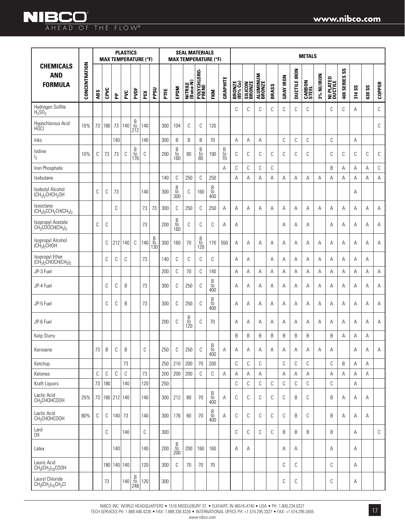|                                                                                               |               |     |      |             | <b>PLASTICS</b><br><b>MAX TEMPERATURE (°F)</b> |                                                      |     |                            |     |                                                                    | <b>SEAL MATERIALS</b> |                                              | <b>MAX TEMPERATURE (°F)</b>                            |                |                    |                   |                           |       |                  |                     | <b>METALS</b>   |            |                             |                            |        |        |               |
|-----------------------------------------------------------------------------------------------|---------------|-----|------|-------------|------------------------------------------------|------------------------------------------------------|-----|----------------------------|-----|--------------------------------------------------------------------|-----------------------|----------------------------------------------|--------------------------------------------------------|----------------|--------------------|-------------------|---------------------------|-------|------------------|---------------------|-----------------|------------|-----------------------------|----------------------------|--------|--------|---------------|
| <b>CHEMICALS</b><br><b>AND</b><br><b>FORMULA</b>                                              | CONCENTRATION | ABS | CPVC | 운           | PVC                                            | PVDF                                                 | PEX | PPSU                       | FTE | EPDM                                                               | NITRILE<br>(Buna-N)   | POLYCHLORO-<br>PRENE                         | <b>EKM</b>                                             | GRAPHITE       | BRONZE<br>(85% Cu) | SILICON<br>BRONZE | <b>ALUMINUM</b><br>BRONZE | BRASS | <b>GRAY IRON</b> | <b>DUCTILE IRON</b> | CARBON<br>STEEL | 3% NI/IRON | <b>NI PLATED</b><br>Ductile | $\mathbf{S}$<br>400 SERIES | 316 SS | 630 SS | <b>COPPER</b> |
| Hydrogen Sulfite<br>H <sub>2</sub> SO <sub>3</sub>                                            |               |     |      |             |                                                |                                                      |     |                            |     |                                                                    |                       |                                              |                                                        |                | C                  | C                 | C                         | C     | C                | C                   | C               |            | C                           | C                          | A      |        | C             |
| Hypochlorous Acid<br>HÓCI                                                                     | 10%           | 73  | 180  | 73          | 140                                            | $_{\rm to}^{\rm B}$<br>212                           | 140 |                            | 300 | 104                                                                | C                     | С                                            | 120                                                    |                |                    |                   |                           |       |                  |                     |                 |            |                             |                            |        |        | C             |
| Inks                                                                                          |               |     |      | 140         |                                                |                                                      | 140 |                            | 300 | B                                                                  | B                     | B                                            | 70                                                     |                | A                  | Α                 | А                         |       | С                | С                   | С               |            | $\mathbb C$                 |                            | A      |        |               |
| lodine<br>I <sub>2</sub>                                                                      | 10%           | С   | 73   | 73          | C                                              | $\begin{array}{c} B \\ \rm{to} \\ 176 \end{array}$   | C   |                            | 200 | $\begin{array}{c} \text{B} \\ \text{to} \\ \text{160} \end{array}$ | 80                    | $\begin{array}{c} B \\ to \\ 80 \end{array}$ | 190                                                    | $\frac{B}{10}$ | C                  | C                 | C                         | C     | C                | C                   | C               |            | C                           | C                          | C      | C      | C             |
| Iron Phosphate                                                                                |               |     |      |             |                                                |                                                      |     |                            |     |                                                                    |                       |                                              |                                                        | A              | С                  | С                 | С                         | С     |                  |                     |                 |            | B                           | Α                          | Α      | Α      | C             |
| Isobutane                                                                                     |               |     |      |             |                                                |                                                      |     |                            | 140 | C                                                                  | 250                   | С                                            | 250                                                    |                | A                  | Α                 | A                         | Α     | Α                | Α                   | Α               | A          | Α                           | Α                          | Α      | A      | Α             |
| Isobutyl Alcohol<br>$(CH_3)_2$ CHCH <sub>2</sub> OH                                           |               | С   | C    | 73          |                                                |                                                      | 140 |                            | 300 | $\begin{array}{c} B \\ \text{to} \\ 300 \end{array}$               | C                     | 160                                          | $\begin{array}{c} B \\ \mathrm{to} \\ 400 \end{array}$ |                |                    |                   |                           |       |                  |                     |                 |            |                             |                            | Α      |        |               |
| Isooctane<br>$(CH3)3CCH2CH(CH3)2$                                                             |               |     |      | С           |                                                |                                                      | 73  | 73                         | 300 | C                                                                  | 250                   | C                                            | 250                                                    | A              | A                  | A                 | A                         | A     | A                | A                   | A               | A          | A                           | A                          | A      | A      | Α             |
| Isopropyl Acetate<br>$CH3COOCH(CH3)2$                                                         |               | С   | С    |             |                                                |                                                      | 73  |                            | 200 | $\frac{B}{t0}$<br>160                                              | C                     | С                                            | С                                                      | А              | Α                  |                   |                           |       | A                | Α                   | Α               |            | A                           | Α                          | Α      | A      | Α             |
| Isopropyl Alcohol<br>$\overline{\text{CH}_3}$ <sub>2</sub> CHOH                               |               |     | С    | 212         | 140                                            | C                                                    | 140 | $_{\rm to}^{\rm B}$<br>130 | 300 | 160                                                                | 70                    | B<br>to<br>120                               | 170                                                    | 550            | Α                  | Α                 | Α                         | Α     | Α                | Α                   | Α               | Α          | A                           | Α                          | A      | Α      | Α             |
| Isopropyl Ether<br>$\overline{\text{CH}_3}$ <sub>2</sub> CHOCH(CH <sub>3</sub> ) <sub>2</sub> |               |     | C    | C           | C                                              |                                                      | 73  |                            | 140 | C                                                                  | C                     | C                                            | С                                                      |                | A                  | Α                 |                           | Α     | Α                | Α                   | Α               | Α          | Α                           | Α                          | Α      | Α      |               |
| JP-3 Fuel                                                                                     |               |     |      |             |                                                |                                                      |     |                            | 200 | С                                                                  | 70                    | С                                            | 140                                                    |                | A                  | Α                 | Α                         | Α     | Α                | Α                   | Α               | Α          | Α                           | Α                          | А      | Α      | Α             |
| JP-4 Fuel                                                                                     |               |     | C    | С           | B                                              |                                                      | 73  |                            | 300 | C                                                                  | 250                   | С                                            | B<br>$\frac{10}{400}$                                  |                | A                  | Α                 | Α                         | A     | Α                | Α                   | Α               | A          | A                           | Α                          | A      | Α      | Α             |
| JP-5 Fuel                                                                                     |               |     | С    | С           | B                                              |                                                      | 73  |                            | 300 | C                                                                  | 250                   | С                                            | B<br>to<br>400                                         |                | A                  | A                 | Α                         | A     | Α                | Α                   | Α               | A          | Α                           | Α                          | Α      | A      | Α             |
| JP-6 Fuel                                                                                     |               |     |      |             |                                                |                                                      |     |                            | 200 | C                                                                  | B<br>to<br>120        | С                                            | 70                                                     |                | А                  | Α                 | Α                         | Α     | Α                | Α                   | Α               | Α          | Α                           | Α                          | Α      | Α      | Α             |
| Kelp Slurry                                                                                   |               |     |      |             |                                                |                                                      |     |                            |     |                                                                    |                       |                                              |                                                        |                | B                  | B                 | B                         | B     | B                | B                   | B               |            | B                           | Α                          | Α      | Α      |               |
| Kerosene                                                                                      |               | 73  | B    | C           | B                                              |                                                      | С   |                            | 250 | C                                                                  | 250                   | C                                            | $\overline{B}$<br>to<br>400                            | Α              | Α                  | Α                 | Α                         | Α     | Α                | Α                   | Α               | Α          | Α                           |                            | Α      | Α      | Α             |
| Ketchup                                                                                       |               |     |      |             | 73                                             |                                                      |     |                            | 250 | 210                                                                | 200                   | $70$                                         | 200                                                    |                | C                  | С                 | C                         |       | C                | С                   | С               |            | C                           | B                          | А      | Α      |               |
| Ketones                                                                                       |               | С   | С    | C           | С                                              |                                                      | 73  |                            | 200 | 200                                                                | 200                   | С                                            | С                                                      | Α              | Α                  | Α                 | Α                         |       | Α                | Α                   | Α               |            | Α                           | Α                          | Α      | Α      |               |
| Kraft Liquors                                                                                 |               | 73  | 180  |             | 140                                            |                                                      | 120 |                            | 250 |                                                                    |                       |                                              |                                                        |                | C                  | С                 | C                         | C     | C                | С                   | С               |            | C                           |                            | А      |        |               |
| Lactic Acid<br>CH <sub>3</sub> CHOHCOOH                                                       | 25%           | 73  |      | 180 212 140 |                                                |                                                      | 140 |                            | 300 | 212                                                                | 80                    | 70                                           | B<br>to<br>400                                         | Α              | C                  | C                 | C                         | C     | C                | B                   | С               |            | B                           | Α                          | Α      | Α      |               |
| Lactic Acid<br>CH <sub>3</sub> CHOHCOOH                                                       | 80%           | С   | С    |             | $140$ 73                                       |                                                      | 140 |                            | 300 | 176                                                                | 80                    | 70                                           | Β<br>to<br>400                                         | Α              | C                  | C                 | C                         | C     | C                | B                   | C               |            | B                           | Α                          | A      | Α      |               |
| Lard<br>$0$ II                                                                                |               |     | С    |             | 140                                            |                                                      | С   |                            | 300 |                                                                    |                       |                                              |                                                        |                | C                  | C                 | C                         | C     | B                | B                   | B               |            | B                           |                            | A      |        | C             |
| Latex                                                                                         |               |     |      | 140         |                                                |                                                      | 140 |                            | 200 | $\begin{array}{c} \text{B} \\ \text{to} \\ \text{200} \end{array}$ | 200                   | 160                                          | 160                                                    |                | A                  | Α                 |                           |       | Α                | Α                   |                 |            | Α                           |                            | Α      |        |               |
| Lauric Acid<br>$CH_3CH_2)_{10}COOH$                                                           |               |     |      |             | 180 140 140                                    |                                                      | 120 |                            | 300 | C                                                                  | 70                    | 70                                           | 70                                                     |                |                    |                   |                           |       | C                | С                   |                 |            | C                           |                            | Α      |        |               |
| Lauryl Chloride<br>$CH_3(CH_2)_{10}CH_2Cl$                                                    |               |     | 73   |             | 140                                            | $\begin{array}{c} B \\ \text{to} \\ 248 \end{array}$ | 120 |                            | 300 |                                                                    |                       |                                              |                                                        |                |                    |                   |                           |       | С                | С                   |                 |            | С                           |                            | Α      |        |               |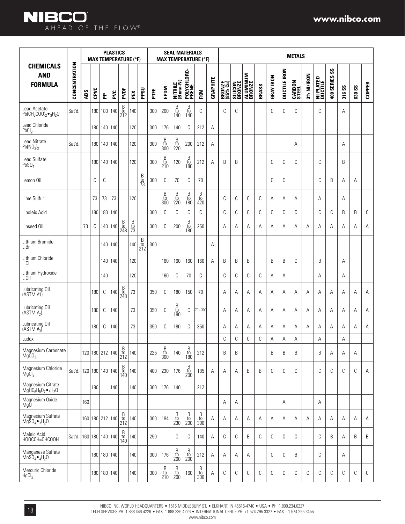|                                                          |               |     |      |                 | <b>PLASTICS</b> |                                                                    | <b>MAX TEMPERATURE (°F)</b> |                     |      |                                                                    | <b>SEAL MATERIALS</b>                                                |                                                                    | <b>MAX TEMPERATURE (°F)</b>                                        |                 |                    |                          |                           |       |                  |                     | <b>METALS</b>          |            |                             |                                      |        |               |               |
|----------------------------------------------------------|---------------|-----|------|-----------------|-----------------|--------------------------------------------------------------------|-----------------------------|---------------------|------|--------------------------------------------------------------------|----------------------------------------------------------------------|--------------------------------------------------------------------|--------------------------------------------------------------------|-----------------|--------------------|--------------------------|---------------------------|-------|------------------|---------------------|------------------------|------------|-----------------------------|--------------------------------------|--------|---------------|---------------|
| <b>CHEMICALS</b><br><b>AND</b><br><b>FORMULA</b>         | CONCENTRATION | ABS | CPVC | 운               | PVC             | PVDF                                                               | PEX                         | PPSU                | PTFE | EPDM                                                               | NITRILE<br>(Buna-N)                                                  | POLYCHLORO-<br>PRENE                                               | FKM                                                                | <b>GRAPHITE</b> | BRONZE<br>(85% Cu) | <b>SILICON</b><br>BRONZE | <b>ALUMINUM</b><br>BRONZE | BRASS | <b>GRAY IRON</b> | <b>DUCTILE IRON</b> | <b>CARBON</b><br>STEEL | 3% NI/IRON | <b>NI PLATED</b><br>Ductile | $\mathsf{S}\mathsf{S}$<br>400 SERIES | 316 SS | <b>630 SS</b> | <b>COPPER</b> |
| Lead Acetate<br>$Pb(CH_3COO)_2 \bullet_3 H_2O$           | Sat'd.        |     |      | 180 180 140     |                 | $rac{B}{10}$<br>212                                                | 140                         |                     | 300  | 200                                                                | $\begin{array}{c} B \\ \text{to} \\ 140 \end{array}$                 | $\overline{B}$<br>$\frac{10}{140}$                                 | С                                                                  |                 | C                  | C                        |                           |       | С                | C                   | С                      |            | C                           |                                      | Α      |               |               |
| Lead Chloride<br>PbCl <sub>2</sub>                       |               |     |      | 180   140   140 |                 |                                                                    | 120                         |                     | 300  | 176                                                                | 140                                                                  | C                                                                  | 212                                                                | Α               |                    |                          |                           |       |                  |                     |                        |            |                             |                                      |        |               |               |
| <b>Lead Nitrate</b><br>Pb(NO <sub>3</sub> ) <sub>2</sub> | Sat'd         |     |      | 180   140   140 |                 |                                                                    | 120                         |                     | 300  | $\begin{array}{c} B \\ \text{to} \\ 300 \end{array}$               | $\begin{array}{c} B \\ \text{to} \\ 220 \end{array}$                 | 200                                                                | 212                                                                | Α               |                    |                          |                           |       |                  |                     | Α                      |            |                             |                                      | Α      |               |               |
| Lead Sulfate<br>PbSO <sub>4</sub>                        |               |     |      | 180 140 140     |                 |                                                                    | 120                         |                     | 300  | $\begin{array}{c} \text{B} \\ \text{to} \\ \text{210} \end{array}$ | 120                                                                  | $\begin{array}{c} B \\ \text{to} \\ 180 \end{array}$               | 212                                                                | Α               | B                  | B                        |                           |       | C                | C                   | С                      |            | C                           |                                      | B      |               |               |
| Lemon Oil                                                |               |     | C    | C               |                 |                                                                    |                             | $\frac{B}{10}$      | 300  | C                                                                  | 70                                                                   | C                                                                  | 70                                                                 |                 |                    |                          |                           |       | C                | C                   |                        |            | C                           | B                                    | Α      | Α             |               |
| Lime Sulfur                                              |               |     | 73   | 73              | 73              |                                                                    | 120                         |                     |      | B<br>$\frac{10}{300}$                                              | $\begin{smallmatrix} \mathsf{B}\ t\mathsf{0}\ 220 \end{smallmatrix}$ | B<br>$\frac{10}{180}$                                              | B<br>$\frac{10}{420}$                                              |                 | C                  | C                        | С                         | C     | Α                | Α                   | Α                      |            | А                           |                                      | Α      |               |               |
| Linoleic Acid                                            |               |     | 180  | 180 140         |                 |                                                                    |                             |                     | 300  | C                                                                  | С                                                                    | C                                                                  | $\mathbb C$                                                        |                 | C                  | C                        | С                         | C     | C                | C                   | С                      |            | C                           | С                                    | B      | B             | $\mathbb C$   |
| Linseed Oil                                              |               | 73  | C    |                 | 140 140         | $_{\rm to}^{\rm B}$<br>248                                         | $\frac{B}{73}$              |                     | 300  | C                                                                  | 200                                                                  | B<br>to<br>180                                                     | 250                                                                |                 | A                  | Α                        | A                         | A     | A                | Α                   | Α                      | Α          | А                           | Α                                    | Α      | Α             | Α             |
| Lithium Bromide<br>LiBr                                  |               |     |      |                 | 140   140       |                                                                    | 140                         | $rac{B}{t0}$<br>212 | 300  |                                                                    |                                                                      |                                                                    |                                                                    | Α               |                    |                          |                           |       |                  |                     |                        |            |                             |                                      |        |               |               |
| Lithium Chloride<br>LiCI                                 |               |     |      |                 | 140   140       |                                                                    | 120                         |                     |      | 160                                                                | 160                                                                  | 160                                                                | 160                                                                | Α               | B                  | B                        | B                         |       | B                | B                   | C                      |            | B                           |                                      | A      |               |               |
| Lithium Hydroxide<br>Li0H                                |               |     |      | 140             |                 |                                                                    | 120                         |                     |      | 160                                                                | C                                                                    | 70                                                                 | С                                                                  |                 | C                  | C                        | C                         | C     | Α                | Α                   |                        |            | Α                           |                                      | Α      |               |               |
| Lubricating Oil<br>(ASTM#1)                              |               |     | 180  | C               | 140             | $\begin{array}{c} \text{B} \\ \text{to} \\ \text{248} \end{array}$ | 73                          |                     | 350  | C                                                                  | 180                                                                  | 150                                                                | 70                                                                 |                 | Α                  | Α                        | Α                         | Α     | Α                | Α                   | Α                      | Α          | Α                           | Α                                    | Α      | Α             | Α             |
| Lubricating Oil<br>(ASTM# <sub>2</sub> )                 |               |     | 180  | C               | 140             |                                                                    | 73                          |                     | 350  | C                                                                  | $_{\rm to}^{\rm B}$<br>180                                           | C                                                                  | 70 - 300                                                           |                 | A                  | Α                        | Α                         | Α     | Α                | Α                   | Α                      | Α          | Α                           | Α                                    | Α      | Α             | Α             |
| Lubricating Oil<br>(ASTM# <sub>3</sub> )                 |               |     | 180  | C               | 140             |                                                                    | 73                          |                     | 350  | C                                                                  | 180                                                                  | C                                                                  | 350                                                                |                 | A                  | Α                        | Α                         | Α     | Α                | Α                   | Α                      | A          | Α                           | Α                                    | Α      | A             | Α             |
| Ludox                                                    |               |     |      |                 |                 |                                                                    |                             |                     |      |                                                                    |                                                                      |                                                                    |                                                                    |                 | С                  | C                        | C                         | C     | Α                | Α                   | Α                      |            | Α                           |                                      | Α      |               |               |
| Magnesium Carbonate<br>MgCO <sub>3</sub>                 |               |     |      | 120 180 212 140 |                 | $\frac{B}{t0}$<br>212                                              | 140                         |                     | 225  | B<br>$\frac{10}{300}$                                              | 140                                                                  | B<br>to<br>180                                                     | 212                                                                |                 | B                  | B                        |                           |       | B                | B                   | B                      |            | B                           | Α                                    | Α      | Α             |               |
| Magnesium Chloride<br>$Mg\tilde{C}I_2$                   | Sat'd         |     |      | 120 180 140 140 |                 | $\overline{B}$<br>to<br>140                                        | 140                         |                     | 400  | 230                                                                | 176                                                                  | $\overline{B}$<br>$\frac{10}{200}$                                 | 185                                                                | А               | A                  | A                        | B                         | B     | C                | C                   | С                      |            | C                           | C                                    | C      | C             | A             |
| Magnesium Citrate<br>$MgHC_6H_5O_7\bullet_5H_2O$         |               |     | 180  |                 | 140             |                                                                    | 140                         |                     | 300  | 176                                                                | 140                                                                  |                                                                    | 212                                                                |                 |                    |                          |                           |       |                  |                     |                        |            |                             |                                      |        |               |               |
| Magnesium Oxide<br>Mq0                                   |               | 160 |      |                 |                 |                                                                    |                             |                     |      |                                                                    |                                                                      |                                                                    |                                                                    |                 | А                  | Α                        |                           |       |                  | Α                   |                        |            | Α                           |                                      |        |               |               |
| Magnesium Sulfate<br>$Mg\overline{S}O_4\bullet_7H_2O$    |               |     |      | 160 180 212 140 |                 | $\begin{array}{c} B \\ \text{to} \\ 212 \end{array}$               | 140                         |                     | 300  | 194                                                                | $\begin{array}{c} \text{B} \\ \text{to} \\ \text{230} \end{array}$   | $\begin{array}{c} \text{B} \\ \text{to} \\ \text{200} \end{array}$ | $\begin{array}{c} \text{B} \\ \text{to} \\ \text{390} \end{array}$ | А               | Α                  | Α                        | Α                         | Α     | Α                | Α                   | Α                      | Α          | Α                           | Α                                    | Α      | A             | Α             |
| Maleic Acid<br>HOOCCH=CHCOOH                             | Sat'd         |     |      | 160 180 140 140 |                 | $\begin{array}{c} \text{B} \\ \text{to} \\ 140 \end{array}$        | 140                         |                     | 250  |                                                                    | С                                                                    | C                                                                  | 140                                                                | А               | С                  | C                        | B                         | C     | $\mathbb C$      | C                   | С                      |            | C                           | B                                    | Α      | B             | B             |
| Manganese Sulfate<br>$MnS\breve{O}_4\bullet_4H_2O$       |               |     |      | 180 180 140     |                 |                                                                    | 140                         |                     | 300  | 176                                                                | $\begin{array}{c} \text{B} \\ \text{to} \\ \text{200} \end{array}$   | $\begin{array}{c} \text{B} \\ \text{to} \\ \text{200} \end{array}$ | 212                                                                | А               | А                  | Α                        | Α                         |       | C                | C                   | B                      |            | С                           |                                      | Α      |               |               |
| Mercuric Chloride<br>HgCl <sub>2</sub>                   |               |     |      | 180   180   140 |                 |                                                                    | 140                         |                     | 300  | $\begin{array}{c} \text{B} \\ \text{to} \\ \text{210} \end{array}$ | $\begin{array}{c} \text{B} \\ \text{to} \\ \text{200} \end{array}$   | 160                                                                | $\begin{array}{c} \text{B} \\ \text{to} \\ \text{300} \end{array}$ | Α               | С                  | C                        | С                         | C     | C                | C                   | С                      | C          | С                           | C                                    | С      | C             | С             |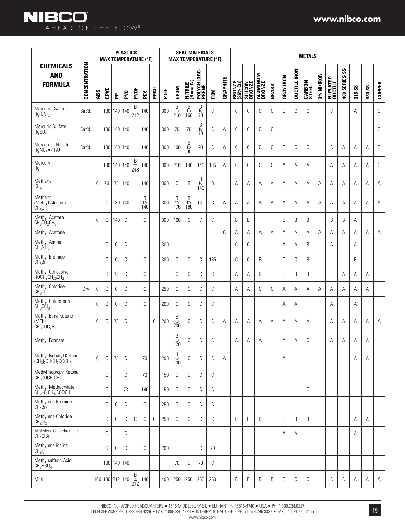|                                                                      |               |     | <b>MAX TEMPERATURE (°F)</b> |                 | <b>PLASTICS</b> |                                                      |                            |      |      |                            |                            | <b>SEAL MATERIALS</b>      | <b>MAX TEMPERATURE (°F)</b> |          |                    |                   |                    |       |                  |              | <b>METALS</b>   |            |                      |                  |        |               |               |
|----------------------------------------------------------------------|---------------|-----|-----------------------------|-----------------|-----------------|------------------------------------------------------|----------------------------|------|------|----------------------------|----------------------------|----------------------------|-----------------------------|----------|--------------------|-------------------|--------------------|-------|------------------|--------------|-----------------|------------|----------------------|------------------|--------|---------------|---------------|
| <b>CHEMICALS</b><br><b>AND</b><br><b>FORMULA</b>                     | CONCENTRATION | ABS | CPVC                        | 운               | PVC             | PVDF                                                 | PEX                        | PPSU | PTFE | EPDM                       | NITRILE<br>(Buna-N)        | POLYCHLORO-<br>PRENE       | <b>FKM</b>                  | GRAPHITE | BRONZE<br>(85% Cu) | SILICON<br>BRONZE | ALUMINUM<br>BRONZE | BRASS | <b>GRAY IRON</b> | DUCTILE IRON | CARBON<br>STEEL | 3% NI/IRON | NI PLATED<br>Ductile | SS<br>400 SERIES | 316 SS | <b>630 SS</b> | <b>COPPER</b> |
| Mercuric Cyanide<br>$Hg(CN)_2$                                       | Sat'd         |     | 180                         |                 | 140 140         | $\frac{B}{t0}$<br>212                                | 140                        |      | 300  | B<br>$\frac{10}{210}$      | B<br>$\frac{10}{160}$      | B<br>$\frac{10}{70}$       | C                           |          | C                  | С                 | С                  | С     | C                | С            | C               |            | C                    |                  | Α      |               | C             |
| Mercuric Sulfate<br>HgSO <sub>4</sub>                                | Sat'd.        |     |                             | 180 140 140     |                 |                                                      | 140                        |      | 300  | 70                         | 70                         | $\frac{B}{10}$             | C                           | Α        | C                  | С                 | С                  | С     |                  |              |                 |            |                      |                  |        |               | C             |
| Mercurous Nitrate<br>$HgNO3$ $\bullet$ <sub>2</sub> H <sub>2</sub> O | Sat'd         |     |                             | 180 140 140     |                 |                                                      | 140                        |      | 300  | 100                        | B<br>to<br>$90^{\circ}$    | 90                         | C                           | Α        | C                  | С                 | С                  | С     | C                | C            | C               |            | C                    | Α                | Α      | A             | C             |
| Mercury<br>Hg                                                        |               |     |                             | 180   140   140 |                 | $_{\rm to}^{\rm B}$<br>248                           | 140                        |      | 300  | 210                        | 140                        | 140                        | 185                         | A        | С                  | С                 | С                  | C     | A                | Α            | Α               |            | A                    | Α                | Α      | A             | C             |
| Methane<br>CH <sub>4</sub>                                           |               | С   | 73                          | 73              | 140             |                                                      | 140                        |      | 300  | C                          | B                          | $_{\rm to}^{\rm B}$<br>140 | B                           |          | A                  | Α                 | Α                  | Α     | Α                | Α            | Α               | Α          | Α                    | Α                | Α      | Α             | Α             |
| Methanol<br>(Methyl Alcohol)<br>CH <sub>3</sub> OH                   |               |     | С                           |                 | 180 140         |                                                      | $_{\rm to}^{\rm B}$<br>140 |      | 300  | $_{\rm to}^{\rm B}$<br>176 | $_{\rm to}^{\rm B}$<br>160 | 160                        | C                           | Α        | Α                  | Α                 | Α                  | Α     | Α                | Α            | Α               | Α          | Α                    | Α                | Α      | Α             | Α             |
| Methyl Acetate<br>$CH_3CO_2CH_3$                                     |               | С   | C                           | 140             | C               |                                                      | С                          |      | 300  | 160                        | C                          | C                          | C                           |          | B                  | B                 |                    |       | B                | В            | B               |            | B                    | B                | Α      |               |               |
| Methyl Acetone                                                       |               |     |                             |                 |                 |                                                      |                            |      |      |                            |                            |                            |                             | C        | Α                  | А                 | Α                  | Α     | Α                | Α            | Α               | Α          | Α                    | Α                | Α      | Α             | Α             |
| Methyl Amine<br>CH <sub>3</sub> NH <sub>2</sub>                      |               |     | С                           | С               | С               |                                                      |                            |      | 300  |                            |                            |                            |                             |          | C                  | С                 |                    |       | А                | Α            | B               |            | A                    |                  | A      |               |               |
| Methyl Bromide<br>$CH_3Br$                                           |               |     | С                           | С               | С               |                                                      | C                          |      | 300  | C                          | C                          | C                          | 185                         |          | C                  | C                 | B                  |       | C                | C            | B               |            |                      |                  | B      |               |               |
| Methyl Cellosolve<br>$HOCH2CH20CH3$                                  |               |     | С                           | 73              | C               |                                                      | С                          |      |      | C                          | C                          | C                          | С                           |          | Α                  | Α                 | B                  |       | B                | В            | B               |            |                      | Α                | Α      | Α             |               |
| Methyl Chloride<br>CH <sub>3</sub> Cl                                | Dry           | С   | С                           | C               | С               |                                                      | С                          |      | 250  | С                          | C                          | C                          | C                           |          | Α                  | Α                 | С                  | C     | А                | Α            | Α               | Α          | Α                    | A                | Α      | A             |               |
| Methyl Chloroform<br>$CH3$ CCI <sub>3</sub>                          |               | С   | С                           | С               | С               |                                                      | C                          |      | 200  | C                          | С                          | C                          | C                           |          |                    |                   |                    |       | Α                | Α            |                 |            | Α                    |                  | Α      |               |               |
| Methyl Ethyl Ketone<br>(MEK)<br>$CH_3COC_2H_5$                       |               | C   | C                           | 73              | C               |                                                      |                            | C    | 200  | B<br>to<br>200             | C                          | C                          | C                           | A        | Α                  | A                 | A                  | A     | А                | Α            | A               |            | A                    | A                | A      | Α             | Α             |
| Methyl Formate                                                       |               |     |                             |                 |                 |                                                      |                            |      |      | B<br>to<br>120             | С                          | C                          | С                           |          | А                  | Α                 | Α                  |       | Α                | Α            | С               |            | Α                    | Α                | Α      | Α             |               |
| Methyl Isobutyl Ketone<br>$(CH3)2CHCH2COCH3$                         |               | С   | С                           | 73              | C               |                                                      | 73                         |      | 200  | $_{\rm to}^{\rm B}$<br>130 | C                          | C                          | C                           | A        |                    |                   |                    |       | Α                |              |                 |            |                      |                  | Α      | Α             |               |
| Methyl Isopropyl Ketone<br>$CH_3COCH(CH_3)_2$                        |               |     | С                           |                 | С               |                                                      | 73                         |      | 150  | C                          | C                          | С                          | C                           |          |                    |                   |                    |       |                  |              |                 |            |                      |                  |        |               |               |
| Methyl Methacrylate<br>$CH_2 = C(CH_3)COOCH_3$                       |               |     | С                           |                 | 73              |                                                      | 140                        |      | 150  | С                          | C                          | С                          | C                           |          |                    |                   |                    |       |                  |              | C               |            |                      |                  |        |               |               |
| Methylene Bromide<br>CH <sub>2</sub> Br <sub>2</sub>                 |               |     | С                           | С               | С               |                                                      | С                          |      | 250  | C                          | C                          | C                          | C                           |          |                    |                   |                    |       |                  |              |                 |            |                      |                  |        |               |               |
| Methylene Chloride<br>CH <sub>2</sub> Cl <sub>2</sub>                |               |     | С                           | С               | С               | С                                                    | C                          | C    | 250  | C                          | C                          | C                          | C                           |          | B                  | B                 | B                  |       | B                | B            | B               |            |                      |                  | Α      | Α             |               |
| Methylene Chlorobromide<br>CH <sub>2</sub> CIBr                      |               |     | С                           |                 | С               |                                                      |                            |      |      |                            |                            |                            |                             |          |                    |                   |                    |       | Α                | Α            |                 |            |                      |                  | Α      |               |               |
| Methylene lodine<br>CH <sub>2</sub> I <sub>2</sub>                   |               |     | С                           | С               | С               |                                                      | C                          |      | 200  |                            |                            | C                          | 70                          |          |                    |                   |                    |       |                  |              |                 |            |                      |                  |        |               |               |
| Methylsulfuric Acid<br>CH <sub>3</sub> HSO <sub>4</sub>              |               |     |                             | 180 140 140     |                 |                                                      |                            |      |      | 70                         | C                          | 70                         | C                           |          |                    |                   |                    |       |                  |              |                 |            |                      |                  |        |               |               |
| Milk                                                                 |               |     | 160 180 212 140             |                 |                 | $\begin{array}{c} B \\ \text{to} \\ 212 \end{array}$ | 140                        |      | 400  | 250                        | 250                        | 250                        | 250                         |          | B                  | B                 | В                  | B     | С                | С            | С               |            | C                    | С                | Α      | Α             | A             |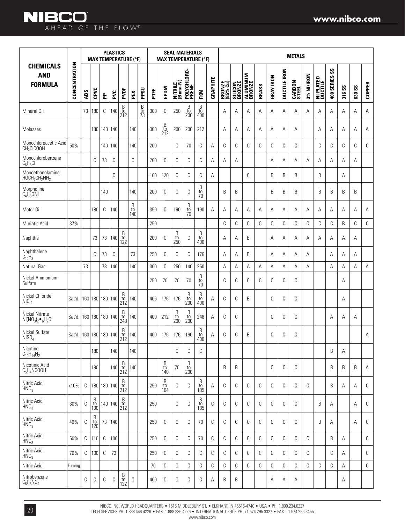|                                                                       |                        |     | <b>MAX TEMPERATURE (°F)</b> |     | <b>PLASTICS</b> |                                                      |                                                      |                |      |                            |                                                    | <b>SEAL MATERIALS</b>      | <b>MAX TEMPERATURE (°F)</b>                                        |                 |                    |                          |                    |       |                  |                     | <b>METALS</b>          |            |                      |                             |                      |                               |               |
|-----------------------------------------------------------------------|------------------------|-----|-----------------------------|-----|-----------------|------------------------------------------------------|------------------------------------------------------|----------------|------|----------------------------|----------------------------------------------------|----------------------------|--------------------------------------------------------------------|-----------------|--------------------|--------------------------|--------------------|-------|------------------|---------------------|------------------------|------------|----------------------|-----------------------------|----------------------|-------------------------------|---------------|
| <b>CHEMICALS</b><br><b>AND</b><br><b>FORMULA</b>                      | CONCENTRATION          | ABS | CPVC                        | 운   | PVC             | PVDF                                                 | PEX                                                  | PPSU           | PTFE | EPDM                       | NITRILE<br>(Buna-N)                                | POLYCHLORO-<br>Prene       | FKM                                                                | <b>GRAPHITE</b> | BRONZE<br>(85% Cu) | <b>SILICON</b><br>BRONZE | ALUMINUM<br>BRONZE | BRASS | <b>GRAY IRON</b> | <b>DUCTILE IRON</b> | <b>CARBON</b><br>STEEL | 3% NI/IRON | NI PLATED<br>DUCTILE | $\mathsf{ss}$<br>400 SERIES | $\mathsf{ss}$<br>316 | $\mathsf{S}\mathsf{S}$<br>630 | <b>COPPER</b> |
| Mineral Oil                                                           |                        | 73  | 180                         | C   | 140             | B<br>to<br>212                                       |                                                      | $\frac{B}{73}$ | 300  | C                          | 250                                                | B<br>$\frac{10}{200}$      | $_{\rm to}^{\rm B}$<br>400                                         |                 | A                  | Α                        | Α                  | Α     | Α                | A                   | Α                      | Α          | A                    | Α                           | Α                    | Α                             | Α             |
| Molasses                                                              |                        |     | 180                         |     | 140 140         |                                                      | 140                                                  |                | 300  | $_{\rm to}^{\rm B}$<br>212 | 200                                                | 200                        | 212                                                                |                 | Α                  | Α                        | Α                  | Α     | Α                | Α                   | Α                      |            | Α                    | Α                           | Α                    | Α                             | Α             |
| Monochloroacetic Acid<br>CH <sub>2</sub> CICOOH                       | 50%                    |     |                             | 140 | 140             |                                                      | 140                                                  |                | 200  |                            | C                                                  | 70                         | С                                                                  | A               | C                  | C                        | C                  | C     | С                | C                   | С                      |            | C                    | C                           | C                    | C                             | C             |
| Monochlorobenzene<br>$C_6H_5Cl$                                       |                        |     | C                           | 73  | C               |                                                      | C                                                    |                | 200  | C                          | C                                                  | C                          | C                                                                  | Α               | Α                  | Α                        |                    |       | Α                | Α                   | Α                      | Α          | Α                    | Α                           | Α                    | Α                             |               |
| Monoethanolamine<br>HOCH <sub>2</sub> CH <sub>2</sub> NH <sub>2</sub> |                        |     |                             |     | C               |                                                      |                                                      |                | 100  | 120                        | С                                                  | C                          | С                                                                  | Α               |                    |                          | C                  |       | B                | B                   | B                      |            | B                    |                             | Α                    |                               |               |
| Morpholine<br>$C_4H_8ONH$                                             |                        |     |                             | 140 |                 |                                                      | 140                                                  |                | 200  | C                          | C                                                  | C                          | B<br>to<br>$\overline{70}$                                         |                 | B                  | B                        |                    |       | B                | B                   | B                      |            | B                    | B                           | B                    | B                             |               |
| Motor Oil                                                             |                        |     | 180                         | C   | 140             |                                                      | $\begin{array}{c} B \\ \text{to} \\ 140 \end{array}$ |                | 350  | C                          | 190                                                | B<br>$\frac{10}{70}$       | 190                                                                | A               | A                  | Α                        | Α                  | Α     | Α                | Α                   | Α                      | A          | A                    | Α                           | A                    | A                             | A             |
| Muriatic Acid                                                         | 37%                    |     |                             |     |                 |                                                      |                                                      |                | 250  |                            |                                                    |                            |                                                                    |                 | С                  | C                        | С                  | C     | С                | C                   | С                      | C          | C                    | C                           | B                    | C                             | C             |
| Naphtha                                                               |                        |     | 73                          | 73  | 140             | B<br>to<br>122                                       |                                                      |                | 200  | C                          | $\begin{array}{c} B \\ \rm{to} \\ 250 \end{array}$ | C                          | $\begin{array}{c} \text{B} \\ \text{to} \\ \text{400} \end{array}$ |                 | Α                  | Α                        | B                  |       | Α                | Α                   | Α                      | Α          | Α                    | Α                           | Α                    | Α                             |               |
| Naphthalene<br>$C_{10}H_8$                                            |                        |     | C                           | 73  | C               |                                                      | 73                                                   |                | 250  | C                          | C                                                  | C                          | 176                                                                |                 | A                  | Α                        | B                  |       | Α                | Α                   | Α                      | A          |                      | Α                           | Α                    | A                             |               |
| Natural Gas                                                           |                        | 73  |                             | 73  | 140             |                                                      | 140                                                  |                | 300  | C                          | 250                                                | 140                        | 250                                                                |                 | Α                  | Α                        | Α                  | Α     | Α                | Α                   | Α                      | A          |                      | A                           | Α                    | Α                             | Α             |
| Nickel Ammonium<br>Sulfate                                            |                        |     |                             |     |                 |                                                      |                                                      |                | 250  | 70                         | 70                                                 | 70                         | $_{\rm to}^{\rm B}$<br>70                                          |                 | С                  | C                        | C                  | C     | С                | C                   | С                      |            |                      |                             | Α                    |                               |               |
| Nickel Chloride<br>NiCl <sub>2</sub>                                  | Sat'd.                 |     | . 160 180 180 140           |     |                 | $_{\rm to}^{\rm B}$<br>212                           | 140                                                  |                | 406  | 176                        | 176                                                | B<br>to<br>200             | $_{\rm to}^{\rm B}$<br>400                                         | A               | C                  | C                        | B                  |       | C                | C                   | С                      |            |                      |                             | Α                    |                               |               |
| Nickel Nitrate<br>$Ni(NO3)2 •6H2O$                                    | Sat'd. 160 180 180 140 |     |                             |     |                 | B<br>to<br>248                                       | 140                                                  |                | 400  | 212                        | $_{\rm to}^{\rm B}$<br>200                         | B<br>to<br>200             | 248                                                                | A               | C                  | C                        |                    |       | С                | C                   | С                      |            |                      | Α                           | Α                    | Α                             |               |
| <b>Nickel Sulfate</b><br>NiSO <sub>4</sub>                            | Sat'd. 160 180 180 140 |     |                             |     |                 | B<br>to<br>212                                       | 140                                                  |                | 400  | 176                        | 176                                                | 160                        | $\begin{array}{c} B \\ to \\ 400 \end{array}$                      | Α               | C                  | C                        | B                  |       | C                | C                   | С                      |            |                      |                             |                      |                               | Α             |
| Nicotine<br>$C_{10}H_{14}N_2$                                         |                        |     | 180                         |     | 140             |                                                      | 140                                                  |                |      |                            | C                                                  | C                          | C                                                                  |                 |                    |                          |                    |       |                  |                     |                        |            |                      | B                           | Α                    |                               |               |
| Nicotinic Acid<br>$C_5H_4NCOOH$                                       |                        |     | 180                         |     | 140             | $\begin{array}{c} B \\ \text{to} \\ 212 \end{array}$ | 140                                                  |                |      | $\frac{B}{t0}$<br>140      | 70                                                 | $_{\rm to}^{\rm B}$<br>200 |                                                                    |                 | B                  | B                        |                    |       | С                | С                   | С                      |            |                      | B                           | B                    | B                             | Α             |
| Nitric Acid<br>HNO <sub>3</sub>                                       | < 10%                  | C   |                             |     | 180 180 140     | $_{\rm to}^{\rm B}$<br>212                           |                                                      |                | 250  | $_{\rm to}^{\rm B}$<br>104 | $\mathbb C$                                        | С                          | $_{\rm to}^{\rm B}$<br>185                                         | A               | C                  | C                        | C                  | C     | C                | C                   | С                      | C          |                      | B                           | Α                    | Α                             | C             |
| Nitric Acid<br>HNO <sub>3</sub>                                       | 30%                    | С   | $_{\rm to}^{\rm B}$<br>130  |     | 140 140         | B<br>to<br>212                                       |                                                      |                | 250  |                            | С                                                  | С                          | $_{\rm to}^{\rm B}$<br>185                                         | С               | C                  | C                        | C                  | C     | C                | C                   | С                      |            | B                    | Α                           |                      | Α                             | C             |
| Nitric Acid<br>HNO <sub>3</sub>                                       | 40%                    | С   | B<br>to<br>120              |     | 73 140          |                                                      |                                                      |                | 250  | C                          | С                                                  | C                          | 70                                                                 | C               | C                  | C                        | C                  | C     | С                | C                   | С                      |            | B                    | A                           |                      | A                             | С             |
| Nitric Acid<br>HNO <sub>3</sub>                                       | 50%                    | С   | 110                         | C   | 100             |                                                      |                                                      |                | 250  | C                          | С                                                  | C                          | 70                                                                 | C               | C                  | C                        | C                  | C     | С                | С                   | С                      | С          |                      | B                           | Α                    |                               | C             |
| Nitric Acid<br>HNO <sub>3</sub>                                       | 70%                    | C   | 100                         | C   | 73              |                                                      |                                                      |                | 250  | С                          | C                                                  | С                          | С                                                                  | С               | С                  | C                        | C                  | C     | С                | С                   | С                      | С          |                      | C                           | Α                    |                               | С             |
| Nitric Acid                                                           | Fuming                 |     |                             |     |                 |                                                      |                                                      |                | 70   | C                          | С                                                  | С                          | С                                                                  | C               | C                  | C                        | C                  | C     | С                | С                   | С                      | C          | С                    | C                           | Α                    |                               | $\mathbb C$   |
| Nitrobenzene<br>$C_6H_5NO_2$                                          |                        | С   | C                           | С   | С               | B<br>to<br>122                                       | С                                                    |                | 400  | С                          | С                                                  | С                          | С                                                                  | Α               | B                  | B                        |                    |       | Α                | Α                   | Α                      |            |                      |                             | Α                    |                               |               |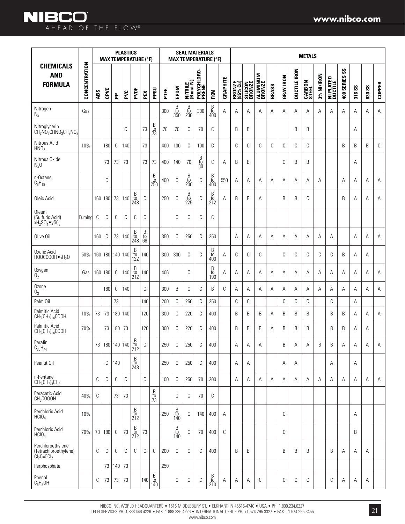|                                                                                                    |               | <b>PLASTICS</b><br><b>MAX TEMPERATURE (°F)</b> |         |             |                                 |                                                      |                                                     |                                                      |      |                                                                    | <b>SEAL MATERIALS</b><br><b>MAX TEMPERATURE (°F)</b> |                                              |                                                                                         |          |                    |                   |                           |       |                  |                     | <b>METALS</b>          |            |                             |                                       |        |               |               |
|----------------------------------------------------------------------------------------------------|---------------|------------------------------------------------|---------|-------------|---------------------------------|------------------------------------------------------|-----------------------------------------------------|------------------------------------------------------|------|--------------------------------------------------------------------|------------------------------------------------------|----------------------------------------------|-----------------------------------------------------------------------------------------|----------|--------------------|-------------------|---------------------------|-------|------------------|---------------------|------------------------|------------|-----------------------------|---------------------------------------|--------|---------------|---------------|
| <b>CHEMICALS</b><br><b>AND</b><br><b>FORMULA</b>                                                   | CONCENTRATION | ABS                                            | CPVC    | 운           | PVC                             | PVDF                                                 | PEX                                                 | PPSU                                                 | PTFE | EPDM                                                               | NITRILE<br>(Buna-N)                                  | POLYCHLORO-<br>PRENE                         | <b>FKM</b>                                                                              | GRAPHITE | BRONZE<br>(85% Cu) | SILICON<br>BRONZE | <b>ALUMINUM</b><br>BRONZE | BRASS | <b>GRAY IRON</b> | <b>DUCTILE IRON</b> | <b>CARBON</b><br>STEEL | 3% NI/IRON | <b>NI PLATED</b><br>Ductile | $\mathsf{S} \mathsf{S}$<br>400 SERIES | 316 SS | <b>630 SS</b> | <b>COPPER</b> |
| Nitrogen<br>$N_2$                                                                                  | Gas           |                                                |         |             |                                 |                                                      |                                                     |                                                      | 300  | $\begin{array}{c} \text{B} \\ \text{to} \\ \text{350} \end{array}$ | $\begin{array}{c} B \\ \rm{to} \\ 230 \end{array}$   | 300                                          | $\begin{array}{c} \text{B} \\ \text{to} \\ \text{400} \end{array}$                      | Α        | A                  | Α                 | Α                         | Α     | Α                | Α                   | А                      | Α          | A                           | Α                                     | Α      | Α             | Α             |
| Nitroglycerin<br>CH <sub>2</sub> NO <sub>3</sub> CHNO <sub>3</sub> CH <sub>2</sub> NO <sub>3</sub> |               |                                                |         |             | C                               |                                                      | 73                                                  | $\frac{B}{73}$                                       | 70   | 70                                                                 | C                                                    | 70                                           | C                                                                                       |          | B                  | B                 |                           |       |                  | B                   | B                      |            |                             |                                       | Α      |               |               |
| Nitrous Acid<br>HNO <sub>2</sub>                                                                   | 10%           |                                                | 180     | С           | 140                             |                                                      | 73                                                  |                                                      | 400  | 100                                                                | C                                                    | 100                                          | C                                                                                       |          | C                  | C                 | C                         | C     | C                | С                   | C                      |            |                             | B                                     | B      | B             | C             |
| Nitrous Oxide<br>N <sub>2</sub> 0                                                                  |               |                                                | 73      | 73          | 73                              |                                                      | 73                                                  | 73                                                   | 400  | 140                                                                | 70                                                   | $\begin{array}{c} B \\ to \\ 80 \end{array}$ | C                                                                                       | A        | B                  | B                 |                           |       | C                | B                   | B                      |            |                             |                                       | A      |               |               |
| n-Octane<br>$C_8H_{18}$                                                                            |               |                                                | C       |             |                                 |                                                      |                                                     | $\frac{B}{10}$<br>250                                | 400  | C                                                                  | B<br>$\frac{10}{200}$                                | С                                            | $_{\rm to}^{\rm B}$<br>400                                                              | 550      | A                  | Α                 | A                         | A     | A                | A                   | A                      | A          |                             | A                                     | A      | Α             | Α             |
| Oleic Acid                                                                                         |               | 160                                            | 180     | 73          | 140                             | B<br>to<br>248                                       | С                                                   |                                                      | 250  | С                                                                  | B<br>$rac{10}{225}$                                  | C                                            | B<br>$\frac{10}{212}$                                                                   | A        | B                  | B                 | Α                         |       | B                | B                   | C                      |            |                             | B                                     | Α      | Α             | Α             |
| <b>Oleum</b><br>(Sulfuric Acid)<br>$xH_2SO_4\bullet ySO_3$                                         | Fuming        | C                                              | C       | C           | C                               | С                                                    | C                                                   |                                                      |      | C                                                                  | C                                                    | C                                            | C                                                                                       |          |                    |                   |                           |       |                  |                     |                        |            |                             |                                       |        |               |               |
| Olive Oil                                                                                          |               | 160                                            | C       | 73          | 140                             | $\frac{B}{t0}$<br>248                                | $\begin{array}{c} B \\ \text{to} \\ 68 \end{array}$ |                                                      | 350  | C                                                                  | 250                                                  | C                                            | 250                                                                                     |          | A                  | Α                 | Α                         | A     | Α                | Α                   | Α                      | A          | Α                           |                                       | A      | Α             | Α             |
| Oxalic Acid<br>$H00CC00H\bullet_2H_2O$                                                             | 50%           | 160                                            |         |             | 180 140 140                     | $_{\rm to}^{\rm B}$<br>122                           | 140                                                 |                                                      | 300  | 300                                                                | C                                                    | C                                            | B<br>to<br>400                                                                          | A        | C                  | C                 | C                         |       | C                | С                   | C                      | C          | C                           | B                                     | A      | A             |               |
| Oxygen<br>$0_2$                                                                                    | Gas           |                                                | 160 180 | C           | 140                             | $\begin{array}{c} B \\ \text{to} \\ 212 \end{array}$ | 140                                                 |                                                      | 406  |                                                                    | C                                                    |                                              | B<br>to<br>190                                                                          | A        | A                  | A                 | A                         | A     | A                | A                   | A                      | A          | A                           | A                                     | A      | A             | A             |
| Ozone<br>0 <sub>3</sub>                                                                            |               |                                                | 180     | C           | 140                             |                                                      | C                                                   |                                                      | 300  | B                                                                  | C                                                    | C                                            | B                                                                                       | C        | A                  | A                 | A                         | A     | A                | Α                   | A                      | A          | A                           | A                                     | A      | A             | Α             |
| Palm Oil                                                                                           |               |                                                |         | 73          |                                 |                                                      | 140                                                 |                                                      | 200  | С                                                                  | 250                                                  | $\mathbb C$                                  | 250                                                                                     |          | C                  | С                 |                           |       | С                | $\mathbb C$         | C                      |            | $\mathbb C$                 |                                       | А      |               |               |
| Palmitic Acid<br>$CH_3CH_2)_{14}$ COOH                                                             | 10%           | 73                                             | 73      | 180         | 140                             |                                                      | 120                                                 |                                                      | 300  | C                                                                  | 220                                                  | C                                            | 400                                                                                     |          | B                  | B                 | B                         | A     | B                | B                   | B                      |            | B                           | B                                     | Α      | Α             | Α             |
| Palmitic Acid<br>$CH_3(CH_2)_{14}$ COOH                                                            | 70%           |                                                | 73      | 180         | 73                              |                                                      | 120                                                 |                                                      | 300  | C                                                                  | 220                                                  | C                                            | 400                                                                                     |          | B                  | B                 | B                         | A     | B                | B                   | B                      |            | B                           | B                                     | A      | A             |               |
| Parafin<br>$C_{36}H_{74}$                                                                          |               |                                                |         |             | 73   180   140   140   to   212 | B                                                    | С                                                   |                                                      | 250  | С                                                                  | 250                                                  | С                                            | 400                                                                                     |          | Α                  | Α                 | Α                         |       | B                | А                   | Α                      | B          | B                           | Α                                     | Α      | А             | Α             |
| Peanut Oil                                                                                         |               |                                                | С       | 140         |                                 | $\begin{array}{c} B \\ \text{to} \\ 248 \end{array}$ |                                                     |                                                      | 250  | C                                                                  | 250                                                  | C                                            | 400                                                                                     |          | A                  | Α                 |                           |       | Α                | Α                   |                        |            | А                           |                                       | Α      |               |               |
| n-Pentane<br>$CH3(CH2)3CH3$                                                                        |               | С                                              | С       | С           | C                               |                                                      | С                                                   |                                                      | 100  | C                                                                  | 250                                                  | 70                                           | 200                                                                                     |          | A                  | Α                 | Α                         | Α     | Α                | Α                   | Α                      | Α          | Α                           | Α                                     | Α      | Α             | Α             |
| Peracetic Acid<br>CH <sub>3</sub> COOOH                                                            | 40%           | С                                              |         | 73          | 73                              |                                                      |                                                     | $\frac{B}{73}$                                       |      | С                                                                  | С                                                    | 70                                           | C                                                                                       |          |                    |                   |                           |       |                  |                     |                        |            |                             |                                       |        |               |               |
| Perchloric Acid<br>HCIO <sub>4</sub>                                                               | 10%           |                                                |         |             |                                 | $\frac{B}{t0}$<br>212                                |                                                     |                                                      | 250  | $_{\rm to}^{\rm B}$<br>140                                         | С                                                    | 140                                          | 400                                                                                     | Α        |                    |                   |                           |       | C                |                     |                        |            |                             |                                       | А      |               |               |
| Perchloric Acid<br>HCIO <sub>4</sub>                                                               | 70%           | 73                                             | 180     | $\mathbb C$ | 73                              | $\begin{array}{c} B \\ \text{to} \\ 212 \end{array}$ | 73                                                  |                                                      |      | B<br>to<br>140                                                     | С                                                    | 70                                           | 400                                                                                     | C        |                    |                   |                           |       | C                |                     |                        |            |                             |                                       | B      |               |               |
| Perchloroethylene<br>(Tetrachloroethylene)<br>$CI_2C = CCI_2$                                      |               | С                                              | C       | C           | C                               | C                                                    | С                                                   | C                                                    | 200  | $\mathbb{C}$                                                       | C                                                    | C                                            | 400                                                                                     |          | B                  | B                 |                           |       | B                | B                   | B                      |            | B                           | A                                     | A      | A             |               |
| Perphosphate                                                                                       |               |                                                | 73      | 140         | 73                              |                                                      |                                                     |                                                      | 250  |                                                                    |                                                      |                                              |                                                                                         |          |                    |                   |                           |       |                  |                     |                        |            |                             |                                       |        |               |               |
| Phenol<br>$C_6H_5OH$                                                                               |               | $\mathbb C$                                    | $73\,$  | 73          | 73                              |                                                      | 140                                                 | $\begin{array}{c} B \\ \text{to} \\ 140 \end{array}$ |      | С                                                                  | С                                                    | C                                            | $\begin{smallmatrix} \mathsf{B}\ \mathsf{t}\mathsf{0}\ \mathsf{210}\ \end{smallmatrix}$ | Α        | Α                  | Α                 | C                         |       | С                | С                   | C                      |            | С                           | Α                                     | А      | Α             |               |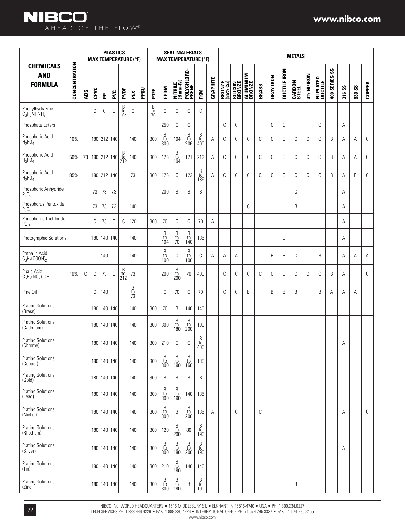|                                                  |               |     |                      |                 | <b>PLASTICS</b> |                                                      | <b>MAX TEMPERATURE (°F)</b> |      |                |                                                                    | <b>SEAL MATERIALS</b><br><b>MAX TEMPERATURE (°F)</b>                 |                                                                      |                                                                    |          |                    |                          |                           |       |                  |                     | <b>METALS</b>          |            |                      |               |        |               |               |
|--------------------------------------------------|---------------|-----|----------------------|-----------------|-----------------|------------------------------------------------------|-----------------------------|------|----------------|--------------------------------------------------------------------|----------------------------------------------------------------------|----------------------------------------------------------------------|--------------------------------------------------------------------|----------|--------------------|--------------------------|---------------------------|-------|------------------|---------------------|------------------------|------------|----------------------|---------------|--------|---------------|---------------|
| <b>CHEMICALS</b><br><b>AND</b><br><b>FORMULA</b> | CONCENTRATION | ABS | CPVC                 | 운               | PVC             | PVDF                                                 | PEX                         | PPSU | PTE            | EPDM                                                               | NITRILE<br>(Buna-N)                                                  | POLYCHLORO-<br>Prene                                                 | FKM                                                                | GRAPHITE | BRONZE<br>(85% Cu) | <b>SILICON</b><br>BRONZE | <b>ALUMINUM</b><br>BRONZE | BRASS | <b>GRAY IRON</b> | <b>DUCTILE IRON</b> | <b>CARBON</b><br>STEEL | 3% NI/IRON | NI PLATED<br>Ductile | 400 SERIES SS | 316 SS | <b>630 SS</b> | <b>COPPER</b> |
| Phenylhydrazine<br>$C_6H_5NHNH_2$                |               |     | C                    | C               | C               | $_{\rm to}^{\rm B}$<br>104                           | $\mathbb C$                 |      | $\frac{B}{10}$ | C                                                                  | С                                                                    | C                                                                    | C                                                                  |          |                    |                          |                           |       |                  |                     |                        |            |                      |               |        |               |               |
| Phosphate Esters                                 |               |     |                      |                 |                 |                                                      |                             |      |                | 250                                                                | С                                                                    | $\mathbb C$                                                          |                                                                    |          | $\mathbb C$        | C                        |                           |       | $\mathbb C$      | $\mathsf C$         |                        |            | $\mathbb C$          |               | А      |               |               |
| Phosphoric Acid<br>$H_3PO_4$                     | 10%           |     |                      | 180 212 140     |                 |                                                      | 140                         |      | 300            | $_{\rm to}^{\rm B}$<br>300                                         | 104                                                                  | $_{\rm to}^{\rm B}$<br>206                                           | $\begin{array}{c} \text{B} \\ \text{to} \\ \text{400} \end{array}$ | Α        | C                  | C                        | С                         | C     | С                | C                   | С                      | C          | C                    | B             | Α      | Α             | С             |
| Phosphoric Acid<br>$H_3PO_4$                     | 50%           |     | 73   180   212   140 |                 |                 | $\begin{array}{c} B \\ \text{to} \\ 212 \end{array}$ | 140                         |      | 300            | 176                                                                | $\frac{B}{10}$<br>104                                                | 171                                                                  | 212                                                                | Α        | С                  | C                        | С                         | C     | С                | C                   | С                      | C          | С                    | B             | Α      | Α             | С             |
| Phosphoric Acid<br>$H_3PO_4$                     | 85%           |     |                      | 180 212 140     |                 |                                                      | 73                          |      | 300            | 176                                                                | C                                                                    | 122                                                                  | $\begin{array}{c} B \\ \text{to} \\ 185 \end{array}$               | Α        | C                  | C                        | С                         | C     | С                | C                   | C                      | C          | C                    | B             | Α      | B             | С             |
| Phosphoric Anhydride<br>$P_2O_5$                 |               |     | 73                   | 73              | 73              |                                                      |                             |      |                | 200                                                                | B                                                                    | B                                                                    | B                                                                  |          |                    |                          |                           |       |                  |                     | С                      |            |                      |               | Α      |               |               |
| Phosphorus Pentoxide<br>$P_2O_5$                 |               |     | 73                   | 73              | 73              |                                                      | 140                         |      |                |                                                                    |                                                                      |                                                                      |                                                                    |          |                    |                          | C                         |       |                  |                     | B                      |            |                      |               | Α      |               |               |
| Phosphorus Trichloride<br>PCI <sub>3</sub>       |               |     | C                    | 73              | C               | C                                                    | 120                         |      | 300            | 70                                                                 | C                                                                    | C                                                                    | 70                                                                 | A        |                    |                          |                           |       |                  |                     |                        |            |                      |               | Α      |               |               |
| Photographic Solutions                           |               |     |                      | 180 140 140     |                 |                                                      | 140                         |      |                | $\begin{array}{c} B \\ \text{to} \\ 104 \end{array}$               | $\frac{B}{10}$                                                       | $\begin{array}{c} B \\ \mathrm{t0} \\ 140 \end{array}$               | 185                                                                |          |                    |                          |                           |       |                  | C                   |                        |            |                      |               | Α      |               |               |
| <b>Phthalic Acid</b><br>$C_6H_4(COOH)_2$         |               |     |                      | 140             | C               |                                                      | 140                         |      |                | $\begin{array}{c} \text{B} \\ \text{to} \\ 100 \end{array}$        | C                                                                    | $\begin{array}{c} B \\ \mathrm{to} \\ 100 \end{array}$               | C                                                                  | Α        | Α                  | Α                        |                           |       | B                | B                   | С                      |            | B                    |               | Α      | Α             | Α             |
| Picric Acid<br>$C_6H_2(NO_2)_3OH$                | 10%           | С   | $\mathbb C$          | 73              | $\mathbb C$     | $_{\rm to}^{\rm B}$<br>212                           | 73                          |      |                | 200                                                                | $\begin{array}{c} \text{B} \\ \text{to} \\ \text{200} \end{array}$   | 70                                                                   | 400                                                                |          | С                  | C                        | С                         | C     | С                | C                   | С                      | C          | C                    | B             | Α      |               | С             |
| Pine Oil                                         |               |     | C                    | 140             |                 |                                                      | $\frac{B}{10}$              |      |                | C                                                                  | 70                                                                   | C                                                                    | 70                                                                 |          | С                  | C                        | Β                         |       | B                | B                   | B                      |            | B                    | Α             | Α      | Α             |               |
| <b>Plating Solutions</b><br>(Brass)              |               |     |                      | 180 140 140     |                 |                                                      | 140                         |      | 300            | 70                                                                 | B                                                                    | 140                                                                  | 140                                                                |          |                    |                          |                           |       |                  |                     |                        |            |                      |               |        |               |               |
| <b>Plating Solutions</b><br>(Cadmium)            |               |     |                      | 180 140 140     |                 |                                                      | 140                         |      | 300            | 300                                                                | $\begin{array}{c} B \\ \mathrm{to} \\ 180 \end{array}$               | $\begin{smallmatrix} \mathsf{B}\ t\mathsf{0}\ 200 \end{smallmatrix}$ | 190                                                                |          |                    |                          |                           |       |                  |                     |                        |            |                      |               |        |               |               |
| <b>Plating Solutions</b><br>(Chrome)             |               |     |                      | 180 140 140     |                 |                                                      | 140                         |      | 300            | 210                                                                | C                                                                    | C                                                                    | $\beta$<br>to<br>400                                               |          |                    |                          |                           |       |                  |                     |                        |            |                      |               | Α      |               |               |
| <b>Plating Solutions</b><br>(Copper)             |               |     |                      | 180 140 140     |                 |                                                      | 140                         |      | 300            | $\begin{array}{c} \text{B} \\ \text{to} \\ \text{300} \end{array}$ | $\begin{smallmatrix} B\\t0\\190 \end{smallmatrix}$                   | $\begin{array}{c} \text{B} \\ \text{to} \\ \text{160} \end{array}$   | 185                                                                |          |                    |                          |                           |       |                  |                     |                        |            |                      |               |        |               |               |
| <b>Plating Solutions</b><br>(Gold)               |               |     |                      | 180 140 140     |                 |                                                      | 140                         |      | 300            | B                                                                  | B                                                                    | B                                                                    | B                                                                  |          |                    |                          |                           |       |                  |                     |                        |            |                      |               |        |               |               |
| <b>Plating Solutions</b><br>(lead)               |               |     |                      | 180 140 140     |                 |                                                      | 140                         |      | 300            | $\begin{array}{c} \text{B} \\ \text{to} \\ \text{300} \end{array}$ | $_{\rm to}^{\rm B}$<br>190                                           | 140                                                                  | 185                                                                |          |                    |                          |                           |       |                  |                     |                        |            |                      |               |        |               |               |
| <b>Plating Solutions</b><br>(Nickel)             |               |     |                      | 180 140 140     |                 |                                                      | 140                         |      | 300            | $\beta$<br>$\frac{10}{300}$                                        | B                                                                    | $_{\rm to}^{\rm B}$<br><b>200</b>                                    | 185                                                                | Α        |                    | C                        |                           | C     |                  |                     |                        |            |                      |               | Α      |               | С             |
| <b>Plating Solutions</b><br>(Rhodium)            |               |     |                      | 180 140 140     |                 |                                                      | 140                         |      | 300            | 120                                                                | $\begin{array}{c} \text{B} \\ \text{to} \\ \text{200} \end{array}$   | 80                                                                   | $\begin{array}{c} B \\ \text{to} \\ 190 \end{array}$               |          |                    |                          |                           |       |                  |                     |                        |            |                      |               |        |               |               |
| <b>Plating Solutions</b><br>(Silver)             |               |     |                      | 180 140 140     |                 |                                                      | 140                         |      | 300            | $\begin{array}{c} \text{B} \\ \text{to} \\ \text{300} \end{array}$ | $\begin{smallmatrix} \mathsf{B}\ t\mathsf{0}\ 180 \end{smallmatrix}$ | $\begin{smallmatrix} \mathsf{B}\ t0\ 200 \end{smallmatrix}$          | $\begin{array}{c} B \ t0 \ 190 \end{array}$                        |          |                    |                          |                           |       |                  |                     |                        |            |                      |               | Α      |               |               |
| <b>Plating Solutions</b><br>(Tin)                |               |     |                      | 180 140 140     |                 |                                                      | 140                         |      | 300            | 210                                                                | $\begin{array}{c} \text{B} \\ \text{to} \\ 180 \end{array}$          | 140                                                                  | 140                                                                |          |                    |                          |                           |       |                  |                     |                        |            |                      |               |        |               |               |
| <b>Plating Solutions</b><br>(Zinc)               |               |     |                      | 180   140   140 |                 |                                                      | 140                         |      | 300            | $\begin{array}{c} \text{B} \\ \text{to} \\ \text{300} \end{array}$ | $\begin{smallmatrix} \mathsf{B}\ t\mathsf{0}\ 180 \end{smallmatrix}$ | B                                                                    | $\begin{array}{c} B \\ \mathrm{to} \\ 190 \end{array}$             |          |                    |                          |                           |       |                  |                     | B                      |            |                      |               |        |               |               |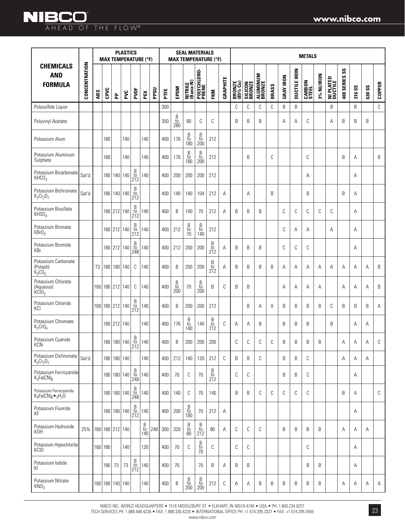|                                                      |               |     |                 |        | <b>PLASTICS</b><br><b>MAX TEMPERATURE (°F)</b> |                                                      |                                                      |      |         |                                                      |                                              | <b>SEAL MATERIALS</b>                                              | <b>MAX TEMPERATURE (°F)</b>                            |          |                    |                          |                           |       |                  |                     | <b>METALS</b>          |            |                      |                             |        |               |               |
|------------------------------------------------------|---------------|-----|-----------------|--------|------------------------------------------------|------------------------------------------------------|------------------------------------------------------|------|---------|------------------------------------------------------|----------------------------------------------|--------------------------------------------------------------------|--------------------------------------------------------|----------|--------------------|--------------------------|---------------------------|-------|------------------|---------------------|------------------------|------------|----------------------|-----------------------------|--------|---------------|---------------|
| <b>CHEMICALS</b><br><b>AND</b><br><b>FORMULA</b>     | CONCENTRATION | ABS | CPVC            | 운      | PVC                                            | PVDF                                                 | PEX                                                  | PPSU | PTE     | EPDM                                                 | NITRILE<br>(Buna-N)                          | POLYCHLORO-<br>Prene                                               | <b>FKM</b>                                             | GRAPHITE | BRONZE<br>(85% Cu) | <b>SILICON</b><br>BRONZE | <b>ALUMINUM</b><br>BRONZE | BRASS | <b>GRAY IRON</b> | <b>DUCTILE IRON</b> | <b>CARBON</b><br>STEEL | 3% NI/IRON | NI PLATED<br>Ductile | $\mathsf{ss}$<br>400 SERIES | 316 SS | <b>630 SS</b> | <b>COPPER</b> |
| Polysulfide Liquor                                   |               |     |                 |        |                                                |                                                      |                                                      |      | 300     |                                                      |                                              |                                                                    |                                                        |          | C                  | С                        | C                         | C     | B                | B                   |                        |            | B                    |                             | B      |               | $\mathbb C$   |
| Polyvinyl Acetate                                    |               |     |                 |        |                                                |                                                      |                                                      |      | 350     | B<br>to<br>280                                       | 80                                           | C                                                                  | C                                                      |          | B                  | B                        | B                         |       | A                | Α                   | C                      |            | A                    | B                           | B      | B             |               |
| Potassium Alum                                       |               |     | 180             |        | 140                                            |                                                      | 140                                                  |      | 400     | 176                                                  | B<br>to<br>180                               | $\begin{array}{c} B \\ \text{to} \\ 200 \end{array}$               | 212                                                    |          |                    |                          |                           |       |                  |                     |                        |            |                      |                             |        |               |               |
| Potassium Aluminum<br>Sulphate                       |               |     | 180             |        | 140                                            |                                                      | 140                                                  |      | 400     | 176                                                  | B<br>to<br>180                               | $\begin{array}{c} \text{B} \\ \text{to} \\ \text{200} \end{array}$ | 212                                                    |          |                    | B                        |                           | C     |                  |                     | C                      |            |                      | B                           | Α      |               | B             |
| Potassium Bicarbonate<br>KHCO <sub>3</sub>           | Sat'd         |     |                 |        | 180 140 140                                    | $_{\rm to}^{\rm B}$<br>212                           | 140                                                  |      | 400     | 200                                                  | 200                                          | 200                                                                | 212                                                    |          |                    |                          |                           |       |                  |                     | Α                      |            |                      |                             | Α      |               |               |
| Potassium Bichromate<br>$K_2Cr_2O_7$                 | Sat'd.        |     |                 |        | 180 140 140                                    | $_{\rm to}^{\rm B}$<br>212                           |                                                      |      | 400     | 140                                                  | 140                                          | 104                                                                | 212                                                    | A        |                    | A                        |                           | B     |                  |                     | B                      |            |                      | B                           | Α      |               |               |
| Potassium Bisulfate<br>KHSO <sub>4</sub>             |               |     |                 |        | 180 212 140                                    | $_{\rm to}^{\rm B}$<br>212                           | 140                                                  |      | 400     | B                                                    | 140                                          | 70                                                                 | 212                                                    | A        | B                  | B                        | B                         |       | C                | C                   | C                      | C          | C                    |                             | A      |               |               |
| Potassium Bromate<br>KBrO <sub>3</sub>               |               |     |                 |        | 180 212 140                                    | $\begin{array}{c} B \\ \text{to} \\ 212 \end{array}$ | 140                                                  |      | 400     | 212                                                  | $\begin{array}{c} B \\ to \\ 70 \end{array}$ | $\begin{array}{c} B \\ \textrm{to} \\ 140 \end{array}$             | 212                                                    |          |                    |                          |                           |       | C                | Α                   | Α                      |            | A                    |                             | A      |               |               |
| Potassium Bromide<br>KBr                             |               |     |                 |        | 180 212 140                                    | $\begin{array}{c} B \\ \text{to} \\ 248 \end{array}$ | 140                                                  |      | 400     | 212                                                  | 200                                          | 200                                                                | $\begin{array}{c} B \\ \textrm{to} \\ 212 \end{array}$ | Α        | B                  | B                        | B                         |       | C                | C                   | C                      |            |                      |                             | Α      |               |               |
| Potassium Carbonate<br>(Potash)<br>$K_2CO_3$         |               | 73  |                 |        | 180   180   140                                | C                                                    | 140                                                  |      | 400     | B                                                    | 200                                          | 200                                                                | B<br>$\frac{10}{212}$                                  | Α        | B                  | B                        | B                         | B     | Α                | Α                   | Α                      | Α          | Α                    | Α                           | Α      | Α             | B             |
| Potassium Chlorate<br>(Aqueous)<br>$k$ C $103$       |               |     | 160 180 212 140 |        |                                                | C                                                    | 140                                                  |      | 400     | $\begin{array}{c} B \\ \text{to} \\ 200 \end{array}$ | 70                                           | $\frac{B}{t0}$<br>200                                              | B                                                      | C        | B                  | B                        |                           |       | Α                | Α                   | Α                      | A          |                      | A                           | Α      | Α             | B             |
| Potassium Chloride<br>KCI                            |               |     |                 |        | 160 180 212 140                                | $\begin{array}{c} B \\ \text{to} \\ 212 \end{array}$ | 140                                                  |      | 400     | B                                                    | 200                                          | 200                                                                | 212                                                    |          |                    | B                        | A                         | A     | B                | B                   | B                      | B          | C                    | B                           | B      | B             | Α             |
| Potassium Chromate<br>$K_2$ CrO <sub>4</sub>         |               |     |                 |        | 180 212 140                                    |                                                      | 140                                                  |      | 400     | 176                                                  | B<br>$\frac{10}{140}$                        | 140                                                                | B<br>$\overline{t}$<br>212                             | C        | Α                  | Α                        | B                         |       | B                | B                   | B                      |            | B                    |                             | Α      | Α             |               |
| Potassium Cyanide<br><b>KCN</b>                      |               |     |                 |        | 180 180 140                                    | $\frac{B}{t0}$<br>212                                | 140                                                  |      | 400     | B                                                    | 200                                          | 200                                                                | 200                                                    |          | C                  | C                        | C                         | C     | B                | B                   | B                      | B          |                      | Α                           | Α      | Α             | C             |
| Potassium Dichromate<br>$K_2Cr_2O_7$                 | Sat'd.        |     |                 |        | 180 180 140                                    |                                                      | 140                                                  |      | 400     | 212                                                  | 140                                          | 120                                                                | 212                                                    | C        | B                  | B                        | C                         |       | B                | B                   | C                      |            |                      | Α                           | Α      | Α             |               |
| Potassium Ferricyanide<br>$K_3Fe(CN)_6$              |               |     |                 |        | 180 180 140                                    | $_{\rm to}^{\rm B}$<br>248                           | 140                                                  |      | 400     | 70                                                   | C                                            | 70                                                                 | B<br>$\frac{10}{212}$                                  |          | C                  | С                        |                           |       | B                | B                   | C                      |            |                      |                             | Α      |               |               |
| Potassium Ferrocyanide<br>$K_4Fe(CN)_6\bullet_3H_2O$ |               |     |                 |        | 180 180 140                                    | $_{\rm to}^{\rm B}$<br>248                           | 140                                                  |      | 400     | 140                                                  | C                                            | 70                                                                 | 140                                                    |          | B                  | B                        | C                         | C     | C                | C                   | C                      |            |                      | B                           | Α      |               | $\mathbb{C}$  |
| Potassium Fluoride<br>KF                             |               |     |                 |        | 180 180 140                                    | $_{\rm to}^{\rm B}$<br>212                           | 140                                                  |      | 400     | 200                                                  | B<br>to<br>180                               | 70                                                                 | 212                                                    | Α        |                    |                          |                           |       |                  |                     |                        |            |                      |                             | Α      |               |               |
| Potassium Hydroxide<br>KOH                           | 25%           |     |                 |        | 160 180 212 140                                |                                                      | $\begin{array}{c} B \\ \text{to} \\ 140 \end{array}$ | 248  | $300\,$ | 320                                                  | B<br>$\frac{10}{80}$                         | $\begin{array}{c} B \\ \mathrm{to} \\ 212 \end{array}$             | $80\,$                                                 | Α        | С                  | C                        | C                         |       | B                | B                   | B                      | B          |                      | Α                           | Α      | Α             |               |
| Potassium Hypochlorite<br><b>KCIO</b>                |               |     | 160 180         |        | 140                                            |                                                      | 120                                                  |      | 400     | 70                                                   | C                                            | $\begin{array}{c} B \\ \text{to} \\ 70 \end{array}$                | C                                                      |          | C                  | С                        |                           |       |                  |                     | C                      |            |                      |                             | Α      |               |               |
| Potassium lodide<br>KI                               |               |     |                 | 180 73 | 73                                             | $_{\rm to}^{\rm B}$<br>212                           | 140                                                  |      | 400     | 70                                                   |                                              | 70                                                                 | B                                                      | A        | B                  | B                        |                           |       |                  |                     | B                      | B          |                      |                             | Α      |               |               |
| Potassium Nitrate<br>KNO <sub>3</sub>                |               |     |                 |        | 160 180 140 140                                |                                                      | 140                                                  |      | 400     | B                                                    | B<br>$\frac{10}{200}$                        | B<br>$\frac{10}{200}$                                              | 212                                                    | C        | Α                  | Α                        | B                         | B     | B                | B                   | B                      | B          |                      | Α                           | Α      | Α             | A             |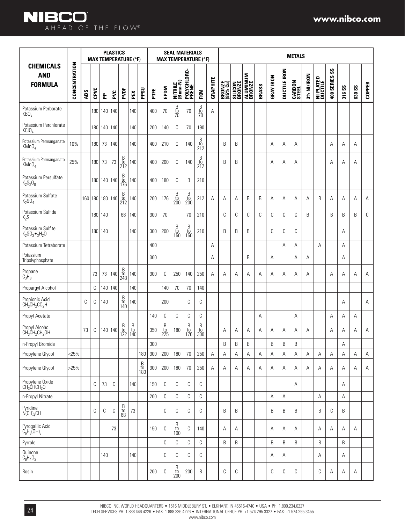### **NIBCO** AHEAD OF THE FLOW®

|                                                        |               |     |                  |                 | <b>PLASTICS</b> |                                                             | <b>MAX TEMPERATURE (°F)</b> |                            |     |                                                        | <b>SEAL MATERIALS</b>                                              |                                                                    | <b>MAX TEMPERATURE (°F)</b>                                        |                 |                           |                   |                    |       |                  |                     | <b>METALS</b>          |            |                             |                                      |        |               |               |
|--------------------------------------------------------|---------------|-----|------------------|-----------------|-----------------|-------------------------------------------------------------|-----------------------------|----------------------------|-----|--------------------------------------------------------|--------------------------------------------------------------------|--------------------------------------------------------------------|--------------------------------------------------------------------|-----------------|---------------------------|-------------------|--------------------|-------|------------------|---------------------|------------------------|------------|-----------------------------|--------------------------------------|--------|---------------|---------------|
| <b>CHEMICALS</b><br><b>AND</b><br><b>FORMULA</b>       | CONCENTRATION | ABS | CPVC             | 운               | PVC             | PVDF                                                        | PEX                         | <b>PPSU</b>                | Ë   | EPDM                                                   | NITRILE<br>(Buna-N)                                                | POLYCHLORO-<br>PRENE                                               | <b>FKM</b>                                                         | <b>GRAPHITE</b> | <b>BRONZE</b><br>(85% Cu) | SILICON<br>BRONZE | ALUMINUM<br>BRONZE | BRASS | <b>GRAY IRON</b> | <b>DUCTILE IRON</b> | <b>CARBON</b><br>STEEL | 3% NI/IRON | <b>NI PLATED</b><br>Ductile | $\mathsf{S}\mathsf{S}$<br>400 SERIES | 316 SS | <b>630 SS</b> | <b>COPPER</b> |
| Potassium Perborate<br>KBO <sub>3</sub>                |               |     |                  | 180 140 140     |                 |                                                             | 140                         |                            | 400 | 70                                                     | $\frac{B}{10}$                                                     | 70                                                                 | $\frac{B}{10}$                                                     | Α               |                           |                   |                    |       |                  |                     |                        |            |                             |                                      |        |               |               |
| Potassium Perchlorate<br>KCIO <sub>4</sub>             |               |     |                  | 180 140 140     |                 |                                                             | 140                         |                            | 200 | 140                                                    | C                                                                  | 70                                                                 | 190                                                                |                 |                           |                   |                    |       |                  |                     |                        |            |                             |                                      |        |               |               |
| Potassium Permanganate<br>KMnO <sub>4</sub>            | 10%           |     | 180 <sup>1</sup> | 73              | 140             |                                                             | 140                         |                            | 400 | 210                                                    | С                                                                  | 140                                                                | $\begin{array}{c} B \\ \rm{to} \\ 212 \end{array}$                 |                 | B                         | B                 |                    |       | A                | А                   | Α                      |            |                             | Α                                    | Α      | Α             |               |
| Potassium Permanganate<br>KMnO <sub>4</sub>            | 25%           |     | 180              | 73              | 73              | $\begin{array}{c} B \\ \text{to} \\ 212 \end{array}$        | 140                         |                            | 400 | 200                                                    | C                                                                  | 140                                                                | $\begin{array}{c} B \\ \rm{to} \\ 212 \end{array}$                 |                 | B                         | B                 |                    |       | Α                | Α                   | Α                      |            |                             | Α                                    | Α      | Α             |               |
| Potassium Persulfate<br>$K_2S_2O_8$                    |               |     |                  | 180 140 140     |                 | $rac{B}{t0}$<br>176                                         | 140                         |                            | 400 | 180                                                    | C                                                                  | B                                                                  | 210                                                                |                 |                           |                   |                    |       |                  |                     |                        |            |                             |                                      |        |               |               |
| Potassium Sulfate<br>K <sub>2</sub> SO <sub>4</sub>    |               |     |                  | 160 180 180 140 |                 | $\begin{array}{c} B \\ \text{to} \\ 212 \end{array}$        | 140                         |                            | 200 | 176                                                    | $\begin{array}{c} \text{B} \\ \text{to} \\ \text{200} \end{array}$ | $\begin{array}{c} \text{B} \\ \text{to} \\ \text{200} \end{array}$ | 212                                                                | A               | A                         | Α                 | B                  | B     | A                | Α                   | Α                      | A          | B                           | A                                    | Α      | Α             | Α             |
| Potassium Sulfide<br>$K_2S$                            |               |     |                  | 180 140         |                 | 68                                                          | 140                         |                            | 300 | 70                                                     |                                                                    | 70                                                                 | 210                                                                |                 | C                         | C                 | С                  | C     | C                | C                   | C                      | B          |                             | B                                    | B      | B             | С             |
| Potassium Sulfite<br>$K_2SO_3\bullet_2H_2O$            |               |     |                  | 180   140       |                 |                                                             | 140                         |                            | 300 | 200                                                    | $\begin{array}{c} B \\ \text{to} \\ 150 \end{array}$               | $\begin{array}{c} B \\ \mathrm{to} \\ 150 \end{array}$             | 210                                                                |                 | B                         | B                 | B                  |       | C                | C                   | C                      |            |                             |                                      | Α      |               |               |
| Potassium Tetraborate                                  |               |     |                  |                 |                 |                                                             |                             |                            | 400 |                                                        |                                                                    |                                                                    |                                                                    | А               |                           |                   |                    |       |                  | A                   | Α                      |            | A                           |                                      | A      |               |               |
| Potassium<br>Tripolyphosphate                          |               |     |                  |                 |                 |                                                             |                             |                            | 300 |                                                        |                                                                    |                                                                    |                                                                    | Α               |                           |                   | B                  |       | Α                |                     | Α                      | A          |                             |                                      | Α      |               |               |
| Propane<br>$C_3H_8$                                    |               |     | 73               | 73              | 140             | $\begin{array}{c} \text{B} \\ \text{to} \\ 248 \end{array}$ | 140                         |                            | 300 | C                                                      | 250                                                                | 140                                                                | 250                                                                | Α               | A                         | Α                 | Α                  | A     | A                | A                   | Α                      | A          |                             | A                                    | Α      | Α             | Α             |
| Propargyl Alcohol                                      |               |     | $\mathbb C$      | 140 140         |                 |                                                             | 140                         |                            |     | 140                                                    | 70                                                                 | 70                                                                 | 140                                                                |                 |                           |                   |                    |       |                  |                     |                        |            |                             |                                      |        |               |               |
| Propionic Acid<br>$CH_3CH_2CO_2H$                      |               | C   | C                | 140             |                 | $\begin{array}{c} B \\ \text{to} \\ 140 \end{array}$        | 140                         |                            |     | 200                                                    |                                                                    | C                                                                  | С                                                                  |                 |                           |                   |                    |       |                  |                     |                        |            |                             |                                      | Α      |               | Α             |
| Propyl Acetate                                         |               |     |                  |                 |                 |                                                             |                             |                            | 140 | С                                                      | С                                                                  | C                                                                  | С                                                                  |                 |                           |                   |                    | Α     |                  |                     | Α                      |            |                             | Α                                    | Α      | Α             |               |
| Propyl Alcohol<br>$CH_3CH_2CH_2OH$                     |               | 73  | C                | 140 140         |                 | $_{\rm to}^{\rm B}$<br>122                                  | $_{\rm to}^{\rm B}$<br>140  |                            | 350 | $\begin{array}{c} B \\ \textrm{to} \\ 225 \end{array}$ | 180                                                                | $_{\rm to}^{\rm B}$<br>176                                         | $\begin{array}{c} \text{B} \\ \text{to} \\ \text{300} \end{array}$ |                 | А                         | Α                 | Α                  | Α     | Α                | Α                   | Α                      | A          |                             | A                                    | Α      | Α             | Α             |
| n-Propyl Bromide                                       |               |     |                  |                 |                 |                                                             |                             |                            | 300 |                                                        |                                                                    |                                                                    |                                                                    |                 | B                         | B                 | B                  |       | B                | B                   | B                      |            |                             |                                      | А      |               |               |
| Propylene Glycol                                       | < 25%         |     |                  |                 |                 |                                                             |                             | 180                        | 300 | 200                                                    | 180                                                                | 70                                                                 | 250                                                                | Α               | А                         | Α                 | Α                  | Α     | Α                | Α                   | Α                      | Α          | Α                           | Α                                    | A      | Α             | Α             |
| Propylene Glycol                                       | >25%          |     |                  |                 |                 |                                                             |                             | $_{\rm to}^{\rm B}$<br>180 | 300 | 200                                                    | 180                                                                | 70                                                                 | 250                                                                | Α               | Α                         | Α                 | Α                  | Α     | Α                | Α                   | Α                      | Α          | Α                           | Α                                    | Α      | Α             | Α             |
| Propylene Oxide<br>CH <sub>3</sub> CHCH <sub>2</sub> O |               |     | C                | 73              | C               |                                                             | 140                         |                            | 150 | C                                                      | С                                                                  | C                                                                  | C                                                                  |                 |                           |                   |                    |       |                  |                     | Α                      |            |                             |                                      | Α      |               |               |
| n-Propyl Nitrate                                       |               |     |                  |                 |                 |                                                             |                             |                            | 200 | $\mathbb C$                                            | С                                                                  | $\mathbb C$                                                        | $\mathbb C$                                                        |                 |                           |                   |                    |       | Α                | Α                   |                        |            | Α                           |                                      | Α      |               |               |
| Pyridine<br>N(CH) <sub>4</sub> CH                      |               |     | C                | C               | C               | $\boldsymbol{\mathsf{B}}$<br>$\frac{10}{68}$                | 73                          |                            |     | C                                                      | C                                                                  | C                                                                  | $\mathbb C$                                                        |                 | B                         | B                 |                    |       | B                | B                   | B                      |            | B                           | C                                    | B      |               |               |
| Pyrogallic Acid<br>$C_6H_3(OH)_3$                      |               |     |                  |                 | 73              |                                                             |                             |                            | 150 | C                                                      | $\begin{array}{c} \text{B} \\ \text{to} \\ 100 \end{array}$        | C                                                                  | 140                                                                |                 | Α                         | Α                 |                    |       | Α                | Α                   | Α                      |            | Α                           | Α                                    | Α      | Α             |               |
| Pyrrole                                                |               |     |                  |                 |                 |                                                             |                             |                            |     | С                                                      | С                                                                  | $\mathbb C$                                                        | $\mathbb C$                                                        |                 | B                         | B                 |                    |       | B                | B                   | B                      |            | B                           |                                      | B      |               |               |
| Quinone<br>$C_6H_4O_2$                                 |               |     |                  | 140             |                 |                                                             | 140                         |                            |     | C                                                      | С                                                                  | C                                                                  | C                                                                  |                 |                           |                   |                    |       | Α                | Α                   |                        |            | Α                           |                                      | Α      |               |               |
| Rosin                                                  |               |     |                  |                 |                 |                                                             |                             |                            | 200 | C                                                      | $\begin{array}{c} \text{B} \\ \text{to} \\ \text{200} \end{array}$ | 200                                                                | B                                                                  |                 | С                         | C                 |                    |       | С                | С                   | С                      |            | С                           | Α                                    | Α      | Α             |               |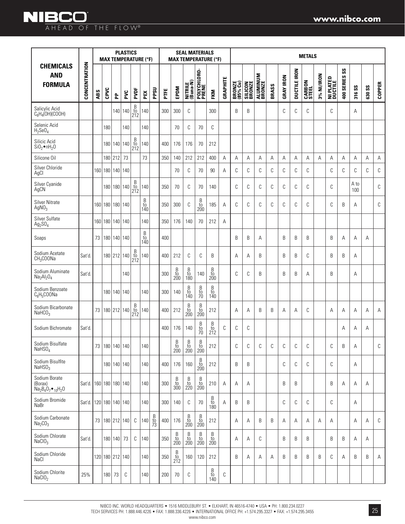|                                                     |               | <b>PLASTICS</b><br><b>MAX TEMPERATURE (°F)</b> |                 |            |                      |                                                      |                                                        |              |      |                                                                    |                                                                    | <b>SEAL MATERIALS</b>                                              | <b>MAX TEMPERATURE (°F)</b>                                 |          |                    |                          |                    |       |                  |                     | <b>METALS</b>          |            |                      |                            |             |               |               |
|-----------------------------------------------------|---------------|------------------------------------------------|-----------------|------------|----------------------|------------------------------------------------------|--------------------------------------------------------|--------------|------|--------------------------------------------------------------------|--------------------------------------------------------------------|--------------------------------------------------------------------|-------------------------------------------------------------|----------|--------------------|--------------------------|--------------------|-------|------------------|---------------------|------------------------|------------|----------------------|----------------------------|-------------|---------------|---------------|
| <b>CHEMICALS</b><br><b>AND</b><br><b>FORMULA</b>    | CONCENTRATION | ABS                                            | CPVC            | 운          | PVC                  | PVDF                                                 | PEX                                                    | <b>PPSU</b>  | PTFE | EPDM                                                               | NITRILE<br>(Buna-N)                                                | POLYCHLORO-<br>PRENE                                               | FKM                                                         | GRAPHITE | BRONZE<br>(85% Cu) | <b>SILICON</b><br>BRONZE | ALUMINUM<br>BRONZE | BRASS | <b>GRAY IRON</b> | <b>DUCTILE IRON</b> | <b>CARBON</b><br>STEEL | 3% NI/IRON | NI PLATED<br>Ductile | $\rm{^{2S}}$<br>400 SERIES | 316 SS      | <b>630 SS</b> | <b>COPPER</b> |
| Salicylic Acid<br>$C_6H_4(OH)(COOH)$                |               |                                                |                 |            | 140 140              | $_{\rm to}^{\rm B}$<br>212                           | 140                                                    |              | 300  | 300                                                                | C                                                                  |                                                                    | 300                                                         |          | B                  | B                        |                    |       | C                | C                   | C                      |            | C                    |                            | A           |               |               |
| Selenic Acid<br>$H_2$ SeO <sub>4</sub>              |               |                                                | 180             |            | 140                  |                                                      | 140                                                    |              |      | 70                                                                 | C                                                                  | 70                                                                 | С                                                           |          |                    |                          |                    |       |                  |                     |                        |            |                      |                            |             |               |               |
| Silicic Acid<br>$SiO2$ • nH <sub>2</sub> O          |               |                                                |                 |            | 180 140 140          | $\begin{array}{c} B \\ \text{to} \\ 212 \end{array}$ | 140                                                    |              | 400  | 176                                                                | 176                                                                | 70                                                                 | 212                                                         |          |                    |                          |                    |       |                  |                     |                        |            |                      |                            |             |               |               |
| Silicone Oil                                        |               |                                                |                 | 180 212    | 73                   |                                                      | 73                                                     |              | 350  | 140                                                                | 212                                                                | 212                                                                | 400                                                         | Α        | A                  | Α                        | Α                  | Α     | Α                | Α                   | A                      | A          | Α                    | Α                          | A           | A             | Α             |
| Silver Chloride<br>AgCl                             |               |                                                | 160 180 140 140 |            |                      |                                                      |                                                        |              |      | 70                                                                 | C                                                                  | 70                                                                 | 90                                                          | Α        | С                  | С                        | C                  | C     | C                | С                   | C                      |            | C                    | C                          | C           | C             | C             |
| Silver Cyanide<br>AgCN                              |               |                                                |                 |            | 180 180 140          | $\begin{array}{c} B \\ \text{to} \\ 212 \end{array}$ | 140                                                    |              | 350  | 70                                                                 | C                                                                  | 70                                                                 | 140                                                         |          | C                  | C                        | C                  | C     | C                | C                   | C                      |            | C                    |                            | A to<br>100 |               | C             |
| <b>Silver Nitrate</b><br>Ag $NO_3$                  |               |                                                |                 |            | 160 180 180 140      |                                                      | $_{\rm to}^{\rm B}$<br>140                             |              | 350  | 300                                                                | C                                                                  | B<br>$\frac{10}{200}$                                              | 185                                                         | A        | С                  | С                        | С                  | С     | C                | С                   | C                      |            | C                    | B                          | Α           |               | C             |
| Silver Sulfate<br>$Ag_2SO_4$                        |               |                                                |                 |            | 160 180 140 140      |                                                      | 140                                                    |              | 350  | 176                                                                | 140                                                                | 70                                                                 | 212                                                         | A        |                    |                          |                    |       |                  |                     |                        |            |                      |                            |             |               |               |
| Soaps                                               |               | 73                                             |                 |            | 180 140 140          |                                                      | $\begin{array}{c} B \\ \mathrm{to} \\ 140 \end{array}$ |              | 400  |                                                                    |                                                                    |                                                                    |                                                             |          | B                  | B                        | Α                  |       | B                | B                   | B                      |            | B                    | Α                          | Α           | Α             |               |
| Sodium Acetate<br>CH <sub>3</sub> COONa             | Sat'd         |                                                |                 |            | 180 212 140          | $\frac{B}{t0}$<br>212                                | 140                                                    |              | 400  | 212                                                                | C                                                                  | C                                                                  | B                                                           |          | Α                  | Α                        | B                  |       | B                | B                   | C                      |            | B                    | B                          | Α           |               |               |
| Sodium Aluminate<br>$Na2Al2O4$                      | Sat'd         |                                                |                 |            | 140                  |                                                      |                                                        |              | 300  | B<br>to<br>200                                                     | $\overline{B}$<br>$\frac{10}{180}$                                 | 140                                                                | B<br>to<br>200                                              |          | C                  | C                        | B                  |       | B                | B                   | A                      |            | B                    |                            | A           |               |               |
| Sodium Benzoate<br>$C_6H_5COONa$                    |               |                                                |                 |            | 180 140 140          |                                                      | 140                                                    |              | 300  | 140                                                                | B<br>to<br>140                                                     | B<br>$\frac{10}{70}$                                               | B<br>to<br>140                                              |          |                    |                          |                    |       |                  |                     |                        |            |                      |                            |             |               |               |
| Sodium Bicarbonate<br>NaHCO <sub>3</sub>            |               | 73                                             |                 |            | 180 212 140          | $\frac{B}{t0}$<br>212                                | 140                                                    |              | 400  | 212                                                                | B<br>$\frac{10}{200}$                                              | $\begin{array}{c} B \\ \text{to} \\ 200 \end{array}$               | 212                                                         |          | А                  | Α                        | B                  | B     | Α                | Α                   | C                      |            | A                    | Α                          | Α           | Α             | Α             |
| Sodium Bichromate                                   | Sat'd         |                                                |                 |            |                      |                                                      |                                                        |              | 400  | 176                                                                | 140                                                                | $\beta$<br>to<br>70                                                | B<br>to<br>212                                              | C        | C                  | C                        |                    |       |                  |                     |                        |            |                      | Α                          | Α           | Α             |               |
| Sodium Bisulfate<br>$N$ aHSO $_A$                   |               |                                                |                 |            | 73   180   140   140 |                                                      | 140                                                    |              |      | B<br>to<br>200                                                     | B<br>to<br>200                                                     | B<br>to<br>200                                                     | 212                                                         |          | C                  | C                        | C                  | C     | C                | C                   | C                      |            | C                    | B                          | Α           |               | C             |
| Sodium Bisulfite<br>$N$ aHSO <sub>3</sub>           |               |                                                |                 |            | 180 140 140          |                                                      | 140                                                    |              | 400  | 176                                                                | 160                                                                | $\begin{array}{c} \text{B} \\ \text{to} \\ \text{200} \end{array}$ | 212                                                         |          | B                  | B                        |                    |       | C                | С                   | C                      |            | C                    |                            | A           |               |               |
| Sodium Borate<br>(Borax)<br>$Na2B4O7 •10H2O$        | Sat'd.        |                                                |                 |            | 160 180 180 140      |                                                      | 140                                                    |              | 300  | $\begin{array}{c} \text{B} \\ \text{to} \\ \text{300} \end{array}$ | $\begin{array}{c} \text{B} \\ \text{to} \\ \text{220} \end{array}$ | $\begin{array}{c} \text{B} \\ \text{to} \\ \text{200} \end{array}$ | 210                                                         | Α        | А                  | Α                        |                    |       | B                | B                   |                        |            | B                    | Α                          | Α           | Α             |               |
| Sodium Bromide<br>NaBr                              | Sat'd.        |                                                |                 |            | 120 180 140 140      |                                                      | 140                                                    |              | 300  | 140                                                                | C                                                                  | 70                                                                 | $\beta$<br>$\frac{10}{180}$                                 | Α        | B                  | B                        |                    |       | C                | С                   | C                      |            | C                    |                            | Α           |               |               |
| Sodium Carbonate<br>Na <sub>2</sub> CO <sub>3</sub> |               |                                                |                 |            | 73   180   212   140 | C                                                    | 140                                                    | $rac{B}{73}$ | 400  | 176                                                                | B<br>$\frac{10}{200}$                                              | $\begin{array}{c} \text{B} \\ \text{to} \\ \text{200} \end{array}$ | 212                                                         |          | Α                  | Α                        | B                  | B     | Α                | Α                   | Α                      | Α          | Α                    |                            | Α           | A             | C             |
| Sodium Chlorate<br>NaClO <sub>3</sub>               | Sat'd.        |                                                |                 | 180 140 73 |                      | С                                                    | 140                                                    |              | 350  | $\begin{array}{c} \text{B} \\ \text{to} \\ \text{200} \end{array}$ | B<br>$\frac{10}{200}$                                              | B<br>$\frac{10}{200}$                                              | B<br>$\frac{10}{200}$                                       |          | Α                  | Α                        | C                  |       | B                | B                   | B                      |            | B                    | B                          | Α           | A             |               |
| Sodium Chloride<br>NaCl                             |               |                                                |                 |            | 120 180 212 140      |                                                      | 140                                                    |              | 350  | B<br>$\frac{10}{212}$                                              | 160                                                                | 120                                                                | 212                                                         |          | B                  | Α                        | Α                  | Α     | B                | B                   | B                      | B          | C                    | A                          | B           | B             | Α             |
| Sodium Chlorite<br>NaClO <sub>2</sub>               | 25%           |                                                | 180             | 73         | С                    |                                                      | 140                                                    |              | 200  | 70                                                                 | C                                                                  |                                                                    | $\begin{array}{c} \text{B} \\ \text{to} \\ 140 \end{array}$ | C        |                    |                          |                    |       |                  |                     |                        |            |                      |                            |             |               |               |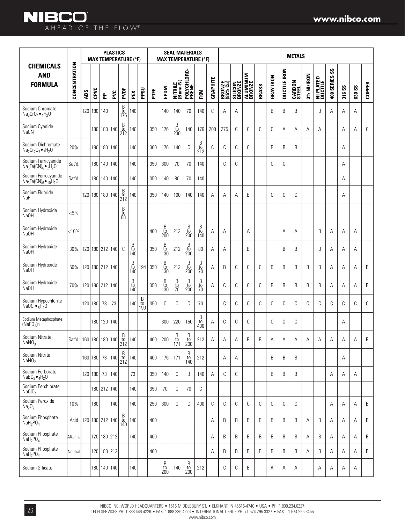|                                                                                |                           |     |            |                 | <b>PLASTICS</b> |                            | <b>MAX TEMPERATURE (°F)</b>                          |                            |      |                                                      | <b>SEAL MATERIALS</b>                        |                                                                    | <b>MAX TEMPERATURE (°F)</b>                            |          |                    |                          |                           |       |                  |                     | <b>METALS</b>          |            |                                             |                             |                      |               |               |
|--------------------------------------------------------------------------------|---------------------------|-----|------------|-----------------|-----------------|----------------------------|------------------------------------------------------|----------------------------|------|------------------------------------------------------|----------------------------------------------|--------------------------------------------------------------------|--------------------------------------------------------|----------|--------------------|--------------------------|---------------------------|-------|------------------|---------------------|------------------------|------------|---------------------------------------------|-----------------------------|----------------------|---------------|---------------|
| <b>CHEMICALS</b><br><b>AND</b><br><b>FORMULA</b>                               | CONCENTRATION             | ABS | CPVC       | 운               | PVC             | PVDF                       | PEX                                                  | PPSU                       | PTFE | EPDM                                                 | NITRILE<br>(Buna-N)                          | POLYCHLORO-<br>Prene                                               | FKM                                                    | GRAPHITE | BRONZE<br>(85% Cu) | <b>SILICON</b><br>BRONZE | <b>ALUMINUM</b><br>BRONZE | BRASS | <b>GRAY IRON</b> | <b>DUCTILE IRON</b> | <b>CARBON</b><br>STEEL | 3% NI/IRON | <b>PLATED</b><br><b>NI PLATE</b><br>DUCTILE | $\mathsf{ss}$<br>400 SERIES | $\mathsf{ss}$<br>316 | <b>630 SS</b> | <b>COPPER</b> |
| Sodium Chromate<br>$Na2CrO4$ $\bullet$ <sub>4</sub> H <sub>2</sub> O           |                           | 120 |            | 180   140       |                 | $_{\rm to}^{\rm B}$<br>176 | 140                                                  |                            |      | 140                                                  | 140                                          | 70                                                                 | 140                                                    | C        | Α                  | Α                        |                           |       | B                | B                   | B                      |            | B                                           | Α                           | Α                    | Α             |               |
| Sodium Cyanide<br><b>NaCN</b>                                                  |                           |     |            | 180 180 140     |                 | $\beta$<br>to<br>212       | 140                                                  |                            | 350  | 176                                                  | $\frac{B}{t0}$<br>230                        | 140                                                                | 176                                                    | 200      | 275                | C                        | С                         | C     | С                | Α                   | Α                      | Α          | Α                                           |                             | Α                    | Α             | C             |
| Sodium Dichromate<br>$Na_2Cr_2O_7$ $\bullet$ $_2H_2O$                          | 20%                       |     |            | 180 180 140     |                 |                            | 140                                                  |                            | 300  | 176                                                  | 140                                          | C                                                                  | $\begin{array}{c} B \\ \textrm{to} \\ 212 \end{array}$ | C        | C                  | C                        | С                         |       | B                | B                   | B                      |            |                                             |                             | А                    |               |               |
| Sodium Ferricyanide<br>$\text{Na}_3\text{Fe(CN)}_6\bullet_2\text{H}_2\text{O}$ | Sat'd                     |     |            | 180   140   140 |                 |                            | 140                                                  |                            | 350  | 300                                                  | 70                                           | 70                                                                 | 140                                                    |          | C                  | C                        |                           |       | C                | C                   |                        |            |                                             |                             | Α                    |               |               |
| Sodium Ferrocyanide<br>$Na3Fe(CN)6 •10H2O$                                     | Sat'd.                    |     |            | 180 140 140     |                 |                            | 140                                                  |                            | 350  | 140                                                  | 80                                           | 70                                                                 | 140                                                    |          |                    |                          |                           |       |                  |                     |                        |            |                                             |                             | Α                    |               |               |
| Sodium Fluoride<br>NaF                                                         |                           |     |            | 120 180 180 140 |                 | $rac{B}{t0}$<br>212        | 140                                                  |                            | 350  | 140                                                  | 100                                          | 140                                                                | 140                                                    | Α        | Α                  | Α                        | B                         |       | C                | C                   | C                      |            |                                             |                             | Α                    |               |               |
| Sodium Hydroxide<br>NaOH                                                       | $< 5\%$                   |     |            |                 |                 | B<br>to<br>68              |                                                      |                            |      |                                                      |                                              |                                                                    |                                                        |          |                    |                          |                           |       |                  |                     |                        |            |                                             |                             |                      |               |               |
| Sodium Hydroxide<br>Na0H                                                       | < 10%                     |     |            |                 |                 |                            |                                                      |                            | 400  | B<br>to<br>200                                       | 212                                          | $_{\rm to}^{\rm B}$<br>200                                         | $_{\rm to}^{\rm B}$<br>140                             | Α        | Α                  |                          | Α                         |       |                  | Α                   | Α                      |            | B                                           | Α                           | Α                    | Α             |               |
| Sodium Hydroxide<br>NaOH                                                       | 30%                       |     |            |                 | 120 180 212 140 | C                          | $_{\rm to}^{\rm B}$<br>140                           |                            | 350  | $\frac{B}{t0}$<br>130                                | 212                                          | $_{\rm to}^{\rm B}$<br>200                                         | 80                                                     | Α        | A                  |                          | B                         |       |                  | B                   | B                      |            | B                                           | Α                           | A                    | Α             |               |
| Sodium Hydroxide<br>Na <sub>OH</sub>                                           | 50%                       |     |            | 120 180 212 140 |                 |                            | $_{\rm to}^{\rm B}$<br>140                           | 194                        | 350  | $\begin{array}{c} B \\ \text{to} \\ 130 \end{array}$ | 212                                          | $\begin{array}{c} B \\ \text{to} \\ 200 \end{array}$               | $\frac{B}{10}$                                         | Α        | B                  | C                        | C                         | C     | B                | B                   | B                      | B          | B                                           | Α                           | Α                    | Α             | B             |
| Sodium Hydroxide<br>Na <sub>OH</sub>                                           | 70%                       |     |            | 120 180 212 140 |                 |                            | $\begin{array}{c} B \\ \text{to} \\ 140 \end{array}$ |                            | 350  | $\begin{array}{c} B \\ \text{to} \\ 130 \end{array}$ | $\begin{array}{c} B \\ to \\ 70 \end{array}$ | $\begin{array}{c} \text{B} \\ \text{to} \\ \text{200} \end{array}$ | $\frac{B}{10}$                                         | Α        | C                  | C                        | С                         | C     | B                | B                   | B                      | B          | B                                           | Α                           | Α                    | Α             | B             |
| Sodium Hypochlorite<br>NaOCl $\bullet_5H_2O$                                   |                           |     | 120 180 73 |                 | 73              |                            | 140                                                  | $_{\rm to}^{\rm B}$<br>190 | 350  | C                                                    | C                                            | C                                                                  | 70                                                     |          | C                  | C                        | С                         | C     | C                | C                   | C                      | C          | C                                           | C                           | C                    | C             | C             |
| Sodium Metaphosphate<br>(NaPO <sub>3</sub> )n                                  |                           |     |            | 180 120 140     |                 |                            |                                                      |                            |      | 300                                                  | 220                                          | 150                                                                | $_{\rm to}^{\rm B}$<br>400                             | A        | C                  | C                        | С                         |       | C                | C                   | C                      |            |                                             |                             | А                    |               |               |
| Sodium Nitrate<br>NaNO <sub>2</sub>                                            | Sat'd. 160 180 180 140 to |     |            |                 |                 | B<br>212                   | 140                                                  |                            | 400  | 200                                                  | $_{\rm to}^{\rm B}$<br>171                   | $\overline{B}$<br>to<br>200                                        | 212                                                    | Α        | Α                  | Α                        | B                         | B     | Α                | Α                   | Α                      | Α          | Α                                           | Α                           | Α                    | Α             | B             |
| Sodium Nitrite<br>NaNO <sub>2</sub>                                            |                           |     |            | 160 180 73 140  |                 | B<br>$\overline{t}$<br>212 | 140                                                  |                            | 400  | 176                                                  | 171                                          | B<br>$\overline{t}$<br>140                                         | 212                                                    |          | А                  | Α                        |                           |       | B                | B                   | B                      |            |                                             |                             | Α                    |               |               |
| Sodium Perborate<br>NaBO <sub>3</sub> $\bullet$ <sub>4</sub> H <sub>2</sub> O  |                           |     |            |                 | 120 180 73 140  |                            | 73                                                   |                            | 350  | 140                                                  | C                                            | B                                                                  | 140                                                    | Α        | C                  | C                        |                           |       | B                | B                   | B                      |            |                                             | Α                           | Α                    | Α             |               |
| Sodium Perchlorate<br>NaClO <sub>4</sub>                                       |                           |     |            | 180 212 140     |                 |                            | 140                                                  |                            | 350  | 70                                                   | С                                            | 70                                                                 | С                                                      |          |                    |                          |                           |       |                  |                     |                        |            |                                             |                             |                      |               |               |
| Sodium Peroxide<br>Na <sub>2</sub> O <sub>2</sub>                              | 10%                       |     | 180        |                 | 140             |                            | 140                                                  |                            | 250  | 300                                                  | С                                            | С                                                                  | 400                                                    | C        | C                  | C                        | C                         | C     | С                | C                   | C                      |            |                                             | Α                           | Α                    | Α             | B             |
| Sodium Phosphate<br>NaH <sub>2</sub> PO <sub>4</sub>                           | Acid                      |     |            | 120 180 212 140 |                 | $_{\rm to}^{\rm B}$<br>140 | 140                                                  |                            | 400  |                                                      |                                              |                                                                    |                                                        | Α        | B                  | B                        | B                         | B     | B                | B                   | B                      | Α          | B                                           | Α                           | Α                    | A             | B             |
| Sodium Phosphate<br>NaH <sub>2</sub> PO <sub>4</sub>                           | Alkaline                  |     |            |                 | 120 180 212     |                            | 140                                                  |                            | 400  |                                                      |                                              |                                                                    |                                                        | Α        | B                  | B                        | B                         | B     | B                | B                   | B                      | Α          | B                                           | Α                           | Α                    | A             | B             |
| Sodium Phosphate<br>NaH <sub>2</sub> PO <sub>4</sub>                           | Neutral                   |     |            |                 | 120 180 212     |                            |                                                      |                            | 400  |                                                      |                                              |                                                                    |                                                        | Α        | B                  | B                        | B                         | B     | B                | B                   | B                      | Α          | B                                           | Α                           | Α                    | Α             | B             |
| Sodium Silicate                                                                |                           |     |            | 180 140 140     |                 |                            | 140                                                  |                            |      | B<br>$\frac{10}{200}$                                | 140                                          | B<br>$\frac{10}{200}$                                              | 212                                                    |          | С                  | C                        | B                         |       | Α                | Α                   | Α                      |            | Α                                           | Α                           | Α                    | Α             |               |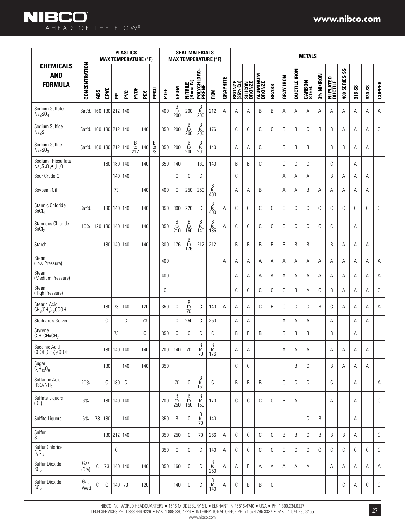|                                                           |               |     |                 |     | <b>PLASTICS</b><br><b>MAX TEMPERATURE (°F)</b> |                       |     |                | <b>SEAL MATERIALS</b><br><b>MAX TEMPERATURE (°F)</b> |                                                                    |                            |                                                             |                             |          |                    | <b>METALS</b>            |                           |       |                  |                     |                        |            |                      |                           |        |               |               |
|-----------------------------------------------------------|---------------|-----|-----------------|-----|------------------------------------------------|-----------------------|-----|----------------|------------------------------------------------------|--------------------------------------------------------------------|----------------------------|-------------------------------------------------------------|-----------------------------|----------|--------------------|--------------------------|---------------------------|-------|------------------|---------------------|------------------------|------------|----------------------|---------------------------|--------|---------------|---------------|
| <b>CHEMICALS</b><br><b>AND</b><br><b>FORMULA</b>          | CONCENTRATION | ABS | CPVC            | 운   | PVC                                            | PVDF                  | PEX | PPSU           | FTE                                                  | EPDM                                                               | NITRILE<br>(Buna-N)        | POLYCHLORO-<br>Prene                                        | FKM                         | GRAPHITE | BRONZE<br>(85% Cu) | <b>SILICON</b><br>BRONZE | <b>ALUMINUM</b><br>BRONZE | BRASS | <b>GRAY IRON</b> | <b>DUCTILE IRON</b> | <b>CARBON</b><br>STEEL | 3% NI/IRON | NI PLATED<br>Ductile | $s_{\rm s}$<br>400 SERIES | 316 SS | <b>630 SS</b> | <b>COPPER</b> |
| Sodium Sulfate<br>Na <sub>2</sub> SO <sub>4</sub>         | Sat'd         | 160 |                 |     | 180 212 140                                    |                       |     |                | 400                                                  | $\begin{array}{c} B \\ \text{to} \\ 200 \end{array}$               | 200                        | $\begin{array}{c} B \\ \text{to} \\ 200 \end{array}$        | 212                         | A        | A                  | A                        | B                         | B     | Α                | Α                   | Α                      | Α          | Α                    | Α                         | Α      | Α             | Α             |
| Sodium Sulfide<br>Na <sub>2</sub> S                       | Sat'd         |     | 160 180 212 140 |     |                                                |                       | 140 |                | 350                                                  | 200                                                                | $_{\rm to}^{\rm B}$<br>200 | $\begin{array}{c} B \\ \text{to} \\ 200 \end{array}$        | 176                         |          | C                  | С                        | C                         | C     | B                | B                   | C                      | B          | B                    | Α                         | Α      | A             | C             |
| Sodium Sulfite<br>Na <sub>2</sub> SO <sub>3</sub>         | Sat'd.        |     | 160 180 212 140 |     |                                                | $\frac{B}{t0}$<br>212 | 140 | $\frac{B}{73}$ | 350                                                  | 200                                                                | B<br>to<br>200             | $\begin{array}{c} B \\ \text{to} \\ 200 \end{array}$        | 140                         |          | A                  | A                        | C                         |       | B                | B                   | B                      |            | B                    | B                         | A      | Α             |               |
| Sodium Thiosulfate<br>$Na_2S_2O_3 \bullet_5H_2O$          |               |     | 180             |     | 180 140                                        |                       | 140 |                | 350                                                  | 140                                                                |                            | 160                                                         | 140                         |          | B                  | B                        | C                         |       | C                | C                   | C                      |            | C                    |                           | Α      |               |               |
| Sour Crude Oil                                            |               |     |                 | 140 | 140                                            |                       |     |                |                                                      | C                                                                  | C                          | С                                                           |                             |          | C                  |                          |                           |       | A                | A                   | A                      |            | B                    | Α                         | Α      | Α             |               |
| Soybean Oil                                               |               |     |                 | 73  |                                                |                       | 140 |                | 400                                                  | C                                                                  | 250                        | 250                                                         | B<br>to<br>400              |          | A                  | A                        | B                         |       | A                | A                   | B                      | A          | A                    | Α                         | A      | Α             |               |
| Stannic Chloride<br>SnCl <sub>4</sub>                     | Sat'd         |     | 180             | 140 | 140                                            |                       | 140 |                | 350                                                  | 300                                                                | 220                        | C                                                           | B<br>$\frac{10}{400}$       | A        | C                  | С                        | C                         | C     | C                | C                   | C                      | C          | C                    | C                         | C      | C             | C             |
| Stannous Chloride<br>SnCl <sub>2</sub>                    | 15%           |     | 120 180 140 140 |     |                                                |                       | 140 |                | 350                                                  | $\begin{array}{c} B \\ \mathrm{to} \\ 210 \end{array}$             | B<br>$\frac{10}{150}$      | $\begin{array}{c} \text{B} \\ \text{to} \\ 140 \end{array}$ | B<br>$\frac{10}{185}$       | A        | C                  | C                        | C                         | C     | C                | C                   | C                      | C          | C                    |                           | Α      |               |               |
| Starch                                                    |               |     |                 |     | 180 140 140                                    |                       | 140 |                | 300                                                  | 176                                                                | $_{\rm to}^{\rm B}$<br>176 | 212                                                         | 212                         |          | B                  | B                        | B                         | B     | B                | B                   | B                      |            | B                    | Α                         | Α      | Α             |               |
| Steam<br>(Low Pressure)                                   |               |     |                 |     |                                                |                       |     |                | 400                                                  |                                                                    |                            |                                                             |                             | A        | A                  | A                        | A                         | A     | A                | Α                   | Α                      | A          | Α                    | A                         | A      | A             | Α             |
| Steam<br>(Medium Pressure)                                |               |     |                 |     |                                                |                       |     |                | 400                                                  |                                                                    |                            |                                                             |                             |          | A                  | A                        | A                         | A     | Α                | A                   | A                      | A          | A                    | Α                         | A      | A             | Α             |
| Steam<br>(High Pressure)                                  |               |     |                 |     |                                                |                       |     |                | C                                                    |                                                                    |                            |                                                             |                             |          | C                  | C                        | C                         | C     | C                | B                   | Α                      | C          | B                    | Α                         | A      | A             | C             |
| Stearic Acid<br>$CH_3(CH_2)_{16}$ COOH                    |               |     | 180             | 73  | 140                                            |                       | 120 |                | 350                                                  | С                                                                  | $_{\rm to}^{\rm B}$<br>70  | C                                                           | 140                         | Α        | А                  | Α                        | C                         | B     | C                | C                   | C                      | B          | C                    | Α                         | Α      | Α             | Α             |
| Stoddard's Solvent                                        |               |     | C               |     | С                                              |                       | 73  |                |                                                      | С                                                                  | 250                        | C                                                           | 250                         |          | Α                  | A                        |                           |       | Α                | Α                   | Α                      |            | Α                    |                           | Α      | Α             |               |
| Styrene<br>$C_6H_5CH=CH_2$                                |               |     |                 | 73  |                                                |                       | С   |                | 350                                                  | C                                                                  | C                          | C                                                           | C                           |          | B                  | B                        | B                         |       | B                | B                   | B                      |            | B                    |                           | Α      |               |               |
| Succinic Acid<br>COOH(CH <sub>2</sub> ) <sub>2</sub> COOH |               |     |                 |     | 180 140 140                                    |                       | 140 |                | 200                                                  | 140                                                                | 70                         | $\begin{array}{c} B \\ \text{to} \\ 70 \end{array}$         | $\overline{B}$<br>to<br>176 |          | Α                  | Α                        |                           |       | Α                | Α                   | Α                      |            | Α                    | Α                         | Α      | Α             |               |
| Sugar<br>$C_6H_{12}O_6$                                   |               |     | 180             |     | 140                                            |                       | 140 |                | 350                                                  |                                                                    |                            |                                                             |                             |          | С                  | С                        |                           |       |                  | B                   | C                      |            | B                    | Α                         | Α      | Α             |               |
| Sulfamic Acid<br>HSO <sub>3</sub> NH <sub>2</sub>         | 20%           |     | С               | 180 | С                                              |                       |     |                |                                                      | 70                                                                 | C                          | B<br>to<br>150                                              | C                           |          | B                  | B                        | B                         |       | C                | C                   | C                      |            | C                    |                           | Α      |               | A             |
| Sulfate Liquors<br>(0il)                                  | 6%            |     |                 |     | 180 140 140                                    |                       |     |                | 200                                                  | $\begin{array}{c} \text{B} \\ \text{to} \\ \text{250} \end{array}$ | B<br>$\frac{10}{150}$      | B<br>$\frac{10}{150}$                                       | 170                         |          | C                  | С                        | C                         | C     | B                | Α                   |                        |            | Α                    |                           | Α      |               | $\mathbb{C}$  |
| Sulfite Liquors                                           | 6%            | 73  | 180             |     | 140                                            |                       |     |                | 350                                                  | B                                                                  | C                          | $\begin{array}{c} B \\ \text{to} \\ 70 \end{array}$         | 140                         |          |                    |                          |                           |       |                  |                     | C                      | B          |                      |                           | Α      |               |               |
| Sulfur<br>S                                               |               |     |                 |     | 180 212 140                                    |                       |     |                | 350                                                  | 250                                                                | C                          | $70$                                                        | 266                         | Α        | С                  | С                        | C                         | C     | B                | B                   | C                      | B          | B                    | B                         | Α      |               | C             |
| Sulfur Chloride<br>$S_2Cl_2$                              |               |     |                 | С   |                                                |                       |     |                | 350                                                  | C                                                                  | C                          | С                                                           | 140                         | Α        | C                  | С                        | C                         | C     | C                | C                   | C                      | C          | C                    | C                         | C      | C             | C             |
| Sulfur Dioxide<br>SO <sub>2</sub>                         | Gas<br>(Dry)  | С   | 73              |     | 140 140                                        |                       | 140 |                | 350                                                  | 160                                                                | C                          | С                                                           | $\beta$<br>$\frac{10}{250}$ | Α        | Α                  | B                        | Α                         | Α     | Α                | Α                   | Α                      |            | Α                    | Α                         | Α      | Α             | Α             |
| Sulfur Dioxide<br>SO <sub>2</sub>                         | Gas<br>(Wet)  | С   | С               |     | $140$ 73                                       |                       | 120 |                |                                                      | 140                                                                | С                          | С                                                           | B<br>to<br>140              | Α        | С                  | B                        | B                         | С     |                  |                     |                        |            |                      | C                         | А      | С             | С             |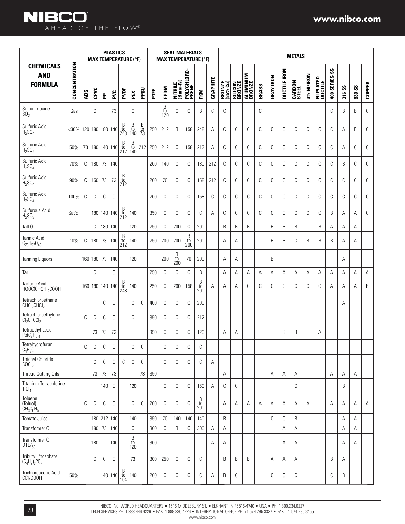#### **www.nibco.com**

|                                                          |               |     |                 |                 | <b>PLASTICS</b> |                                                      | <b>MAX TEMPERATURE (°F)</b>                            |                | <b>SEAL MATERIALS</b><br><b>MAX TEMPERATURE (°F)</b> |                            |                            |                      |                |          | <b>METALS</b>      |                          |                    |       |                  |                     |                        |            |                             |                                      |        |               |               |
|----------------------------------------------------------|---------------|-----|-----------------|-----------------|-----------------|------------------------------------------------------|--------------------------------------------------------|----------------|------------------------------------------------------|----------------------------|----------------------------|----------------------|----------------|----------|--------------------|--------------------------|--------------------|-------|------------------|---------------------|------------------------|------------|-----------------------------|--------------------------------------|--------|---------------|---------------|
| <b>CHEMICALS</b><br><b>AND</b><br><b>FORMULA</b>         | CONCENTRATION | ABS | CPVC            | 운               | PVC             | PVDF                                                 | PEX                                                    | PPSU           | FTE                                                  | EPDM                       | NITRILE<br>(Buna-N)        | POLYCHLORO-<br>PRENE | <b>FKM</b>     | GRAPHITE | BRONZE<br>(85% Cu) | <b>SILICON</b><br>BRONZE | ALUMINUM<br>BRONZE | BRASS | <b>GRAY IRON</b> | <b>DUCTILE IRON</b> | <b>CARBON</b><br>STEEL | 3% NI/IRON | <b>NI PLATED</b><br>Ductile | $\mathsf{S}\mathsf{S}$<br>400 SERIES | 316 SS | <b>630 SS</b> | <b>COPPER</b> |
| Sulfur Trioxide<br>SO <sub>3</sub>                       | Gas           |     | C               |                 | 73              |                                                      | C                                                      |                |                                                      | $_{\rm to}^{\rm B}$<br>120 | С                          | C                    | B              | C        | C                  |                          |                    | C     |                  |                     |                        |            |                             | C                                    | B      | B             | C             |
| Sulfuric Acid<br>$H_2SO_4$                               | $30%$         |     | 120 180 180 140 |                 |                 | $_{\rm to}^{\rm B}$<br>248                           | В<br>to<br>140                                         | $\frac{B}{10}$ | 250                                                  | 212                        | B                          | 158                  | 248            | A        | C                  | C                        | C                  | C     | С                | C                   | С                      | C          | C                           | C                                    | A      | B             | C             |
| Sulfuric Acid<br>H <sub>2</sub> SO <sub>4</sub>          | 50%           | 73  |                 |                 | 180 140 140     | Β<br>to<br>212                                       | B<br>to<br>140                                         | 212            | 250                                                  | 212                        | С                          | 158                  | 212            | A        | C                  | C                        | C                  | C     | C                | C                   | С                      | C          | C                           | C                                    | A      | C             | C             |
| Sulfuric Acid<br>$H_2SO_4$                               | 70%           | С   | 180             | 73              | 140             |                                                      |                                                        |                | 200                                                  | 140                        | C                          | C                    | 180            | 212      | С                  | C                        | С                  | C     | С                | C                   | С                      | C          | C                           | C                                    | B      | C             | C             |
| Sulfuric Acid<br>H <sub>2</sub> SO <sub>4</sub>          | 90%           | С   | 150             | 73              | 73              | B<br>$\frac{10}{212}$                                |                                                        |                | 200                                                  | 70                         | С                          | C                    | 158            | 212      | С                  | C                        | C                  | C     | С                | C                   | С                      | C          | C                           | C                                    | C      | C             | C             |
| Sulfuric Acid<br>$H_2SO_4$                               | 100%          | С   | С               | С               | C               |                                                      |                                                        |                | 200                                                  | С                          | С                          | C                    | 158            | С        | С                  | C                        | C                  | C     | С                | С                   | С                      | C          | C                           | C                                    | C      | C             | C             |
| Sulfurous Acid<br>H <sub>2</sub> SO <sub>3</sub>         | Sat'd.        |     |                 | 180   140   140 |                 | $\begin{array}{c} B \\ \text{to} \\ 212 \end{array}$ | 140                                                    |                | 350                                                  | C                          | С                          | C                    | C              | A        | С                  | C                        | C                  | C     | С                | C                   | С                      | C          | C                           | B                                    | A      | A             | C             |
| Tall Oil                                                 |               |     | C               |                 | 180 140         |                                                      | 120                                                    |                | 250                                                  | C                          | 200                        | C                    | 200            |          | B                  | B                        | B                  |       | B                | B                   | B                      |            | B                           | A                                    | A      | A             |               |
| Tannic Acid<br>$C_{76}H_{52}O_{46}$                      | 10%           | С   |                 | 180 73          | 140             | B<br>$\frac{10}{212}$                                | 140                                                    |                | 250                                                  | 200                        | 200                        | B<br>to<br>200       | 200            |          | A                  | A                        |                    |       | B                | B                   | С                      | B          | B                           | B                                    | A      | A             |               |
| <b>Tanning Liquors</b>                                   |               | 160 | $180$ 73        |                 | 140             |                                                      | 120                                                    |                |                                                      | 200                        | $_{\rm to}^{\rm B}$<br>200 | 70                   | 200            |          | A                  | A                        |                    |       | B                |                     |                        |            |                             |                                      | A      |               |               |
| Tar                                                      |               |     | C               |                 | $\mathbb C$     |                                                      |                                                        |                | 250                                                  | C                          | C                          | C                    | B              |          | A                  | Α                        | Α                  | Α     | A                | Α                   | A                      | A          | A                           | A                                    | А      | A             | A             |
| <b>Tartaric Acid</b><br>HOOC(CHOH) <sub>2</sub> COOH     |               | 160 |                 | 180 140 140     |                 | B<br>to<br>248                                       | 140                                                    |                | 250                                                  | C                          | 200                        | 158                  | B<br>to<br>200 | A        | A                  | A                        | C                  | C     | C                | C                   | С                      | C          | C                           | Α                                    | A      | Α             | B             |
| Tetrachloroethane<br>CHCI <sub>2</sub> CHCI <sub>2</sub> |               |     |                 | C               | C               |                                                      | C                                                      | C              | 400                                                  | C                          | C                          | C                    | 200            |          |                    |                          |                    |       |                  |                     |                        |            |                             |                                      | Α      |               |               |
| Tetrachloroethylene<br>$Cl_2C = CCl_2$                   |               | C   | C               | C               | C               |                                                      | C                                                      |                | 350                                                  | C                          | С                          | C                    | 212            |          |                    |                          |                    |       |                  |                     |                        |            |                             |                                      |        |               |               |
| <b>Tetraethyl Lead</b><br>$Pb(C_2H_5)_4$                 |               |     | 73              | 73              | 73              |                                                      |                                                        |                | 350                                                  | C                          | C                          | C                    | 120            |          | A                  | Α                        |                    |       |                  | B                   | B                      |            | А                           |                                      |        |               |               |
| Tetrahydrofuran<br>$C_4H_8O$                             |               | С   | C               | С               | С               |                                                      | С                                                      | С              |                                                      | С                          | С                          | С                    | С              |          |                    |                          |                    |       |                  |                     |                        |            |                             |                                      |        |               |               |
| Thionyl Chloride<br>S OCl <sub>2</sub>                   |               |     | C               | С               | С               | C                                                    | C                                                      | $\mathbb C$    |                                                      | C                          | C                          | C                    | С              | A        |                    |                          |                    |       |                  |                     |                        |            |                             |                                      |        |               |               |
| <b>Thread Cutting Oils</b>                               |               |     | 73              | 73              | 73              |                                                      |                                                        | 73             | 350                                                  |                            |                            |                      |                |          | A                  |                          |                    |       | A                | A                   | A                      |            |                             | A                                    | A      | A             |               |
| Titanium Tetrachloride<br>TiCI <sub>4</sub>              |               |     |                 | 140             | C               |                                                      | 120                                                    |                |                                                      | C                          | С                          | C                    | 160            | А        | С                  | C                        |                    |       |                  |                     | С                      |            |                             |                                      | B      |               |               |
| Toluene<br>(Toluol)<br>$CH_3C_6H_5$                      |               | С   | C               | C               | $\mathbb C$     |                                                      | C                                                      | C              | 200                                                  | C                          | С                          | C                    | B<br>to<br>200 |          | A                  | A                        | Α                  | A     | A                | A                   | Α                      | A          |                             | A                                    | Α      | A             | A             |
| Tomato Juice                                             |               |     |                 |                 | 180 212 140     |                                                      | 140                                                    |                | 350                                                  | 70                         | 140                        | 140                  | 140            |          | B                  |                          |                    |       | C                | С                   | B                      |            |                             |                                      | A      | Α             |               |
| Transformer Oil                                          |               |     |                 | $180$ 73        | 140             |                                                      | С                                                      |                | 300                                                  | $\mathbb C$                | B                          | C                    | 300            | А        | A                  |                          |                    |       |                  | A                   | Α                      |            |                             |                                      | A      | A             |               |
| Transformer Oil<br>$DTE/_{30}$                           |               |     | 180             |                 | 140             |                                                      | $\begin{array}{c} B \\ \mathrm{to} \\ 120 \end{array}$ |                | 300                                                  |                            |                            |                      |                | Α        | Α                  |                          |                    |       |                  | A                   | Α                      |            |                             |                                      | Α      | Α             |               |
| Tributyl Phosphate<br>$(C_4H_9)_3PO_4$                   |               |     | C               | C               | $\mathbb C$     |                                                      | 73                                                     |                | 300                                                  | 250                        | C                          | C                    | C              |          | B                  | B                        | B                  |       | Α                | A                   | Α                      |            |                             | B                                    | Α      |               |               |
| Trichloroacetic Acid<br>CCI <sub>3</sub> COOH            | 50%           |     |                 |                 | 140   140       | $rac{B}{10}$<br>104                                  | 140                                                    |                | 200                                                  | C                          | С                          | С                    | С              | Α        | B                  | C                        |                    |       | С                | С                   | С                      |            |                             | С                                    | B      |               |               |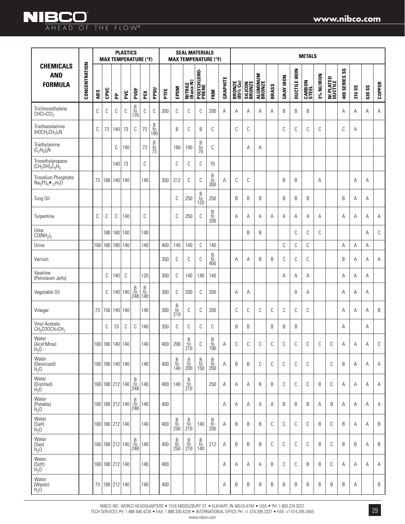**NIBCO** 

|                                                    |               |     | <b>MAX TEMPERATURE (°F)</b> |             | <b>PLASTICS</b> |                                                        |                                                      |                                                      | <b>SEAL MATERIALS</b><br><b>MAX TEMPERATURE (°F)</b> |                                                                    |                                          |                                                                    |                                                                    |                 | <b>METALS</b>      |                          |                           |       |                  |                     |                        |            |                      |                             |        |               |               |
|----------------------------------------------------|---------------|-----|-----------------------------|-------------|-----------------|--------------------------------------------------------|------------------------------------------------------|------------------------------------------------------|------------------------------------------------------|--------------------------------------------------------------------|------------------------------------------|--------------------------------------------------------------------|--------------------------------------------------------------------|-----------------|--------------------|--------------------------|---------------------------|-------|------------------|---------------------|------------------------|------------|----------------------|-----------------------------|--------|---------------|---------------|
| <b>CHEMICALS</b><br><b>AND</b><br><b>FORMULA</b>   | CONCENTRATION | ABS | CPVC                        | 운           | PVC             | PVDF                                                   | PEX                                                  | PPSU                                                 | FTE                                                  | EPDM                                                               | NITRILE<br>(Buna-N)                      | POLYCHLORO-<br>PRENE                                               | FKM                                                                | <b>GRAPHITE</b> | BRONZE<br>(85% Cu) | <b>SILICON</b><br>BRONZE | <b>ALUMINUM</b><br>BRONZE | BRASS | <b>GRAY IRON</b> | <b>DUCTILE IRON</b> | <b>CARBON</b><br>STEEL | 3% NI/IRON | NI PLATED<br>Ductile | $\mathsf{ss}$<br>400 SERIES | 316 SS | <b>G30 SS</b> | <b>COPPER</b> |
| Trichloroethylene<br>$CHCI=CCI2$                   |               | С   | С                           | С           | C               | $\begin{array}{c} B \\ \text{to} \\ 176 \end{array}$   | С                                                    | C                                                    | 200                                                  | C                                                                  | C                                        | C                                                                  | 200                                                                | A               | A                  | A                        | A                         | A     | B                | B                   | B                      |            |                      | A                           | A      | A             | Α             |
| Triethanolamine<br>$(HOCH2CH2)3N$                  |               | С   | 73                          | 140         | 73              | C                                                      | 73                                                   | $\begin{array}{c} B \\ \text{to} \\ 190 \end{array}$ |                                                      | B                                                                  | C                                        | B                                                                  | С                                                                  |                 | C                  | C                        |                           |       | C                | C                   | С                      | C          |                      | C                           | Α      |               |               |
| Triethylamine<br>$(C_2H_5)_3N$                     |               |     |                             | С           | 140             |                                                        | 73                                                   | $\frac{B}{10}$                                       |                                                      | 160                                                                | 140                                      | $\frac{B}{70}$                                                     | С                                                                  |                 |                    | A                        | Α                         |       |                  |                     |                        |            |                      |                             |        |               |               |
| Trimethylpropane<br>$(CH_2OH)_3C_3H_5$             |               |     |                             | 140         | 73              |                                                        | C                                                    |                                                      |                                                      | C                                                                  | С                                        | С                                                                  | 70                                                                 |                 |                    |                          |                           |       |                  |                     |                        |            |                      |                             |        |               |               |
| Trisodium Phosphate<br>$Na_3PO_4 \bullet_{12}H_2O$ |               | 73  |                             | 180 140 140 |                 |                                                        | 140                                                  |                                                      | 350                                                  | 212                                                                | C                                        | С                                                                  | $\begin{array}{c} \text{B} \\ \text{to} \\ \text{300} \end{array}$ | Α               | C                  | С                        |                           |       | B                | B                   |                        | A          |                      |                             | Α      | Α             |               |
| Tung Oil                                           |               |     |                             |             |                 |                                                        |                                                      |                                                      |                                                      | C                                                                  | 250                                      | B<br>$\frac{10}{120}$                                              | 250                                                                |                 | B                  | B                        | B                         |       | B                | B                   | B                      |            |                      | B                           | A      | Α             |               |
| Turpentine                                         |               | С   | С                           | С           | 140             |                                                        | C                                                    |                                                      |                                                      | C                                                                  | 250                                      | С                                                                  | B<br>to<br>200                                                     |                 | A                  | A                        | Α                         | A     | Α                | A                   | Α                      | A          |                      | A                           | A      | A             | Α             |
| Urea<br>CO(NH <sub>2</sub> ) <sub>2</sub>          |               |     |                             |             | 180 180 140     |                                                        | 140                                                  |                                                      |                                                      |                                                                    |                                          |                                                                    |                                                                    |                 |                    | B                        | B                         |       |                  | C                   | C                      | C          |                      |                             |        | Α             | С             |
| Urine                                              |               | 160 | 180                         | 180         | 140             |                                                        | 140                                                  |                                                      | 400                                                  | 140                                                                | 140                                      | С                                                                  | 140                                                                |                 |                    |                          |                           |       | C                | С                   | С                      |            |                      | A                           | Α      | A             |               |
| Varnish                                            |               |     |                             |             |                 |                                                        |                                                      |                                                      | 350                                                  | C                                                                  | С                                        | C                                                                  | B<br>to<br>400                                                     |                 | A                  | A                        | B                         | B     | C                | C                   | C                      |            |                      | B                           | A      | A             | Α             |
| Vaseline<br>(Petroleum Jelly)                      |               |     | С                           | 140         | C               |                                                        | 120                                                  |                                                      | 300                                                  | C                                                                  | 140                                      | 140                                                                | 140                                                                |                 |                    |                          |                           |       | Α                | Α                   | Α                      |            |                      | Α                           | A      | Α             |               |
| Vegetable Oil                                      |               |     | С                           |             | 140 140         | $\begin{array}{c} B \\ \textrm{to} \\ 248 \end{array}$ | $\begin{array}{c} B \\ \text{to} \\ 140 \end{array}$ |                                                      | 300                                                  | C                                                                  | 200                                      | С                                                                  | 200                                                                |                 | A                  | Α                        |                           |       |                  | A                   | Α                      |            |                      | Α                           | Α      | Α             |               |
| Vinegar                                            |               | 73  |                             | 150 140 140 |                 |                                                        | 140                                                  |                                                      | 300                                                  | $\begin{array}{c} \text{B} \\ \text{to} \\ \text{210} \end{array}$ | C                                        | С                                                                  | 200                                                                |                 | C                  | C                        | C                         | C     | C                | С                   | С                      |            |                      | Α                           | Α      | Α             | B             |
| Vinyl Acetate<br>$CH3COOCH=CH2$                    |               |     | С                           | 73          | C               | C                                                      | 140                                                  |                                                      | 350                                                  | C                                                                  | С                                        | С                                                                  | С                                                                  |                 | B                  | B                        |                           | B     | B                | B                   |                        |            |                      | A                           |        | Α             |               |
| Water<br>(Acid Mine)<br>H <sub>2</sub> 0           |               |     | 160 180 140 140             |             |                 |                                                        | 140                                                  |                                                      | 400                                                  | 200                                                                | B<br>to<br>210                           | С                                                                  | B<br>to<br>190                                                     | А               | $\mathbb C$        | С                        | C                         | С     | С                | C                   | C                      | C          | C                    | Α                           | Α      | Α             | C             |
| Water<br>(Deionized)<br>H <sub>2</sub> 0           |               |     | 160 180 140 140             |             |                 |                                                        | 140                                                  |                                                      | 400                                                  | B<br>$\frac{10}{140}$                                              | B<br>$\frac{10}{200}$                    | $\begin{array}{c} \text{B} \\ \text{to} \\ \text{150} \end{array}$ | $\begin{array}{c} \text{B} \\ \text{to} \\ \text{200} \end{array}$ | Α               | B                  | B                        | C                         | C     | C                | С                   | C                      |            | C                    | B                           | Α      | Α             | Α             |
| Water<br>(Distilled)<br>H <sub>2</sub> 0           |               |     | 160 180 212 140             |             |                 | $_{\rm to}^{\rm B}$<br>248                             | 140                                                  |                                                      | 400                                                  | 140                                                                | B<br>$\frac{10}{210}$                    |                                                                    | 250                                                                | Α               | A                  | Α                        | B                         | B     | C                | С                   | C                      | B          | C                    | Α                           | Α      | Α             | Α             |
| Water<br>(Potable)<br>H <sub>2</sub> 0             |               |     | 160 180 212 140             |             |                 | $_{\rm to}^{\rm B}$<br>248                             | 140                                                  |                                                      | 400                                                  |                                                                    |                                          |                                                                    |                                                                    | A               | Α                  | Α                        | Α                         | Α     | B                | B                   | B                      | A          | B                    | Α                           | Α      | Α             | Α             |
| Water<br>(Salt)<br>H <sub>2</sub> 0                |               |     | 160 180 212 140             |             |                 |                                                        | 140                                                  |                                                      | 400                                                  | $\begin{array}{c} \text{B} \\ \text{to} \\ \text{250} \end{array}$ | B<br>$\frac{10}{210}$                    | 140                                                                | $\begin{array}{c} \text{B} \\ \text{to} \\ \text{200} \end{array}$ | Α               | B                  | B                        | B                         | C     | C                | С                   | С                      | B          | C                    | B                           | Α      | Α             | B             |
| Water<br>(Sea)<br>H <sub>2</sub> 0                 |               |     | 160 180 212 140             |             |                 | $\begin{array}{c} B \\ \textrm{to} \\ 248 \end{array}$ | 140                                                  |                                                      | 400                                                  | $\beta$<br>$\frac{10}{250}$                                        | $\boldsymbol{\beta}$<br>$\frac{10}{210}$ | $\frac{B}{10}$<br>140                                              | 212                                                                | Α               | B                  | B                        | B                         | C     | C                | С                   | C                      | B          | C                    | B                           | B      | A             | B             |
| Water<br>(Soft)<br>H <sub>2</sub> 0                |               |     | 160 180 212 140             |             |                 |                                                        | 140                                                  |                                                      | 400                                                  |                                                                    |                                          |                                                                    |                                                                    | Α               | Α                  | Α                        | Α                         | B     | C                | С                   | B                      | B          | C                    | Α                           | Α      | Α             | Α             |
| Water<br>(Waste)<br>H <sub>2</sub> 0               |               |     | 73   180   212   140        |             |                 |                                                        | 140                                                  |                                                      | 400                                                  |                                                                    |                                          |                                                                    |                                                                    | Α               | B                  | B                        | B                         | B     | B                | B                   | B                      | B          | B                    | B                           | А      |               | B             |

NIBCO INC. WORLD HEADQUARTERS • 1516 MIDDLEBURY ST. • ELKHART, IN 46516-4740 • USA • PH: 1.800.234.0227 TECH SERVICES PH: 1.888.446.4226 • FAX: 1.888.336.4226 • INTERNATIONAL OFFICE PH: +1.574.295.3327 • FAX: +1.574.295.3455 www.nibco.com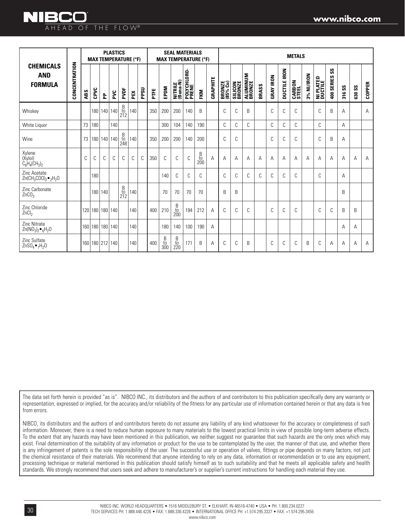|                                                                                              |               |                  |                  |             | <b>PLASTICS</b> |                                                      | <b>MAX TEMPERATURE (°F)</b> |              | <b>SEAL MATERIALS</b><br><b>MAX TEMPERATURE (°F)</b> |                       |                                                      |                      |                                                      |          |                    | <b>METALS</b>            |                    |       |                  |                     |                        |            |                             |                                                 |        |                    |               |
|----------------------------------------------------------------------------------------------|---------------|------------------|------------------|-------------|-----------------|------------------------------------------------------|-----------------------------|--------------|------------------------------------------------------|-----------------------|------------------------------------------------------|----------------------|------------------------------------------------------|----------|--------------------|--------------------------|--------------------|-------|------------------|---------------------|------------------------|------------|-----------------------------|-------------------------------------------------|--------|--------------------|---------------|
| <b>CHEMICALS</b><br><b>AND</b><br><b>FORMULA</b>                                             | CONCENTRATION | ABS              | CPVC             | 운           | ΡVC             | PVDF                                                 | PEX                         | <b>DSdd</b>  | PTFE                                                 | EPDM                  | NITRILE<br>(Buna-N)                                  | POLYCHLORO-<br>PRENE | FKM                                                  | GRAPHITE | BRONZE<br>(85% Cu) | <b>SILICON</b><br>BRONZE | ALUMINUM<br>BRONZE | BRASS | <b>GRAY IRON</b> | <b>DUCTILE IRON</b> | <b>CARBON</b><br>STEEL | 3% NI/IRON | <b>NI PLATED</b><br>Ductile | $\mathsf{S}\mathsf{S}$<br>SERIES:<br>$\ddot{ }$ | 316 SS | $s_{\rm 3}$<br>630 | <b>COPPER</b> |
| Whiskey                                                                                      |               |                  |                  | 180   140   | 140             | $\begin{array}{c} B \\ \text{to} \\ 212 \end{array}$ | 140                         |              | 350                                                  | 200                   | 200                                                  | 140                  | B                                                    |          | C                  | C                        | B                  |       | C                | C                   | C                      |            | C                           | B                                               | A      |                    | A             |
| White Liquor                                                                                 |               | 73               | 180              |             | 140             |                                                      |                             |              |                                                      | 300                   | 104                                                  | 140                  | 190                                                  |          | C                  | C                        | C                  |       | C                | C                   | C                      |            | C                           |                                                 | A      |                    |               |
| Wine                                                                                         |               | 73               | 180 <sup>1</sup> | 140         | 140             | B<br>to<br>248                                       | 140                         |              | 350                                                  | 200                   | 200                                                  | 140                  | 200                                                  |          | C                  | C                        |                    |       | C                | C                   | C                      |            | C                           | B                                               | A      |                    |               |
| Xylene<br>(Xylol)<br>$C_6H_4CH_3)_2$                                                         |               | C                | C                | C           | C               | C                                                    | C                           | $\mathsf{C}$ | 350                                                  | C                     | C                                                    | C                    | $\begin{array}{c} B \\ \text{to} \\ 200 \end{array}$ | A        | Α                  | A                        | A                  | A     | A                | А                   | A                      | A          | A                           | A                                               | A      | A                  | A             |
| Zinc Acetate<br>Zn(CH <sub>3</sub> COO) <sub>2</sub> $\bullet$ <sub>2</sub> H <sub>2</sub> O |               |                  | 180              |             |                 |                                                      |                             |              |                                                      | 140                   | C                                                    | C                    | C                                                    |          | C                  | C                        | C                  | C     | C                | C                   | C                      |            | C                           |                                                 | A      |                    |               |
| Zinc Carbonate<br>ZnCO <sub>3</sub>                                                          |               |                  |                  | 180 140     |                 | $\begin{array}{c} B \\ \text{to} \\ 212 \end{array}$ | 140                         |              |                                                      | 70                    | 70                                                   | 70                   | 70                                                   |          | B                  | B                        |                    |       |                  |                     |                        |            |                             |                                                 | B      |                    |               |
| Zinc Chloride<br>ZnCl <sub>2</sub>                                                           |               | 120              |                  | 180 180 140 |                 |                                                      | 140                         |              | 400                                                  | 210                   | $\begin{array}{c} B \\ \text{to} \\ 200 \end{array}$ | 194                  | 212                                                  | A        | C                  | C                        | C                  |       | C                | C                   | C                      |            | C                           | C                                               | B      | B                  |               |
| <b>Zinc Nitrate</b><br>$Zn(NO3)2 •6H2O$                                                      |               | 160 <sup>1</sup> |                  | 180 180 140 |                 |                                                      | 140                         |              |                                                      | 180                   | 140                                                  | 100                  | 190                                                  | A        |                    |                          |                    |       |                  |                     |                        |            |                             |                                                 | A      | Α                  |               |
| Zinc Sulfate<br>ZnSO <sub>4</sub> $\bullet$ <sub>7</sub> H <sub>2</sub> O                    |               | 160              |                  | 180 212 140 |                 |                                                      | 140                         |              | 400                                                  | B<br>$\frac{10}{300}$ | $\begin{array}{c} B \\ \text{to} \\ 220 \end{array}$ | 171                  | B                                                    | Α        | С                  | C                        | B                  |       | C                | C                   | C                      | B          | C                           | Α                                               | Α      | Α                  | A             |

The data set forth herein is provided "as is". NIBCO INC., its distributors and the authors of and contributors to this publication specifically deny any warranty or representation, expressed or implied, for the accuracy and/or reliability of the fitness for any particular use of information contained herein or that any data is free from errors.

NIBCO, its distributors and the authors of and contributors hereto do not assume any liability of any kind whatsoever for the accuracy or completeness of such information. Moreover, there is a need to reduce human exposure to many materials to the lowest practical limits in view of possible long-term adverse effects. To the extent that any hazards may have been mentioned in this publication, we neither suggest nor guarantee that such hazards are the only ones which may exist. Final determination of the suitability of any information or product for the use to be contemplated by the user, the manner of that use, and whether there is any infringement of patents is the sole responsibility of the user. The successful use or operation of valves, fittings or pipe depends on many factors, not just the chemical resistance of their materials. We recommend that anyone intending to rely on any data, information or recommendation or to use any equipment, processing technique or material mentioned in this publication should satisfy himself as to such suitability and that he meets all applicable safety and health standards. We strongly recommend that users seek and adhere to manufacturer's or supplier's current instructions for handling each material they use.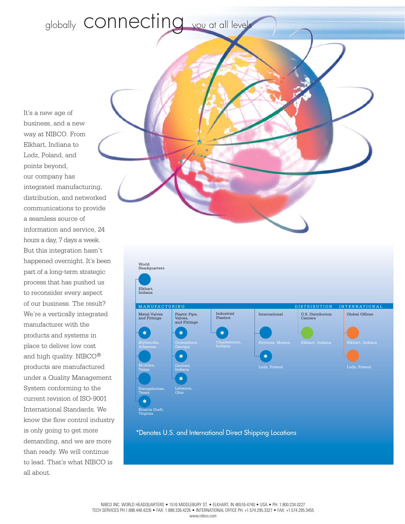globally **CONNECTING** you at all levels

It's a new age of business, and a new way at NIBCO. From Elkhart, Indiana to Lodz, Poland, and points beyond, our company has integrated manufacturing, distribution, and networked communications to provide a seamless source of information and service, 24 hours a day, 7 days a week. But this integration hasn't happened overnight. It's been part of a long-term strategic process that has pushed us to reconsider every aspect of our business. The result? We're a vertically integrated manufacturer with the products and systems in place to deliver low cost and high quality. NIBCO® products are manufactured under a Quality Management System conforming to the current revision of ISO-9001 International Standards. We know the flow control industry is only going to get more demanding, and we are more than ready. We will continue to lead. That's what NIBCO is all about.